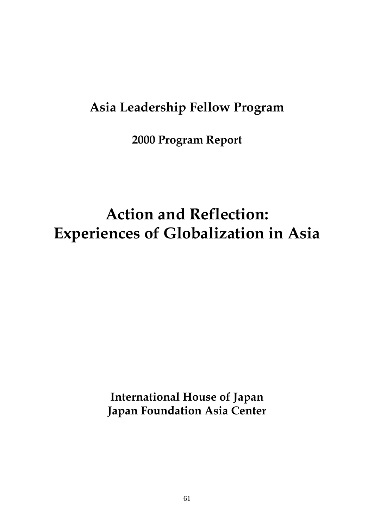### **Asia Leadership Fellow Program**

**2000 Program Report** 

# **Action and Reflection: Experiences of Globalization in Asia**

**International House of Japan Japan Foundation Asia Center**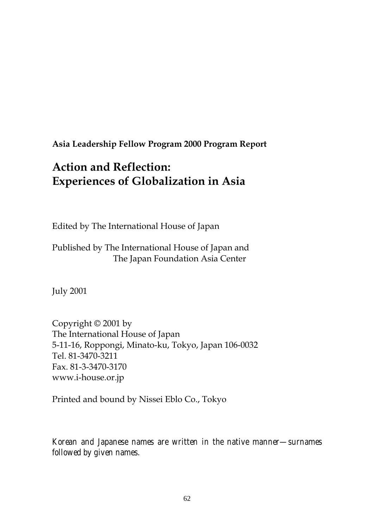**Asia Leadership Fellow Program 2000 Program Report** 

### **Action and Reflection: Experiences of Globalization in Asia**

Edited by The International House of Japan

Published by The International House of Japan and The Japan Foundation Asia Center

July 2001

Copyright © 2001 by The International House of Japan 5-11-16, Roppongi, Minato-ku, Tokyo, Japan 106-0032 Tel. 81-3470-3211 Fax. 81-3-3470-3170 www.i-house.or.jp

Printed and bound by Nissei Eblo Co., Tokyo

*Korean and Japanese names are written in the native manner—surnames followed by given names.*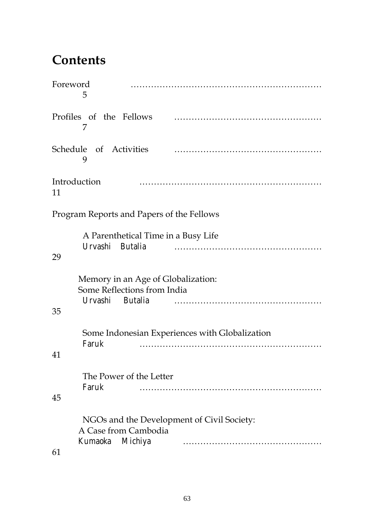### **Contents**

| Foreword<br>5                                                                                  |
|------------------------------------------------------------------------------------------------|
| Profiles of the Fellows<br>7                                                                   |
| Schedule of Activities<br>9                                                                    |
| Introduction<br>11                                                                             |
| Program Reports and Papers of the Fellows                                                      |
| A Parenthetical Time in a Busy Life<br>Urvashi Butalia<br>29                                   |
| Memory in an Age of Globalization:<br>Some Reflections from India<br>Urvashi Butalia<br>35     |
| Some Indonesian Experiences with Globalization<br>Faruk<br>41                                  |
| The Power of the Letter<br>Faruk<br>45                                                         |
| NGOs and the Development of Civil Society:<br>A Case from Cambodia<br>Michiya<br>Kumaoka<br>61 |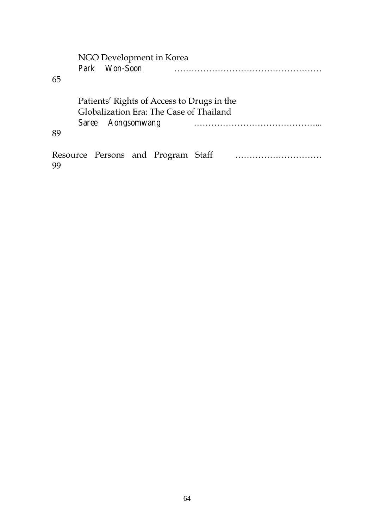|     | NGO Development in Korea                   |               |  |                                    |  |  |  |  |  |
|-----|--------------------------------------------|---------------|--|------------------------------------|--|--|--|--|--|
|     |                                            | Park Won-Soon |  |                                    |  |  |  |  |  |
| 65  |                                            |               |  |                                    |  |  |  |  |  |
|     |                                            |               |  |                                    |  |  |  |  |  |
|     | Patients' Rights of Access to Drugs in the |               |  |                                    |  |  |  |  |  |
|     | Globalization Era: The Case of Thailand    |               |  |                                    |  |  |  |  |  |
|     | Saree Aongsomwang                          |               |  |                                    |  |  |  |  |  |
| 89  |                                            |               |  |                                    |  |  |  |  |  |
|     |                                            |               |  |                                    |  |  |  |  |  |
|     |                                            |               |  | Resource Persons and Program Staff |  |  |  |  |  |
| -99 |                                            |               |  |                                    |  |  |  |  |  |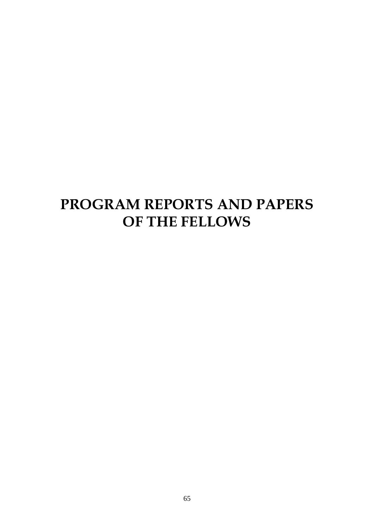## **PROGRAM REPORTS AND PAPERS OF THE FELLOWS**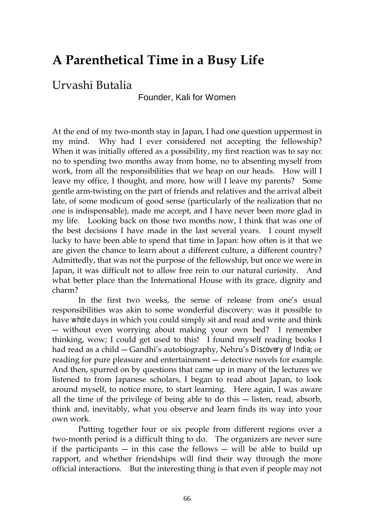### **A Parenthetical Time in a Busy Life**

#### Urvashi Butalia

Founder, Kali for Women

At the end of my two-month stay in Japan, I had one question uppermost in my mind. Why had I ever considered not accepting the fellowship? When it was initially offered as a possibility, my first reaction was to say no: no to spending two months away from home, no to absenting myself from work, from all the responsibilities that we heap on our heads. How will I leave my office, I thought, and more, how will I leave my parents? Some gentle arm-twisting on the part of friends and relatives and the arrival albeit late, of some modicum of good sense (particularly of the realization that no one is indispensable), made me accept, and I have never been more glad in my life. Looking back on those two months now, I think that was one of the best decisions I have made in the last several years. I count myself lucky to have been able to spend that time in Japan: how often is it that we are given the chance to learn about a different culture, a different country? Admittedly, that was not the purpose of the fellowship, but once we were in Japan, it was difficult not to allow free rein to our natural curiosity. And what better place than the International House with its grace, dignity and charm?

In the first two weeks, the sense of release from one's usual responsibilities was akin to some wonderful discovery: was it possible to have *whole* days in which you could simply sit and read and write and think ― without even worrying about making your own bed? I remember thinking, wow; I could get used to this! I found myself reading books I had read as a child ― Gandhi's autobiography, Nehru's *Discovery of India*; or reading for pure pleasure and entertainment ― detective novels for example. And then, spurred on by questions that came up in many of the lectures we listened to from Japanese scholars, I began to read about Japan, to look around myself, to notice more, to start learning. Here again, I was aware all the time of the privilege of being able to do this ― listen, read, absorb, think and, inevitably, what you observe and learn finds its way into your own work.

Putting together four or six people from different regions over a two-month period is a difficult thing to do. The organizers are never sure if the participants — in this case the fellows — will be able to build up rapport, and whether friendships will find their way through the more official interactions. But the interesting thing is that even if people may not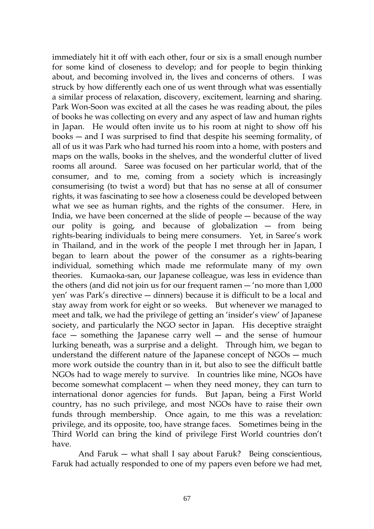immediately hit it off with each other, four or six is a small enough number for some kind of closeness to develop; and for people to begin thinking about, and becoming involved in, the lives and concerns of others. I was struck by how differently each one of us went through what was essentially a similar process of relaxation, discovery, excitement, learning and sharing. Park Won-Soon was excited at all the cases he was reading about, the piles of books he was collecting on every and any aspect of law and human rights in Japan. He would often invite us to his room at night to show off his books ― and I was surprised to find that despite his seeming formality, of all of us it was Park who had turned his room into a home, with posters and maps on the walls, books in the shelves, and the wonderful clutter of lived rooms all around. Saree was focused on her particular world, that of the consumer, and to me, coming from a society which is increasingly consumerising (to twist a word) but that has no sense at all of consumer rights, it was fascinating to see how a closeness could be developed between what we see as human rights, and the rights of the consumer. Here, in India, we have been concerned at the slide of people ― because of the way our polity is going, and because of globalization ― from being rights-bearing individuals to being mere consumers. Yet, in Saree's work in Thailand, and in the work of the people I met through her in Japan, I began to learn about the power of the consumer as a rights-bearing individual, something which made me reformulate many of my own theories. Kumaoka-san, our Japanese colleague, was less in evidence than the others (and did not join us for our frequent ramen ― 'no more than 1,000 yen' was Park's directive ― dinners) because it is difficult to be a local and stay away from work for eight or so weeks. But whenever we managed to meet and talk, we had the privilege of getting an 'insider's view' of Japanese society, and particularly the NGO sector in Japan. His deceptive straight face — something the Japanese carry well — and the sense of humour lurking beneath, was a surprise and a delight. Through him, we began to understand the different nature of the Japanese concept of NGOs ― much more work outside the country than in it, but also to see the difficult battle NGOs had to wage merely to survive. In countries like mine, NGOs have become somewhat complacent ― when they need money, they can turn to international donor agencies for funds. But Japan, being a First World country, has no such privilege, and most NGOs have to raise their own funds through membership. Once again, to me this was a revelation: privilege, and its opposite, too, have strange faces. Sometimes being in the Third World can bring the kind of privilege First World countries don't have.

And Faruk ― what shall I say about Faruk? Being conscientious, Faruk had actually responded to one of my papers even before we had met,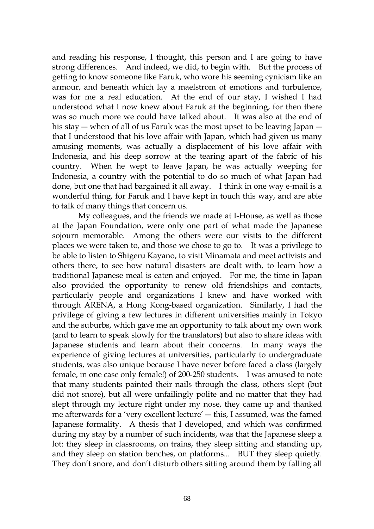and reading his response, I thought, this person and I are going to have strong differences. And indeed, we did, to begin with. But the process of getting to know someone like Faruk, who wore his seeming cynicism like an armour, and beneath which lay a maelstrom of emotions and turbulence, was for me a real education. At the end of our stay, I wished I had understood what I now knew about Faruk at the beginning, for then there was so much more we could have talked about. It was also at the end of his stay — when of all of us Faruk was the most upset to be leaving Japan that I understood that his love affair with Japan, which had given us many amusing moments, was actually a displacement of his love affair with Indonesia, and his deep sorrow at the tearing apart of the fabric of his country. When he wept to leave Japan, he was actually weeping for Indonesia, a country with the potential to do so much of what Japan had done, but one that had bargained it all away. I think in one way e-mail is a wonderful thing, for Faruk and I have kept in touch this way, and are able to talk of many things that concern us.

My colleagues, and the friends we made at I-House, as well as those at the Japan Foundation, were only one part of what made the Japanese sojourn memorable. Among the others were our visits to the different places we were taken to, and those we chose to go to. It was a privilege to be able to listen to Shigeru Kayano, to visit Minamata and meet activists and others there, to see how natural disasters are dealt with, to learn how a traditional Japanese meal is eaten and enjoyed. For me, the time in Japan also provided the opportunity to renew old friendships and contacts, particularly people and organizations I knew and have worked with through ARENA, a Hong Kong-based organization. Similarly, I had the privilege of giving a few lectures in different universities mainly in Tokyo and the suburbs, which gave me an opportunity to talk about my own work (and to learn to speak slowly for the translators) but also to share ideas with Japanese students and learn about their concerns. In many ways the experience of giving lectures at universities, particularly to undergraduate students, was also unique because I have never before faced a class (largely female, in one case only female!) of 200-250 students. I was amused to note that many students painted their nails through the class, others slept (but did not snore), but all were unfailingly polite and no matter that they had slept through my lecture right under my nose, they came up and thanked me afterwards for a 'very excellent lecture' ― this, I assumed, was the famed Japanese formality. A thesis that I developed, and which was confirmed during my stay by a number of such incidents, was that the Japanese sleep a lot: they sleep in classrooms, on trains, they sleep sitting and standing up, and they sleep on station benches, on platforms... BUT they sleep quietly. They don't snore, and don't disturb others sitting around them by falling all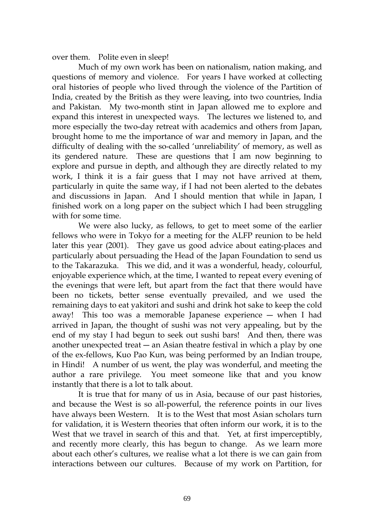over them. Polite even in sleep!

Much of my own work has been on nationalism, nation making, and questions of memory and violence. For years I have worked at collecting oral histories of people who lived through the violence of the Partition of India, created by the British as they were leaving, into two countries, India and Pakistan. My two-month stint in Japan allowed me to explore and expand this interest in unexpected ways. The lectures we listened to, and more especially the two-day retreat with academics and others from Japan, brought home to me the importance of war and memory in Japan, and the difficulty of dealing with the so-called 'unreliability' of memory, as well as its gendered nature. These are questions that I am now beginning to explore and pursue in depth, and although they are directly related to my work, I think it is a fair guess that I may not have arrived at them, particularly in quite the same way, if I had not been alerted to the debates and discussions in Japan. And I should mention that while in Japan, I finished work on a long paper on the subject which I had been struggling with for some time.

We were also lucky, as fellows, to get to meet some of the earlier fellows who were in Tokyo for a meeting for the ALFP reunion to be held later this year (2001). They gave us good advice about eating-places and particularly about persuading the Head of the Japan Foundation to send us to the Takarazuka. This we did, and it was a wonderful, heady, colourful, enjoyable experience which, at the time, I wanted to repeat every evening of the evenings that were left, but apart from the fact that there would have been no tickets, better sense eventually prevailed, and we used the remaining days to eat yakitori and sushi and drink hot sake to keep the cold away! This too was a memorable Japanese experience ― when I had arrived in Japan, the thought of sushi was not very appealing, but by the end of my stay I had begun to seek out sushi bars! And then, there was another unexpected treat — an Asian theatre festival in which a play by one of the ex-fellows, Kuo Pao Kun, was being performed by an Indian troupe, in Hindi! A number of us went, the play was wonderful, and meeting the author a rare privilege. You meet someone like that and you know instantly that there is a lot to talk about.

It is true that for many of us in Asia, because of our past histories, and because the West is so all-powerful, the reference points in our lives have always been Western. It is to the West that most Asian scholars turn for validation, it is Western theories that often inform our work, it is to the West that we travel in search of this and that. Yet, at first imperceptibly, and recently more clearly, this has begun to change. As we learn more about each other's cultures, we realise what a lot there is we can gain from interactions between our cultures. Because of my work on Partition, for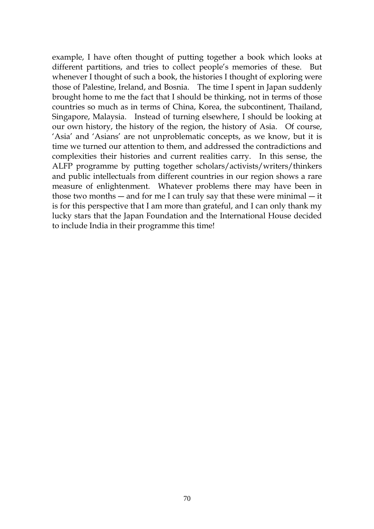example, I have often thought of putting together a book which looks at different partitions, and tries to collect people's memories of these. But whenever I thought of such a book, the histories I thought of exploring were those of Palestine, Ireland, and Bosnia. The time I spent in Japan suddenly brought home to me the fact that I should be thinking, not in terms of those countries so much as in terms of China, Korea, the subcontinent, Thailand, Singapore, Malaysia. Instead of turning elsewhere, I should be looking at our own history, the history of the region, the history of Asia. Of course, 'Asia' and 'Asians' are not unproblematic concepts, as we know, but it is time we turned our attention to them, and addressed the contradictions and complexities their histories and current realities carry. In this sense, the ALFP programme by putting together scholars/activists/writers/thinkers and public intellectuals from different countries in our region shows a rare measure of enlightenment. Whatever problems there may have been in those two months ― and for me I can truly say that these were minimal ― it is for this perspective that I am more than grateful, and I can only thank my lucky stars that the Japan Foundation and the International House decided to include India in their programme this time!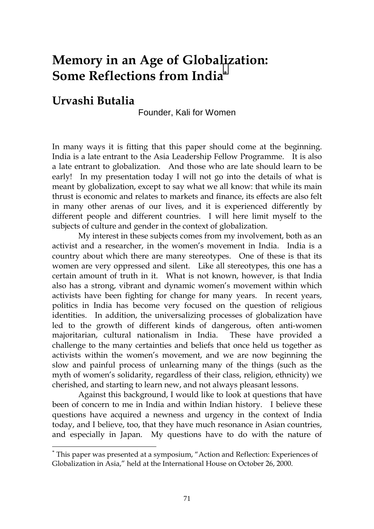### **Memory in an Age of Globalization: Some Reflections from India\***

#### **Urvashi Butalia**

 $\overline{a}$ 

Founder, Kali for Women

In many ways it is fitting that this paper should come at the beginning. India is a late entrant to the Asia Leadership Fellow Programme. It is also a late entrant to globalization. And those who are late should learn to be early! In my presentation today I will not go into the details of what is meant by globalization, except to say what we all know: that while its main thrust is economic and relates to markets and finance, its effects are also felt in many other arenas of our lives, and it is experienced differently by different people and different countries. I will here limit myself to the subjects of culture and gender in the context of globalization.

My interest in these subjects comes from my involvement, both as an activist and a researcher, in the women's movement in India. India is a country about which there are many stereotypes. One of these is that its women are very oppressed and silent. Like all stereotypes, this one has a certain amount of truth in it. What is not known, however, is that India also has a strong, vibrant and dynamic women's movement within which activists have been fighting for change for many years. In recent years, politics in India has become very focused on the question of religious identities. In addition, the universalizing processes of globalization have led to the growth of different kinds of dangerous, often anti-women majoritarian, cultural nationalism in India. These have provided a challenge to the many certainties and beliefs that once held us together as activists within the women's movement, and we are now beginning the slow and painful process of unlearning many of the things (such as the myth of women's solidarity, regardless of their class, religion, ethnicity) we cherished, and starting to learn new, and not always pleasant lessons.

Against this background, I would like to look at questions that have been of concern to me in India and within Indian history. I believe these questions have acquired a newness and urgency in the context of India today, and I believe, too, that they have much resonance in Asian countries, and especially in Japan. My questions have to do with the nature of

<sup>\*</sup> This paper was presented at a symposium, "Action and Reflection: Experiences of Globalization in Asia," held at the International House on October 26, 2000.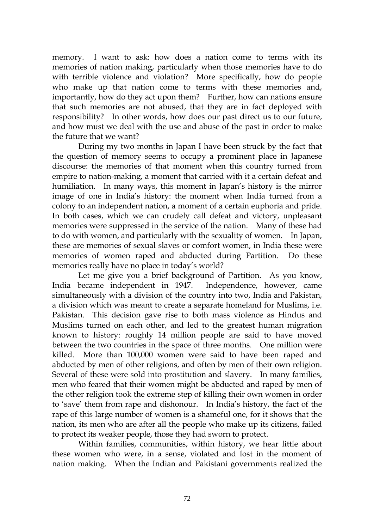memory. I want to ask: how does a nation come to terms with its memories of nation making, particularly when those memories have to do with terrible violence and violation? More specifically, how do people who make up that nation come to terms with these memories and, importantly, how do they act upon them? Further, how can nations ensure that such memories are not abused, that they are in fact deployed with responsibility? In other words, how does our past direct us to our future, and how must we deal with the use and abuse of the past in order to make the future that we want?

During my two months in Japan I have been struck by the fact that the question of memory seems to occupy a prominent place in Japanese discourse: the memories of that moment when this country turned from empire to nation-making, a moment that carried with it a certain defeat and humiliation. In many ways, this moment in Japan's history is the mirror image of one in India's history: the moment when India turned from a colony to an independent nation, a moment of a certain euphoria and pride. In both cases, which we can crudely call defeat and victory, unpleasant memories were suppressed in the service of the nation. Many of these had to do with women, and particularly with the sexuality of women. In Japan, these are memories of sexual slaves or comfort women, in India these were memories of women raped and abducted during Partition. Do these memories really have no place in today's world?

Let me give you a brief background of Partition. As you know, India became independent in 1947. Independence, however, came simultaneously with a division of the country into two, India and Pakistan, a division which was meant to create a separate homeland for Muslims, i.e. Pakistan. This decision gave rise to both mass violence as Hindus and Muslims turned on each other, and led to the greatest human migration known to history: roughly 14 million people are said to have moved between the two countries in the space of three months. One million were killed. More than 100,000 women were said to have been raped and abducted by men of other religions, and often by men of their own religion. Several of these were sold into prostitution and slavery. In many families, men who feared that their women might be abducted and raped by men of the other religion took the extreme step of killing their own women in order to 'save' them from rape and dishonour. In India's history, the fact of the rape of this large number of women is a shameful one, for it shows that the nation, its men who are after all the people who make up its citizens, failed to protect its weaker people, those they had sworn to protect.

Within families, communities, within history, we hear little about these women who were, in a sense, violated and lost in the moment of nation making. When the Indian and Pakistani governments realized the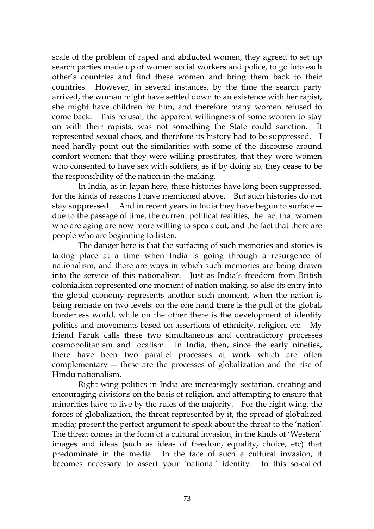scale of the problem of raped and abducted women, they agreed to set up search parties made up of women social workers and police, to go into each other's countries and find these women and bring them back to their countries. However, in several instances, by the time the search party arrived, the woman might have settled down to an existence with her rapist, she might have children by him, and therefore many women refused to come back. This refusal, the apparent willingness of some women to stay on with their rapists, was not something the State could sanction. It represented sexual chaos, and therefore its history had to be suppressed. I need hardly point out the similarities with some of the discourse around comfort women: that they were willing prostitutes, that they were women who consented to have sex with soldiers, as if by doing so, they cease to be the responsibility of the nation-in-the-making.

In India, as in Japan here, these histories have long been suppressed, for the kinds of reasons I have mentioned above. But such histories do not stay suppressed. And in recent years in India they have begun to surface ― due to the passage of time, the current political realities, the fact that women who are aging are now more willing to speak out, and the fact that there are people who are beginning to listen.

The danger here is that the surfacing of such memories and stories is taking place at a time when India is going through a resurgence of nationalism, and there are ways in which such memories are being drawn into the service of this nationalism. Just as India's freedom from British colonialism represented one moment of nation making, so also its entry into the global economy represents another such moment, when the nation is being remade on two levels: on the one hand there is the pull of the global, borderless world, while on the other there is the development of identity politics and movements based on assertions of ethnicity, religion, etc. My friend Faruk calls these two simultaneous and contradictory processes cosmopolitanism and localism. In India, then, since the early nineties, there have been two parallel processes at work which are often complementary ― these are the processes of globalization and the rise of Hindu nationalism.

Right wing politics in India are increasingly sectarian, creating and encouraging divisions on the basis of religion, and attempting to ensure that minorities have to live by the rules of the majority. For the right wing, the forces of globalization, the threat represented by it, the spread of globalized media; present the perfect argument to speak about the threat to the 'nation'. The threat comes in the form of a cultural invasion, in the kinds of 'Western' images and ideas (such as ideas of freedom, equality, choice, etc) that predominate in the media. In the face of such a cultural invasion, it becomes necessary to assert your 'national' identity. In this so-called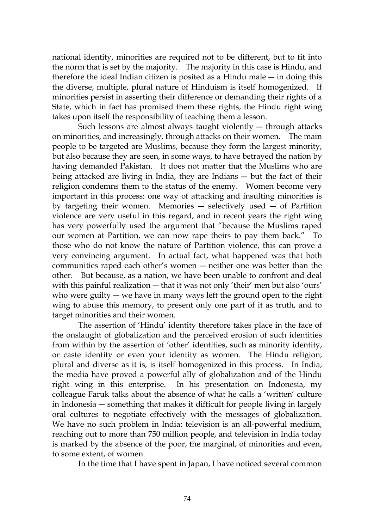national identity, minorities are required not to be different, but to fit into the norm that is set by the majority. The majority in this case is Hindu, and therefore the ideal Indian citizen is posited as a Hindu male  $-$  in doing this the diverse, multiple, plural nature of Hinduism is itself homogenized. If minorities persist in asserting their difference or demanding their rights of a State, which in fact has promised them these rights, the Hindu right wing takes upon itself the responsibility of teaching them a lesson.

Such lessons are almost always taught violently  $-$  through attacks on minorities, and increasingly, through attacks on their women. The main people to be targeted are Muslims, because they form the largest minority, but also because they are seen, in some ways, to have betrayed the nation by having demanded Pakistan. It does not matter that the Muslims who are being attacked are living in India, they are Indians ― but the fact of their religion condemns them to the status of the enemy. Women become very important in this process: one way of attacking and insulting minorities is by targeting their women. Memories  $-$  selectively used  $-$  of Partition violence are very useful in this regard, and in recent years the right wing has very powerfully used the argument that "because the Muslims raped our women at Partition, we can now rape theirs to pay them back." To those who do not know the nature of Partition violence, this can prove a very convincing argument. In actual fact, what happened was that both communities raped each other's women ― neither one was better than the other. But because, as a nation, we have been unable to confront and deal with this painful realization — that it was not only 'their' men but also 'ours' who were guilty — we have in many ways left the ground open to the right wing to abuse this memory, to present only one part of it as truth, and to target minorities and their women.

The assertion of 'Hindu' identity therefore takes place in the face of the onslaught of globalization and the perceived erosion of such identities from within by the assertion of 'other' identities, such as minority identity, or caste identity or even your identity as women. The Hindu religion, plural and diverse as it is, is itself homogenized in this process. In India, the media have proved a powerful ally of globalization and of the Hindu right wing in this enterprise. In his presentation on Indonesia, my colleague Faruk talks about the absence of what he calls a 'written' culture in Indonesia ― something that makes it difficult for people living in largely oral cultures to negotiate effectively with the messages of globalization. We have no such problem in India: television is an all-powerful medium, reaching out to more than 750 million people, and television in India today is marked by the absence of the poor, the marginal, of minorities and even, to some extent, of women.

In the time that I have spent in Japan, I have noticed several common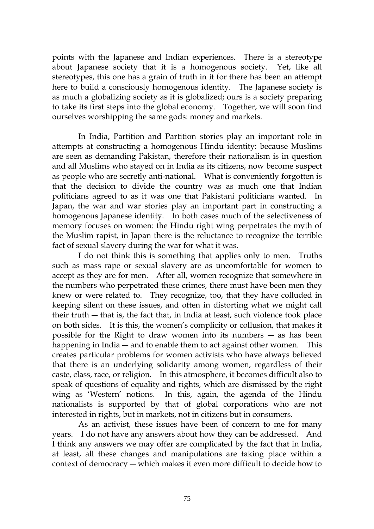points with the Japanese and Indian experiences. There is a stereotype about Japanese society that it is a homogenous society. Yet, like all stereotypes, this one has a grain of truth in it for there has been an attempt here to build a consciously homogenous identity. The Japanese society is as much a globalizing society as it is globalized; ours is a society preparing to take its first steps into the global economy. Together, we will soon find ourselves worshipping the same gods: money and markets.

In India, Partition and Partition stories play an important role in attempts at constructing a homogenous Hindu identity: because Muslims are seen as demanding Pakistan, therefore their nationalism is in question and all Muslims who stayed on in India as its citizens, now become suspect as people who are secretly anti-national. What is conveniently forgotten is that the decision to divide the country was as much one that Indian politicians agreed to as it was one that Pakistani politicians wanted. In Japan, the war and war stories play an important part in constructing a homogenous Japanese identity. In both cases much of the selectiveness of memory focuses on women: the Hindu right wing perpetrates the myth of the Muslim rapist, in Japan there is the reluctance to recognize the terrible fact of sexual slavery during the war for what it was.

I do not think this is something that applies only to men. Truths such as mass rape or sexual slavery are as uncomfortable for women to accept as they are for men. After all, women recognize that somewhere in the numbers who perpetrated these crimes, there must have been men they knew or were related to. They recognize, too, that they have colluded in keeping silent on these issues, and often in distorting what we might call their truth ― that is, the fact that, in India at least, such violence took place on both sides. It is this, the women's complicity or collusion, that makes it possible for the Right to draw women into its numbers ― as has been happening in India — and to enable them to act against other women. This creates particular problems for women activists who have always believed that there is an underlying solidarity among women, regardless of their caste, class, race, or religion. In this atmosphere, it becomes difficult also to speak of questions of equality and rights, which are dismissed by the right wing as 'Western' notions. In this, again, the agenda of the Hindu nationalists is supported by that of global corporations who are not interested in rights, but in markets, not in citizens but in consumers.

As an activist, these issues have been of concern to me for many years. I do not have any answers about how they can be addressed. And I think any answers we may offer are complicated by the fact that in India, at least, all these changes and manipulations are taking place within a context of democracy ― which makes it even more difficult to decide how to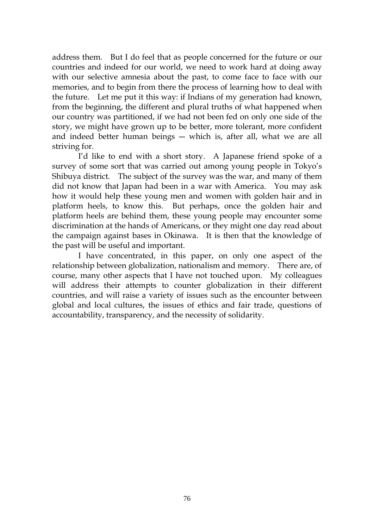address them. But I do feel that as people concerned for the future or our countries and indeed for our world, we need to work hard at doing away with our selective amnesia about the past, to come face to face with our memories, and to begin from there the process of learning how to deal with the future. Let me put it this way: if Indians of my generation had known, from the beginning, the different and plural truths of what happened when our country was partitioned, if we had not been fed on only one side of the story, we might have grown up to be better, more tolerant, more confident and indeed better human beings ― which is, after all, what we are all striving for.

I'd like to end with a short story. A Japanese friend spoke of a survey of some sort that was carried out among young people in Tokyo's Shibuya district. The subject of the survey was the war, and many of them did not know that Japan had been in a war with America. You may ask how it would help these young men and women with golden hair and in platform heels, to know this. But perhaps, once the golden hair and platform heels are behind them, these young people may encounter some discrimination at the hands of Americans, or they might one day read about the campaign against bases in Okinawa. It is then that the knowledge of the past will be useful and important.

I have concentrated, in this paper, on only one aspect of the relationship between globalization, nationalism and memory. There are, of course, many other aspects that I have not touched upon. My colleagues will address their attempts to counter globalization in their different countries, and will raise a variety of issues such as the encounter between global and local cultures, the issues of ethics and fair trade, questions of accountability, transparency, and the necessity of solidarity.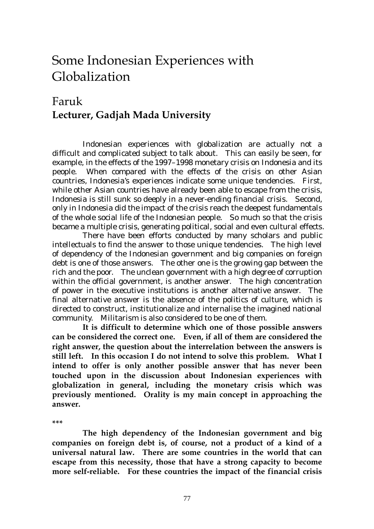### Some Indonesian Experiences with Globalization

#### Faruk **Lecturer, Gadjah Mada University**

 Indonesian experiences with globalization are actually not a difficult and complicated subject to talk about. This can easily be seen, for example, in the effects of the 1997–1998 monetary crisis on Indonesia and its people. When compared with the effects of the crisis on other Asian countries, Indonesia's experiences indicate some unique tendencies. First, while other Asian countries have already been able to escape from the crisis, Indonesia is still sunk so deeply in a never-ending financial crisis. Second, only in Indonesia did the impact of the crisis reach the deepest fundamentals of the whole social life of the Indonesian people. So much so that the crisis became a multiple crisis, generating political, social and even cultural effects.

 There have been efforts conducted by many scholars and public intellectuals to find the answer to those unique tendencies. The high level of dependency of the Indonesian government and big companies on foreign debt is one of those answers. The other one is the growing gap between the rich and the poor. The unclean government with a high degree of corruption within the official government, is another answer. The high concentration of power in the executive institutions is another alternative answer. The final alternative answer is the absence of the politics of culture, which is directed to construct, institutionalize and internalise the imagined national community. Militarism is also considered to be one of them.

 **It is difficult to determine which one of those possible answers can be considered the correct one. Even, if all of them are considered the right answer, the question about the interrelation between the answers is still left. In this occasion I do not intend to solve this problem. What I intend to offer is only another possible answer that has never been touched upon in the discussion about Indonesian experiences with globalization in general, including the monetary crisis which was previously mentioned. Orality is my main concept in approaching the answer.** 

**\*\*\*** 

 **The high dependency of the Indonesian government and big companies on foreign debt is, of course, not a product of a kind of a universal natural law. There are some countries in the world that can escape from this necessity, those that have a strong capacity to become more self-reliable. For these countries the impact of the financial crisis**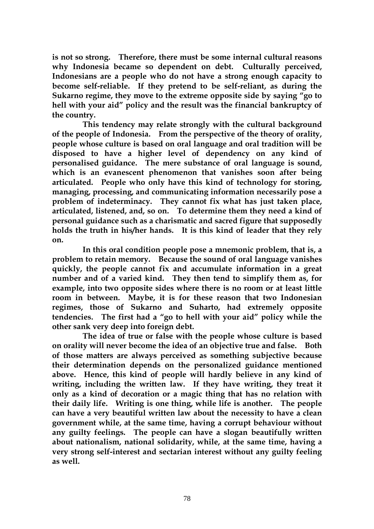**is not so strong. Therefore, there must be some internal cultural reasons why Indonesia became so dependent on debt. Culturally perceived, Indonesians are a people who do not have a strong enough capacity to become self-reliable. If they pretend to be self-reliant, as during the Sukarno regime, they move to the extreme opposite side by saying "go to hell with your aid" policy and the result was the financial bankruptcy of the country.** 

 **This tendency may relate strongly with the cultural background of the people of Indonesia. From the perspective of the theory of orality, people whose culture is based on oral language and oral tradition will be disposed to have a higher level of dependency on any kind of personalised guidance. The mere substance of oral language is sound, which is an evanescent phenomenon that vanishes soon after being articulated. People who only have this kind of technology for storing, managing, processing, and communicating information necessarily pose a problem of indeterminacy. They cannot fix what has just taken place, articulated, listened, and, so on. To determine them they need a kind of personal guidance such as a charismatic and sacred figure that supposedly holds the truth in his/her hands. It is this kind of leader that they rely on.** 

 **In this oral condition people pose a mnemonic problem, that is, a problem to retain memory. Because the sound of oral language vanishes quickly, the people cannot fix and accumulate information in a great number and of a varied kind. They then tend to simplify them as, for example, into two opposite sides where there is no room or at least little room in between. Maybe, it is for these reason that two Indonesian regimes, those of Sukarno and Suharto, had extremely opposite tendencies. The first had a "go to hell with your aid" policy while the other sank very deep into foreign debt.** 

 **The idea of true or false with the people whose culture is based on orality will never become the idea of an objective true and false. Both of those matters are always perceived as something subjective because their determination depends on the personalized guidance mentioned above. Hence, this kind of people will hardly believe in any kind of writing, including the written law. If they have writing, they treat it only as a kind of decoration or a magic thing that has no relation with their daily life. Writing is one thing, while life is another. The people can have a very beautiful written law about the necessity to have a clean government while, at the same time, having a corrupt behaviour without any guilty feelings. The people can have a slogan beautifully written about nationalism, national solidarity, while, at the same time, having a very strong self-interest and sectarian interest without any guilty feeling as well.**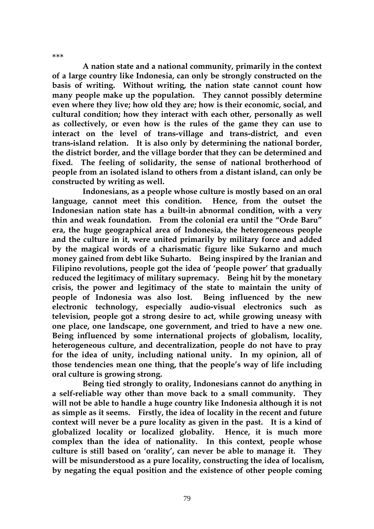**A nation state and a national community, primarily in the context of a large country like Indonesia, can only be strongly constructed on the basis of writing. Without writing, the nation state cannot count how many people make up the population. They cannot possibly determine even where they live; how old they are; how is their economic, social, and cultural condition; how they interact with each other, personally as well as collectively, or even how is the rules of the game they can use to interact on the level of trans-village and trans-district, and even trans-island relation. It is also only by determining the national border, the district border, and the village border that they can be determined and fixed. The feeling of solidarity, the sense of national brotherhood of people from an isolated island to others from a distant island, can only be constructed by writing as well.** 

\*\*\*

 **Indonesians, as a people whose culture is mostly based on an oral language, cannot meet this condition. Hence, from the outset the Indonesian nation state has a built-in abnormal condition, with a very thin and weak foundation. From the colonial era until the "Orde Baru" era, the huge geographical area of Indonesia, the heterogeneous people and the culture in it, were united primarily by military force and added by the magical words of a charismatic figure like Sukarno and much money gained from debt like Suharto. Being inspired by the Iranian and Filipino revolutions, people got the idea of 'people power' that gradually reduced the legitimacy of military supremacy. Being hit by the monetary crisis, the power and legitimacy of the state to maintain the unity of people of Indonesia was also lost. Being influenced by the new electronic technology, especially audio-visual electronics such as television, people got a strong desire to act, while growing uneasy with one place, one landscape, one government, and tried to have a new one. Being influenced by some international projects of globalism, locality, heterogeneous culture, and decentralization, people do not have to pray for the idea of unity, including national unity. In my opinion, all of those tendencies mean one thing, that the people's way of life including oral culture is growing strong.** 

 **Being tied strongly to orality, Indonesians cannot do anything in a self-reliable way other than move back to a small community. They will not be able to handle a huge country like Indonesia although it is not as simple as it seems. Firstly, the idea of locality in the recent and future context will never be a pure locality as given in the past. It is a kind of globalized locality or localized globality. Hence, it is much more complex than the idea of nationality. In this context, people whose culture is still based on 'orality', can never be able to manage it. They will be misunderstood as a pure locality, constructing the idea of localism, by negating the equal position and the existence of other people coming**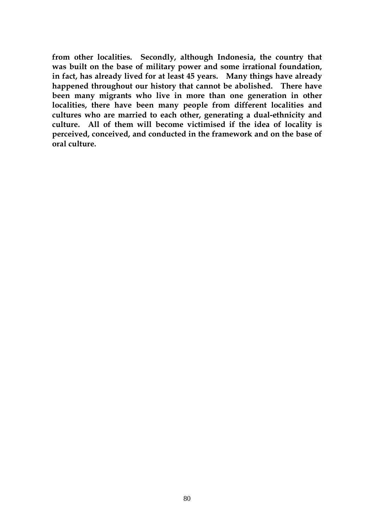**from other localities. Secondly, although Indonesia, the country that was built on the base of military power and some irrational foundation, in fact, has already lived for at least 45 years. Many things have already happened throughout our history that cannot be abolished. There have been many migrants who live in more than one generation in other localities, there have been many people from different localities and cultures who are married to each other, generating a dual-ethnicity and culture. All of them will become victimised if the idea of locality is perceived, conceived, and conducted in the framework and on the base of oral culture.**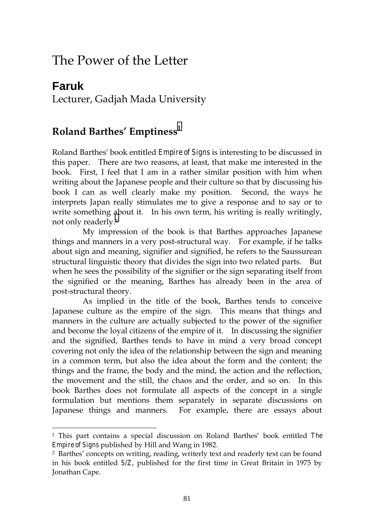### The Power of the Letter

#### **Faruk**  Lecturer, Gadjah Mada University

#### **Roland Barthes' Emptiness<sup>1</sup>**

l

Roland Barthes' book entitled *Empire of Signs* is interesting to be discussed in this paper. There are two reasons, at least, that make me interested in the book. First, I feel that I am in a rather similar position with him when writing about the Japanese people and their culture so that by discussing his book I can as well clearly make my position. Second, the ways he interprets Japan really stimulates me to give a response and to say or to write something about it. In his own term, his writing is really writingly, not only readerly.2

 My impression of the book is that Barthes approaches Japanese things and manners in a very post-structural way. For example, if he talks about sign and meaning, signifier and signified, he refers to the Saussurean structural linguistic theory that divides the sign into two related parts. But when he sees the possibility of the signifier or the sign separating itself from the signified or the meaning, Barthes has already been in the area of post-structural theory.

 As implied in the title of the book, Barthes tends to conceive Japanese culture as the empire of the sign. This means that things and manners in the culture are actually subjected to the power of the signifier and become the loyal citizens of the empire of it. In discussing the signifier and the signified, Barthes tends to have in mind a very broad concept covering not only the idea of the relationship between the sign and meaning in a common term, but also the idea about the form and the content; the things and the frame, the body and the mind, the action and the reflection, the movement and the still, the chaos and the order, and so on. In this book Barthes does not formulate all aspects of the concept in a single formulation but mentions them separately in separate discussions on Japanese things and manners. For example, there are essays about

<sup>1</sup> This part contains a special discussion on Roland Barthes' book entitled *The Empire of Signs* published by Hill and Wang in 1982.

<sup>2</sup> Barthes' concepts on writing, reading, writerly text and readerly text can be found in his book entitled *S/Z*, published for the first time in Great Britain in 1975 by Jonathan Cape.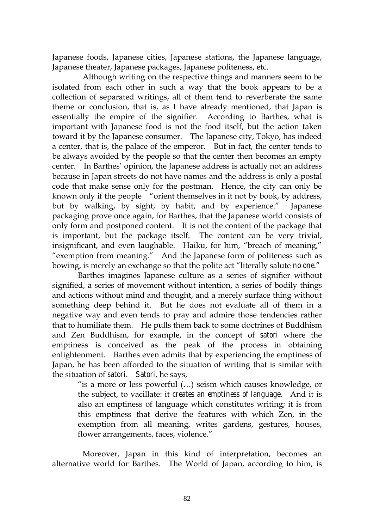Japanese foods, Japanese cities, Japanese stations, the Japanese language, Japanese theater, Japanese packages, Japanese politeness, etc.

 Although writing on the respective things and manners seem to be isolated from each other in such a way that the book appears to be a collection of separated writings, all of them tend to reverberate the same theme or conclusion, that is, as I have already mentioned, that Japan is essentially the empire of the signifier. According to Barthes, what is important with Japanese food is not the food itself, but the action taken toward it by the Japanese consumer. The Japanese city, Tokyo, has indeed a center, that is, the palace of the emperor. But in fact, the center tends to be always avoided by the people so that the center then becomes an empty center. In Barthes' opinion, the Japanese address is actually not an address because in Japan streets do not have names and the address is only a postal code that make sense only for the postman. Hence, the city can only be known only if the people "orient themselves in it not by book, by address, but by walking, by sight, by habit, and by experience." Japanese packaging prove once again, for Barthes, that the Japanese world consists of only form and postponed content. It is not the content of the package that is important, but the package itself. The content can be very trivial, insignificant, and even laughable. Haiku, for him, "breach of meaning," "exemption from meaning." And the Japanese form of politeness such as bowing, is merely an exchange so that the polite act "literally salute *no one*."

Barthes imagines Japanese culture as a series of signifier without signified, a series of movement without intention, a series of bodily things and actions without mind and thought, and a merely surface thing without something deep behind it. But he does not evaluate all of them in a negative way and even tends to pray and admire those tendencies rather that to humiliate them. He pulls them back to some doctrines of Buddhism and Zen Buddhism, for example, in the concept of *satori* where the emptiness is conceived as the peak of the process in obtaining enlightenment. Barthes even admits that by experiencing the emptiness of Japan, he has been afforded to the situation of writing that is similar with the situation of *satori*. *Satori*, he says,

"is a more or less powerful (…) seism which causes knowledge, or the subject, to vacillate: it *creates an emptiness of language*. And it is also an emptiness of language which constitutes writing; it is from this emptiness that derive the features with which Zen, in the exemption from all meaning, writes gardens, gestures, houses, flower arrangements, faces, violence."

 Moreover, Japan in this kind of interpretation, becomes an alternative world for Barthes. The World of Japan, according to him, is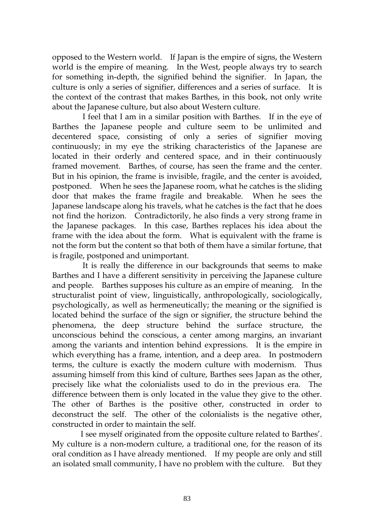opposed to the Western world. If Japan is the empire of signs, the Western world is the empire of meaning. In the West, people always try to search for something in-depth, the signified behind the signifier. In Japan, the culture is only a series of signifier, differences and a series of surface. It is the context of the contrast that makes Barthes, in this book, not only write about the Japanese culture, but also about Western culture.

 I feel that I am in a similar position with Barthes. If in the eye of Barthes the Japanese people and culture seem to be unlimited and decentered space, consisting of only a series of signifier moving continuously; in my eye the striking characteristics of the Japanese are located in their orderly and centered space, and in their continuously framed movement. Barthes, of course, has seen the frame and the center. But in his opinion, the frame is invisible, fragile, and the center is avoided, postponed. When he sees the Japanese room, what he catches is the sliding door that makes the frame fragile and breakable. When he sees the Japanese landscape along his travels, what he catches is the fact that he does not find the horizon. Contradictorily, he also finds a very strong frame in the Japanese packages. In this case, Barthes replaces his idea about the frame with the idea about the form. What is equivalent with the frame is not the form but the content so that both of them have a similar fortune, that is fragile, postponed and unimportant.

 It is really the difference in our backgrounds that seems to make Barthes and I have a different sensitivity in perceiving the Japanese culture and people. Barthes supposes his culture as an empire of meaning. In the structuralist point of view, linguistically, anthropologically, sociologically, psychologically, as well as hermeneutically; the meaning or the signified is located behind the surface of the sign or signifier, the structure behind the phenomena, the deep structure behind the surface structure, the unconscious behind the conscious, a center among margins, an invariant among the variants and intention behind expressions. It is the empire in which everything has a frame, intention, and a deep area. In postmodern terms, the culture is exactly the modern culture with modernism. Thus assuming himself from this kind of culture, Barthes sees Japan as the other, precisely like what the colonialists used to do in the previous era. The difference between them is only located in the value they give to the other. The other of Barthes is the positive other, constructed in order to deconstruct the self. The other of the colonialists is the negative other, constructed in order to maintain the self.

 I see myself originated from the opposite culture related to Barthes'. My culture is a non-modern culture, a traditional one, for the reason of its oral condition as I have already mentioned. If my people are only and still an isolated small community, I have no problem with the culture. But they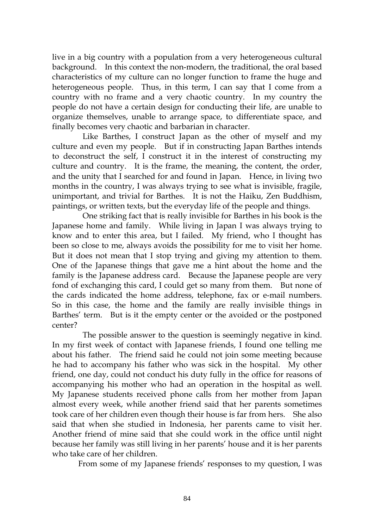live in a big country with a population from a very heterogeneous cultural background. In this context the non-modern, the traditional, the oral based characteristics of my culture can no longer function to frame the huge and heterogeneous people. Thus, in this term, I can say that I come from a country with no frame and a very chaotic country. In my country the people do not have a certain design for conducting their life, are unable to organize themselves, unable to arrange space, to differentiate space, and finally becomes very chaotic and barbarian in character.

 Like Barthes, I construct Japan as the other of myself and my culture and even my people. But if in constructing Japan Barthes intends to deconstruct the self, I construct it in the interest of constructing my culture and country. It is the frame, the meaning, the content, the order, and the unity that I searched for and found in Japan. Hence, in living two months in the country, I was always trying to see what is invisible, fragile, unimportant, and trivial for Barthes. It is not the Haiku, Zen Buddhism, paintings, or written texts, but the everyday life of the people and things.

 One striking fact that is really invisible for Barthes in his book is the Japanese home and family. While living in Japan I was always trying to know and to enter this area, but I failed. My friend, who I thought has been so close to me, always avoids the possibility for me to visit her home. But it does not mean that I stop trying and giving my attention to them. One of the Japanese things that gave me a hint about the home and the family is the Japanese address card. Because the Japanese people are very fond of exchanging this card, I could get so many from them. But none of the cards indicated the home address, telephone, fax or e-mail numbers. So in this case, the home and the family are really invisible things in Barthes' term. But is it the empty center or the avoided or the postponed center?

 The possible answer to the question is seemingly negative in kind. In my first week of contact with Japanese friends, I found one telling me about his father. The friend said he could not join some meeting because he had to accompany his father who was sick in the hospital. My other friend, one day, could not conduct his duty fully in the office for reasons of accompanying his mother who had an operation in the hospital as well. My Japanese students received phone calls from her mother from Japan almost every week, while another friend said that her parents sometimes took care of her children even though their house is far from hers. She also said that when she studied in Indonesia, her parents came to visit her. Another friend of mine said that she could work in the office until night because her family was still living in her parents' house and it is her parents who take care of her children.

From some of my Japanese friends' responses to my question, I was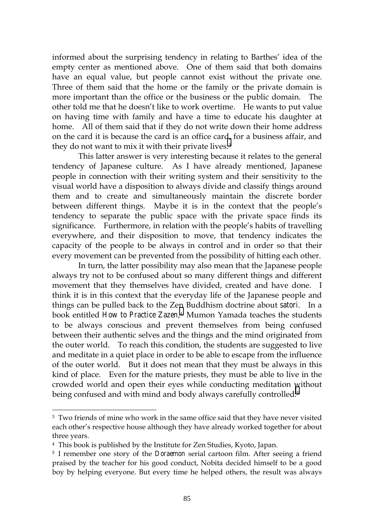informed about the surprising tendency in relating to Barthes' idea of the empty center as mentioned above. One of them said that both domains have an equal value, but people cannot exist without the private one. Three of them said that the home or the family or the private domain is more important than the office or the business or the public domain. The other told me that he doesn't like to work overtime. He wants to put value on having time with family and have a time to educate his daughter at home. All of them said that if they do not write down their home address on the card it is because the card is an office card, for a business affair, and they do not want to mix it with their private lives.<sup>3</sup>

This latter answer is very interesting because it relates to the general tendency of Japanese culture. As I have already mentioned, Japanese people in connection with their writing system and their sensitivity to the visual world have a disposition to always divide and classify things around them and to create and simultaneously maintain the discrete border between different things. Maybe it is in the context that the people's tendency to separate the public space with the private space finds its significance. Furthermore, in relation with the people's habits of travelling everywhere, and their disposition to move, that tendency indicates the capacity of the people to be always in control and in order so that their every movement can be prevented from the possibility of hitting each other.

In turn, the latter possibility may also mean that the Japanese people always try not to be confused about so many different things and different movement that they themselves have divided, created and have done. I think it is in this context that the everyday life of the Japanese people and things can be pulled back to the Zen Buddhism doctrine about *satori*. In a book entitled *How to Practice Zazen*,4 Mumon Yamada teaches the students to be always conscious and prevent themselves from being confused between their authentic selves and the things and the mind originated from the outer world. To reach this condition, the students are suggested to live and meditate in a quiet place in order to be able to escape from the influence of the outer world. But it does not mean that they must be always in this kind of place. Even for the mature priests, they must be able to live in the crowded world and open their eyes while conducting meditation without being confused and with mind and body always carefully controlled.<sup>5</sup>

<sup>&</sup>lt;sup>3</sup> Two friends of mine who work in the same office said that they have never visited each other's respective house although they have already worked together for about three years.

<sup>4</sup> This book is published by the Institute for Zen Studies, Kyoto, Japan.

<sup>5</sup> I remember one story of the *Doraemon* serial cartoon film. After seeing a friend praised by the teacher for his good conduct, Nobita decided himself to be a good boy by helping everyone. But every time he helped others, the result was always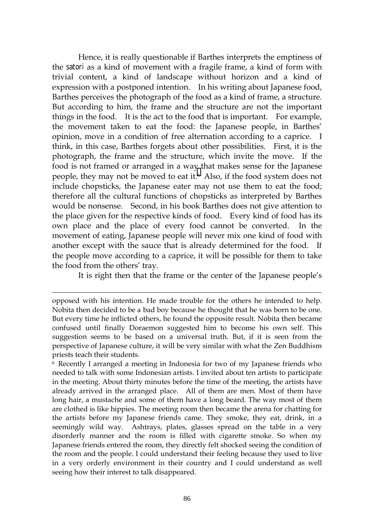Hence, it is really questionable if Barthes interprets the emptiness of the *satori* as a kind of movement with a fragile frame, a kind of form with trivial content, a kind of landscape without horizon and a kind of expression with a postponed intention. In his writing about Japanese food, Barthes perceives the photograph of the food as a kind of frame, a structure. But according to him, the frame and the structure are not the important things in the food. It is the act to the food that is important. For example, the movement taken to eat the food: the Japanese people, in Barthes' opinion, move in a condition of free alternation according to a caprice. I think, in this case, Barthes forgets about other possibilities. First, it is the photograph, the frame and the structure, which invite the move. If the food is not framed or arranged in a way that makes sense for the Japanese people, they may not be moved to eat it.6 Also, if the food system does not include chopsticks, the Japanese eater may not use them to eat the food; therefore all the cultural functions of chopsticks as interpreted by Barthes would be nonsense. Second, in his book Barthes does not give attention to the place given for the respective kinds of food. Every kind of food has its own place and the place of every food cannot be converted. In the movement of eating, Japanese people will never mix one kind of food with another except with the sauce that is already determined for the food. If the people move according to a caprice, it will be possible for them to take the food from the others' tray.

It is right then that the frame or the center of the Japanese people's

opposed with his intention. He made trouble for the others he intended to help. Nobita then decided to be a bad boy because he thought that he was born to be one. But every time he inflicted others, he found the opposite result. Nobita then became confused until finally Doraemon suggested him to become his own self. This suggestion seems to be based on a universal truth. But, if it is seen from the perspective of Japanese culture, it will be very similar with what the Zen Buddhism priests teach their students.

<sup>6</sup> Recently I arranged a meeting in Indonesia for two of my Japanese friends who needed to talk with some Indonesian artists. I invited about ten artists to participate in the meeting. About thirty minutes before the time of the meeting, the artists have already arrived in the arranged place. All of them are men. Most of them have long hair, a mustache and some of them have a long beard. The way most of them are clothed is like hippies. The meeting room then became the arena for chatting for the artists before my Japanese friends came. They smoke, they eat, drink, in a seemingly wild way. Ashtrays, plates, glasses spread on the table in a very disorderly manner and the room is filled with cigarette smoke. So when my Japanese friends entered the room, they directly felt shocked seeing the condition of the room and the people. I could understand their feeling because they used to live in a very orderly environment in their country and I could understand as well seeing how their interest to talk disappeared.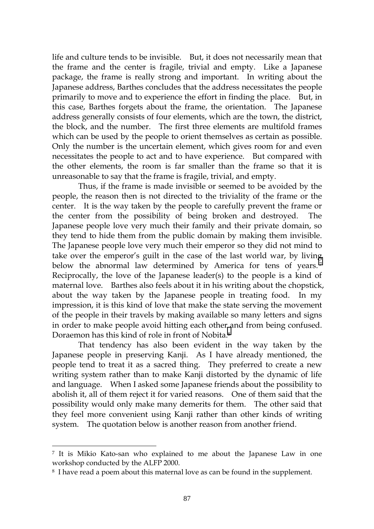life and culture tends to be invisible. But, it does not necessarily mean that the frame and the center is fragile, trivial and empty. Like a Japanese package, the frame is really strong and important. In writing about the Japanese address, Barthes concludes that the address necessitates the people primarily to move and to experience the effort in finding the place. But, in this case, Barthes forgets about the frame, the orientation. The Japanese address generally consists of four elements, which are the town, the district, the block, and the number. The first three elements are multifold frames which can be used by the people to orient themselves as certain as possible. Only the number is the uncertain element, which gives room for and even necessitates the people to act and to have experience. But compared with the other elements, the room is far smaller than the frame so that it is unreasonable to say that the frame is fragile, trivial, and empty.

Thus, if the frame is made invisible or seemed to be avoided by the people, the reason then is not directed to the triviality of the frame or the center. It is the way taken by the people to carefully prevent the frame or the center from the possibility of being broken and destroyed. The Japanese people love very much their family and their private domain, so they tend to hide them from the public domain by making them invisible. The Japanese people love very much their emperor so they did not mind to take over the emperor's guilt in the case of the last world war, by living below the abnormal law determined by America for tens of years.<sup>7</sup> Reciprocally, the love of the Japanese leader(s) to the people is a kind of maternal love. Barthes also feels about it in his writing about the chopstick, about the way taken by the Japanese people in treating food. In my impression, it is this kind of love that make the state serving the movement of the people in their travels by making available so many letters and signs in order to make people avoid hitting each other and from being confused. Doraemon has this kind of role in front of Nobita.8

That tendency has also been evident in the way taken by the Japanese people in preserving Kanji. As I have already mentioned, the people tend to treat it as a sacred thing. They preferred to create a new writing system rather than to make Kanji distorted by the dynamic of life and language. When I asked some Japanese friends about the possibility to abolish it, all of them reject it for varied reasons. One of them said that the possibility would only make many demerits for them. The other said that they feel more convenient using Kanji rather than other kinds of writing system. The quotation below is another reason from another friend.

<sup>7</sup> It is Mikio Kato-san who explained to me about the Japanese Law in one workshop conducted by the ALFP 2000.

<sup>&</sup>lt;sup>8</sup> I have read a poem about this maternal love as can be found in the supplement.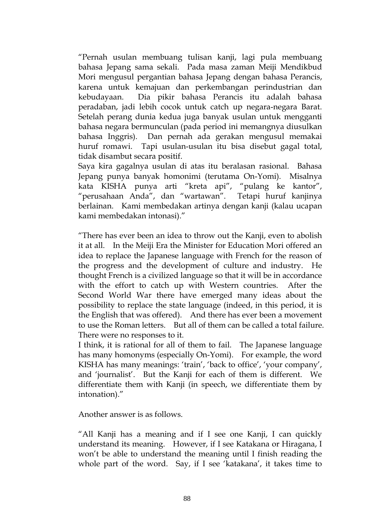"Pernah usulan membuang tulisan kanji, lagi pula membuang bahasa Jepang sama sekali. Pada masa zaman Meiji Mendikbud Mori mengusul pergantian bahasa Jepang dengan bahasa Perancis, karena untuk kemajuan dan perkembangan perindustrian dan kebudayaan. Dia pikir bahasa Perancis itu adalah bahasa peradaban, jadi lebih cocok untuk catch up negara-negara Barat. Setelah perang dunia kedua juga banyak usulan untuk mengganti bahasa negara bermunculan (pada period ini memangnya diusulkan bahasa Inggris). Dan pernah ada gerakan mengusul memakai huruf romawi. Tapi usulan-usulan itu bisa disebut gagal total, tidak disambut secara positif.

Saya kira gagalnya usulan di atas itu beralasan rasional. Bahasa Jepang punya banyak homonimi (terutama On-Yomi). Misalnya kata KISHA punya arti "kreta api", "pulang ke kantor", "perusahaan Anda", dan "wartawan". Tetapi huruf kanjinya berlainan. Kami membedakan artinya dengan kanji (kalau ucapan kami membedakan intonasi)."

"There has ever been an idea to throw out the Kanji, even to abolish it at all. In the Meiji Era the Minister for Education Mori offered an idea to replace the Japanese language with French for the reason of the progress and the development of culture and industry. He thought French is a civilized language so that it will be in accordance with the effort to catch up with Western countries. After the Second World War there have emerged many ideas about the possibility to replace the state language (indeed, in this period, it is the English that was offered). And there has ever been a movement to use the Roman letters. But all of them can be called a total failure. There were no responses to it.

I think, it is rational for all of them to fail. The Japanese language has many homonyms (especially On-Yomi). For example, the word KISHA has many meanings: 'train', 'back to office', 'your company', and 'journalist'. But the Kanji for each of them is different. We differentiate them with Kanji (in speech, we differentiate them by intonation)."

Another answer is as follows.

"All Kanji has a meaning and if I see one Kanji, I can quickly understand its meaning. However, if I see Katakana or Hiragana, I won't be able to understand the meaning until I finish reading the whole part of the word. Say, if I see 'katakana', it takes time to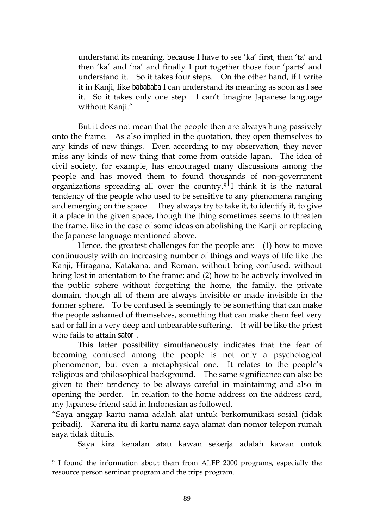understand its meaning, because I have to see 'ka' first, then 'ta' and then 'ka' and 'na' and finally I put together those four 'parts' and understand it. So it takes four steps. On the other hand, if I write it in Kanji, like *babababa* I can understand its meaning as soon as I see it. So it takes only one step. I can't imagine Japanese language without Kanji."

But it does not mean that the people then are always hung passively onto the frame. As also implied in the quotation, they open themselves to any kinds of new things. Even according to my observation, they never miss any kinds of new thing that come from outside Japan. The idea of civil society, for example, has encouraged many discussions among the people and has moved them to found thousands of non-government organizations spreading all over the country.9 I think it is the natural tendency of the people who used to be sensitive to any phenomena ranging and emerging on the space. They always try to take it, to identify it, to give it a place in the given space, though the thing sometimes seems to threaten the frame, like in the case of some ideas on abolishing the Kanji or replacing the Japanese language mentioned above.

Hence, the greatest challenges for the people are: (1) how to move continuously with an increasing number of things and ways of life like the Kanji, Hiragana, Katakana, and Roman, without being confused, without being lost in orientation to the frame; and (2) how to be actively involved in the public sphere without forgetting the home, the family, the private domain, though all of them are always invisible or made invisible in the former sphere. To be confused is seemingly to be something that can make the people ashamed of themselves, something that can make them feel very sad or fall in a very deep and unbearable suffering. It will be like the priest who fails to attain *satori*.

This latter possibility simultaneously indicates that the fear of becoming confused among the people is not only a psychological phenomenon, but even a metaphysical one. It relates to the people's religious and philosophical background. The same significance can also be given to their tendency to be always careful in maintaining and also in opening the border. In relation to the home address on the address card, my Japanese friend said in Indonesian as followed.

"Saya anggap kartu nama adalah alat untuk berkomunikasi sosial (tidak pribadi). Karena itu di kartu nama saya alamat dan nomor telepon rumah saya tidak ditulis.

Saya kira kenalan atau kawan sekerja adalah kawan untuk

<sup>&</sup>lt;sup>9</sup> I found the information about them from ALFP 2000 programs, especially the resource person seminar program and the trips program.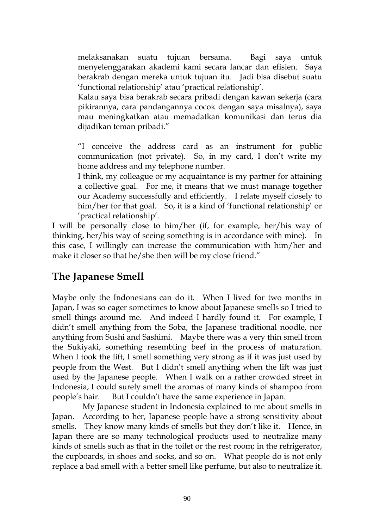melaksanakan suatu tujuan bersama. Bagi saya untuk menyelenggarakan akademi kami secara lancar dan efisien. Saya berakrab dengan mereka untuk tujuan itu. Jadi bisa disebut suatu 'functional relationship' atau 'practical relationship'.

Kalau saya bisa berakrab secara pribadi dengan kawan sekerja (cara pikirannya, cara pandangannya cocok dengan saya misalnya), saya mau meningkatkan atau memadatkan komunikasi dan terus dia dijadikan teman pribadi."

"I conceive the address card as an instrument for public communication (not private). So, in my card, I don't write my home address and my telephone number.

I think, my colleague or my acquaintance is my partner for attaining a collective goal. For me, it means that we must manage together our Academy successfully and efficiently. I relate myself closely to him/her for that goal. So, it is a kind of 'functional relationship' or 'practical relationship'.

I will be personally close to him/her (if, for example, her/his way of thinking, her/his way of seeing something is in accordance with mine). In this case, I willingly can increase the communication with him/her and make it closer so that he/she then will be my close friend."

#### **The Japanese Smell**

Maybe only the Indonesians can do it. When I lived for two months in Japan, I was so eager sometimes to know about Japanese smells so I tried to smell things around me. And indeed I hardly found it. For example, I didn't smell anything from the Soba, the Japanese traditional noodle, nor anything from Sushi and Sashimi. Maybe there was a very thin smell from the Sukiyaki, something resembling beef in the process of maturation. When I took the lift, I smell something very strong as if it was just used by people from the West. But I didn't smell anything when the lift was just used by the Japanese people. When I walk on a rather crowded street in Indonesia, I could surely smell the aromas of many kinds of shampoo from people's hair. But I couldn't have the same experience in Japan.

 My Japanese student in Indonesia explained to me about smells in Japan. According to her, Japanese people have a strong sensitivity about smells. They know many kinds of smells but they don't like it. Hence, in Japan there are so many technological products used to neutralize many kinds of smells such as that in the toilet or the rest room; in the refrigerator, the cupboards, in shoes and socks, and so on. What people do is not only replace a bad smell with a better smell like perfume, but also to neutralize it.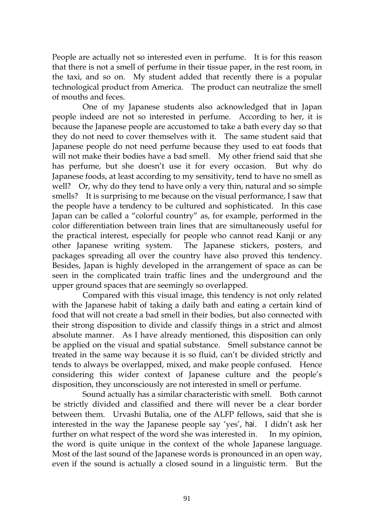People are actually not so interested even in perfume. It is for this reason that there is not a smell of perfume in their tissue paper, in the rest room, in the taxi, and so on. My student added that recently there is a popular technological product from America. The product can neutralize the smell of mouths and feces.

 One of my Japanese students also acknowledged that in Japan people indeed are not so interested in perfume. According to her, it is because the Japanese people are accustomed to take a bath every day so that they do not need to cover themselves with it. The same student said that Japanese people do not need perfume because they used to eat foods that will not make their bodies have a bad smell. My other friend said that she has perfume, but she doesn't use it for every occasion. But why do Japanese foods, at least according to my sensitivity, tend to have no smell as well? Or, why do they tend to have only a very thin, natural and so simple smells? It is surprising to me because on the visual performance, I saw that the people have a tendency to be cultured and sophisticated. In this case Japan can be called a "colorful country" as, for example, performed in the color differentiation between train lines that are simultaneously useful for the practical interest, especially for people who cannot read Kanji or any other Japanese writing system. The Japanese stickers, posters, and packages spreading all over the country have also proved this tendency. Besides, Japan is highly developed in the arrangement of space as can be seen in the complicated train traffic lines and the underground and the upper ground spaces that are seemingly so overlapped.

 Compared with this visual image, this tendency is not only related with the Japanese habit of taking a daily bath and eating a certain kind of food that will not create a bad smell in their bodies, but also connected with their strong disposition to divide and classify things in a strict and almost absolute manner. As I have already mentioned, this disposition can only be applied on the visual and spatial substance. Smell substance cannot be treated in the same way because it is so fluid, can't be divided strictly and tends to always be overlapped, mixed, and make people confused. Hence considering this wider context of Japanese culture and the people's disposition, they unconsciously are not interested in smell or perfume.

Sound actually has a similar characteristic with smell. Both cannot be strictly divided and classified and there will never be a clear border between them. Urvashi Butalia, one of the ALFP fellows, said that she is interested in the way the Japanese people say 'yes', *hai*. I didn't ask her further on what respect of the word she was interested in. In my opinion, the word is quite unique in the context of the whole Japanese language. Most of the last sound of the Japanese words is pronounced in an open way, even if the sound is actually a closed sound in a linguistic term. But the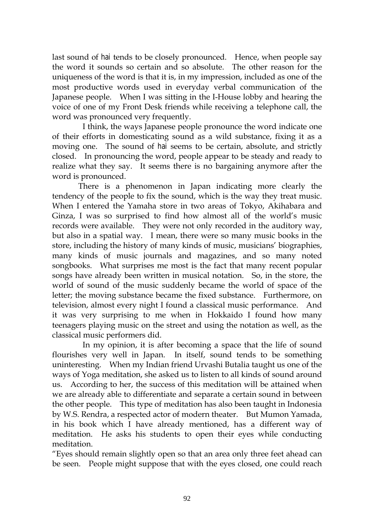last sound of *hai* tends to be closely pronounced. Hence, when people say the word it sounds so certain and so absolute. The other reason for the uniqueness of the word is that it is, in my impression, included as one of the most productive words used in everyday verbal communication of the Japanese people. When I was sitting in the I-House lobby and hearing the voice of one of my Front Desk friends while receiving a telephone call, the word was pronounced very frequently.

 I think, the ways Japanese people pronounce the word indicate one of their efforts in domesticating sound as a wild substance, fixing it as a moving one. The sound of *hai* seems to be certain, absolute, and strictly closed. In pronouncing the word, people appear to be steady and ready to realize what they say. It seems there is no bargaining anymore after the word is pronounced.

There is a phenomenon in Japan indicating more clearly the tendency of the people to fix the sound, which is the way they treat music. When I entered the Yamaha store in two areas of Tokyo, Akihabara and Ginza, I was so surprised to find how almost all of the world's music records were available. They were not only recorded in the auditory way, but also in a spatial way. I mean, there were so many music books in the store, including the history of many kinds of music, musicians' biographies, many kinds of music journals and magazines, and so many noted songbooks. What surprises me most is the fact that many recent popular songs have already been written in musical notation. So, in the store, the world of sound of the music suddenly became the world of space of the letter; the moving substance became the fixed substance. Furthermore, on television, almost every night I found a classical music performance. And it was very surprising to me when in Hokkaido I found how many teenagers playing music on the street and using the notation as well, as the classical music performers did.

 In my opinion, it is after becoming a space that the life of sound flourishes very well in Japan. In itself, sound tends to be something uninteresting. When my Indian friend Urvashi Butalia taught us one of the ways of Yoga meditation, she asked us to listen to all kinds of sound around us. According to her, the success of this meditation will be attained when we are already able to differentiate and separate a certain sound in between the other people. This type of meditation has also been taught in Indonesia by W.S. Rendra, a respected actor of modern theater. But Mumon Yamada, in his book which I have already mentioned, has a different way of meditation. He asks his students to open their eyes while conducting meditation.

"Eyes should remain slightly open so that an area only three feet ahead can be seen. People might suppose that with the eyes closed, one could reach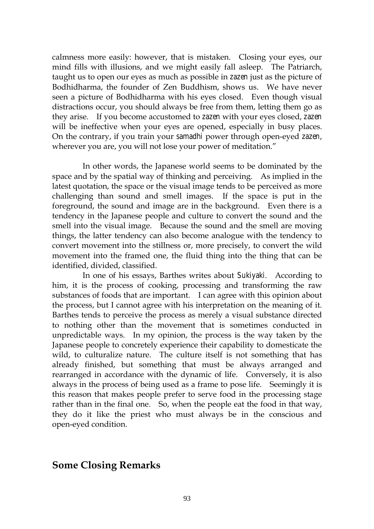calmness more easily: however, that is mistaken. Closing your eyes, our mind fills with illusions, and we might easily fall asleep. The Patriarch, taught us to open our eyes as much as possible in *zazen* just as the picture of Bodhidharma, the founder of Zen Buddhism, shows us. We have never seen a picture of Bodhidharma with his eyes closed. Even though visual distractions occur, you should always be free from them, letting them go as they arise. If you become accustomed to *zazen* with your eyes closed, *zazen*  will be ineffective when your eyes are opened, especially in busy places. On the contrary, if you train your *samadhi* power through open-eyed *zazen*, wherever you are, you will not lose your power of meditation."

 In other words, the Japanese world seems to be dominated by the space and by the spatial way of thinking and perceiving. As implied in the latest quotation, the space or the visual image tends to be perceived as more challenging than sound and smell images. If the space is put in the foreground, the sound and image are in the background. Even there is a tendency in the Japanese people and culture to convert the sound and the smell into the visual image. Because the sound and the smell are moving things, the latter tendency can also become analogue with the tendency to convert movement into the stillness or, more precisely, to convert the wild movement into the framed one, the fluid thing into the thing that can be identified, divided, classified.

 In one of his essays, Barthes writes about *Sukiyaki*. According to him, it is the process of cooking, processing and transforming the raw substances of foods that are important. I can agree with this opinion about the process, but I cannot agree with his interpretation on the meaning of it. Barthes tends to perceive the process as merely a visual substance directed to nothing other than the movement that is sometimes conducted in unpredictable ways. In my opinion, the process is the way taken by the Japanese people to concretely experience their capability to domesticate the wild, to culturalize nature. The culture itself is not something that has already finished, but something that must be always arranged and rearranged in accordance with the dynamic of life. Conversely, it is also always in the process of being used as a frame to pose life. Seemingly it is this reason that makes people prefer to serve food in the processing stage rather than in the final one. So, when the people eat the food in that way, they do it like the priest who must always be in the conscious and open-eyed condition.

#### **Some Closing Remarks**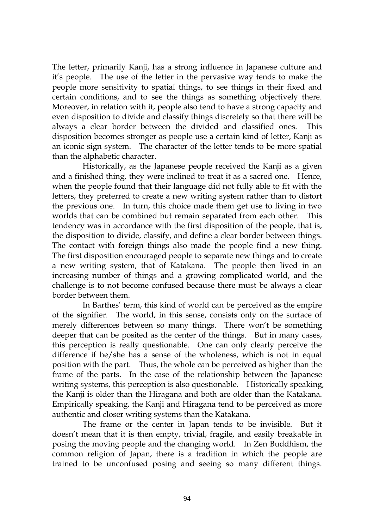The letter, primarily Kanji, has a strong influence in Japanese culture and it's people. The use of the letter in the pervasive way tends to make the people more sensitivity to spatial things, to see things in their fixed and certain conditions, and to see the things as something objectively there. Moreover, in relation with it, people also tend to have a strong capacity and even disposition to divide and classify things discretely so that there will be always a clear border between the divided and classified ones. This disposition becomes stronger as people use a certain kind of letter, Kanji as an iconic sign system. The character of the letter tends to be more spatial than the alphabetic character.

 Historically, as the Japanese people received the Kanji as a given and a finished thing, they were inclined to treat it as a sacred one. Hence, when the people found that their language did not fully able to fit with the letters, they preferred to create a new writing system rather than to distort the previous one. In turn, this choice made them get use to living in two worlds that can be combined but remain separated from each other. This tendency was in accordance with the first disposition of the people, that is, the disposition to divide, classify, and define a clear border between things. The contact with foreign things also made the people find a new thing. The first disposition encouraged people to separate new things and to create a new writing system, that of Katakana. The people then lived in an increasing number of things and a growing complicated world, and the challenge is to not become confused because there must be always a clear border between them.

 In Barthes' term, this kind of world can be perceived as the empire of the signifier. The world, in this sense, consists only on the surface of merely differences between so many things. There won't be something deeper that can be posited as the center of the things. But in many cases, this perception is really questionable. One can only clearly perceive the difference if he/she has a sense of the wholeness, which is not in equal position with the part. Thus, the whole can be perceived as higher than the frame of the parts. In the case of the relationship between the Japanese writing systems, this perception is also questionable. Historically speaking, the Kanji is older than the Hiragana and both are older than the Katakana. Empirically speaking, the Kanji and Hiragana tend to be perceived as more authentic and closer writing systems than the Katakana.

 The frame or the center in Japan tends to be invisible. But it doesn't mean that it is then empty, trivial, fragile, and easily breakable in posing the moving people and the changing world. In Zen Buddhism, the common religion of Japan, there is a tradition in which the people are trained to be unconfused posing and seeing so many different things.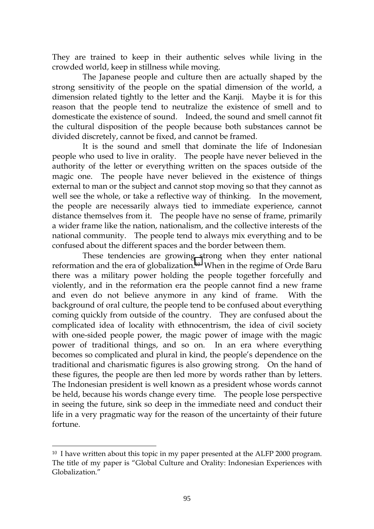They are trained to keep in their authentic selves while living in the crowded world, keep in stillness while moving.

 The Japanese people and culture then are actually shaped by the strong sensitivity of the people on the spatial dimension of the world, a dimension related tightly to the letter and the Kanji. Maybe it is for this reason that the people tend to neutralize the existence of smell and to domesticate the existence of sound. Indeed, the sound and smell cannot fit the cultural disposition of the people because both substances cannot be divided discretely, cannot be fixed, and cannot be framed.

 It is the sound and smell that dominate the life of Indonesian people who used to live in orality. The people have never believed in the authority of the letter or everything written on the spaces outside of the magic one. The people have never believed in the existence of things external to man or the subject and cannot stop moving so that they cannot as well see the whole, or take a reflective way of thinking. In the movement, the people are necessarily always tied to immediate experience, cannot distance themselves from it. The people have no sense of frame, primarily a wider frame like the nation, nationalism, and the collective interests of the national community. The people tend to always mix everything and to be confused about the different spaces and the border between them.

 These tendencies are growing strong when they enter national reformation and the era of globalization.10 When in the regime of Orde Baru there was a military power holding the people together forcefully and violently, and in the reformation era the people cannot find a new frame and even do not believe anymore in any kind of frame. With the background of oral culture, the people tend to be confused about everything coming quickly from outside of the country. They are confused about the complicated idea of locality with ethnocentrism, the idea of civil society with one-sided people power, the magic power of image with the magic power of traditional things, and so on. In an era where everything becomes so complicated and plural in kind, the people's dependence on the traditional and charismatic figures is also growing strong. On the hand of these figures, the people are then led more by words rather than by letters. The Indonesian president is well known as a president whose words cannot be held, because his words change every time. The people lose perspective in seeing the future, sink so deep in the immediate need and conduct their life in a very pragmatic way for the reason of the uncertainty of their future fortune.

 $10$  I have written about this topic in my paper presented at the ALFP 2000 program. The title of my paper is "Global Culture and Orality: Indonesian Experiences with Globalization."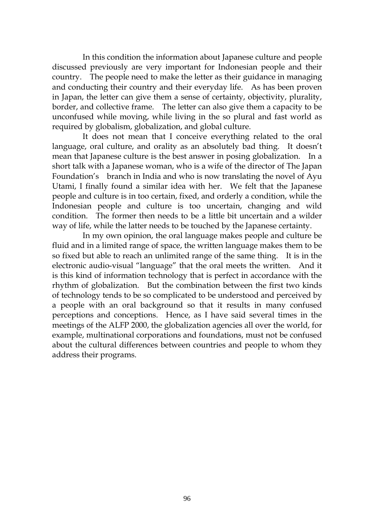In this condition the information about Japanese culture and people discussed previously are very important for Indonesian people and their country. The people need to make the letter as their guidance in managing and conducting their country and their everyday life. As has been proven in Japan, the letter can give them a sense of certainty, objectivity, plurality, border, and collective frame. The letter can also give them a capacity to be unconfused while moving, while living in the so plural and fast world as required by globalism, globalization, and global culture.

 It does not mean that I conceive everything related to the oral language, oral culture, and orality as an absolutely bad thing. It doesn't mean that Japanese culture is the best answer in posing globalization. In a short talk with a Japanese woman, who is a wife of the director of The Japan Foundation's branch in India and who is now translating the novel of Ayu Utami, I finally found a similar idea with her. We felt that the Japanese people and culture is in too certain, fixed, and orderly a condition, while the Indonesian people and culture is too uncertain, changing and wild condition. The former then needs to be a little bit uncertain and a wilder way of life, while the latter needs to be touched by the Japanese certainty.

 In my own opinion, the oral language makes people and culture be fluid and in a limited range of space, the written language makes them to be so fixed but able to reach an unlimited range of the same thing. It is in the electronic audio-visual "language" that the oral meets the written. And it is this kind of information technology that is perfect in accordance with the rhythm of globalization. But the combination between the first two kinds of technology tends to be so complicated to be understood and perceived by a people with an oral background so that it results in many confused perceptions and conceptions. Hence, as I have said several times in the meetings of the ALFP 2000, the globalization agencies all over the world, for example, multinational corporations and foundations, must not be confused about the cultural differences between countries and people to whom they address their programs.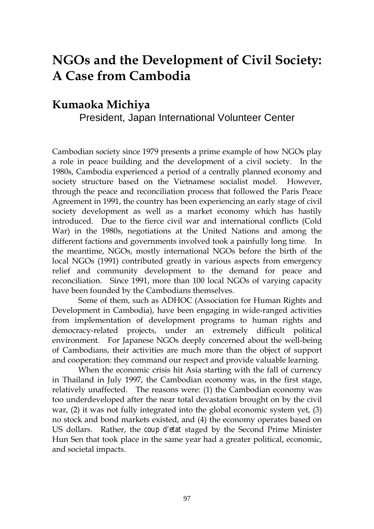# **NGOs and the Development of Civil Society: A Case from Cambodia**

### **Kumaoka Michiya** President, Japan International Volunteer Center

Cambodian society since 1979 presents a prime example of how NGOs play a role in peace building and the development of a civil society. In the 1980s, Cambodia experienced a period of a centrally planned economy and society structure based on the Vietnamese socialist model. However, through the peace and reconciliation process that followed the Paris Peace Agreement in 1991, the country has been experiencing an early stage of civil society development as well as a market economy which has hastily introduced. Due to the fierce civil war and international conflicts (Cold War) in the 1980s, negotiations at the United Nations and among the different factions and governments involved took a painfully long time. In the meantime, NGOs, mostly international NGOs before the birth of the local NGOs (1991) contributed greatly in various aspects from emergency relief and community development to the demand for peace and reconciliation. Since 1991, more than 100 local NGOs of varying capacity have been founded by the Cambodians themselves.

Some of them, such as ADHOC (Association for Human Rights and Development in Cambodia), have been engaging in wide-ranged activities from implementation of development programs to human rights and democracy-related projects, under an extremely difficult political environment. For Japanese NGOs deeply concerned about the well-being of Cambodians, their activities are much more than the object of support and cooperation: they command our respect and provide valuable learning.

When the economic crisis hit Asia starting with the fall of currency in Thailand in July 1997, the Cambodian economy was, in the first stage, relatively unaffected. The reasons were: (1) the Cambodian economy was too underdeveloped after the near total devastation brought on by the civil war, (2) it was not fully integrated into the global economic system yet, (3) no stock and bond markets existed, and (4) the economy operates based on US dollars. Rather, the *coup d'etat* staged by the Second Prime Minister Hun Sen that took place in the same year had a greater political, economic, and societal impacts.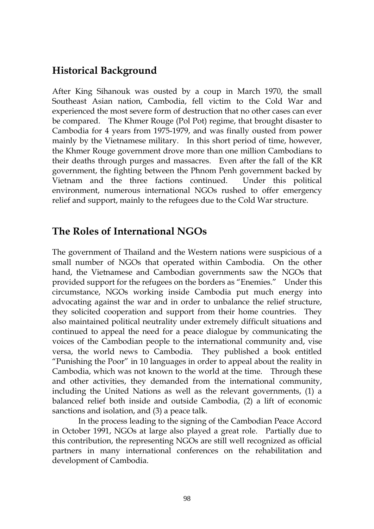### **Historical Background**

After King Sihanouk was ousted by a coup in March 1970, the small Southeast Asian nation, Cambodia, fell victim to the Cold War and experienced the most severe form of destruction that no other cases can ever be compared. The Khmer Rouge (Pol Pot) regime, that brought disaster to Cambodia for 4 years from 1975-1979, and was finally ousted from power mainly by the Vietnamese military. In this short period of time, however, the Khmer Rouge government drove more than one million Cambodians to their deaths through purges and massacres. Even after the fall of the KR government, the fighting between the Phnom Penh government backed by Vietnam and the three factions continued. Under this political environment, numerous international NGOs rushed to offer emergency relief and support, mainly to the refugees due to the Cold War structure.

### **The Roles of International NGOs**

The government of Thailand and the Western nations were suspicious of a small number of NGOs that operated within Cambodia. On the other hand, the Vietnamese and Cambodian governments saw the NGOs that provided support for the refugees on the borders as "Enemies." Under this circumstance, NGOs working inside Cambodia put much energy into advocating against the war and in order to unbalance the relief structure, they solicited cooperation and support from their home countries. They also maintained political neutrality under extremely difficult situations and continued to appeal the need for a peace dialogue by communicating the voices of the Cambodian people to the international community and, vise versa, the world news to Cambodia. They published a book entitled "Punishing the Poor" in 10 languages in order to appeal about the reality in Cambodia, which was not known to the world at the time. Through these and other activities, they demanded from the international community, including the United Nations as well as the relevant governments, (1) a balanced relief both inside and outside Cambodia, (2) a lift of economic sanctions and isolation, and (3) a peace talk.

In the process leading to the signing of the Cambodian Peace Accord in October 1991, NGOs at large also played a great role. Partially due to this contribution, the representing NGOs are still well recognized as official partners in many international conferences on the rehabilitation and development of Cambodia.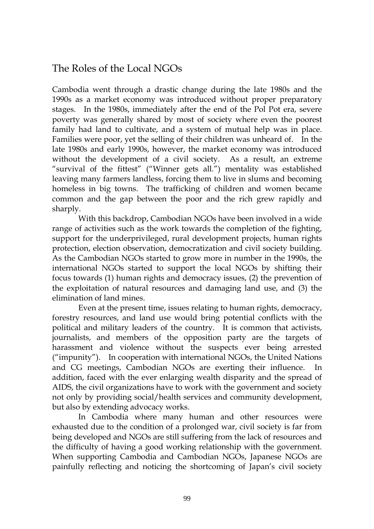### The Roles of the Local NGOs

Cambodia went through a drastic change during the late 1980s and the 1990s as a market economy was introduced without proper preparatory stages. In the 1980s, immediately after the end of the Pol Pot era, severe poverty was generally shared by most of society where even the poorest family had land to cultivate, and a system of mutual help was in place. Families were poor, yet the selling of their children was unheard of. In the late 1980s and early 1990s, however, the market economy was introduced without the development of a civil society. As a result, an extreme "survival of the fittest" ("Winner gets all.") mentality was established leaving many farmers landless, forcing them to live in slums and becoming homeless in big towns. The trafficking of children and women became common and the gap between the poor and the rich grew rapidly and sharply.

With this backdrop, Cambodian NGOs have been involved in a wide range of activities such as the work towards the completion of the fighting, support for the underprivileged, rural development projects, human rights protection, election observation, democratization and civil society building. As the Cambodian NGOs started to grow more in number in the 1990s, the international NGOs started to support the local NGOs by shifting their focus towards (1) human rights and democracy issues, (2) the prevention of the exploitation of natural resources and damaging land use, and (3) the elimination of land mines.

Even at the present time, issues relating to human rights, democracy, forestry resources, and land use would bring potential conflicts with the political and military leaders of the country. It is common that activists, journalists, and members of the opposition party are the targets of harassment and violence without the suspects ever being arrested ("impunity"). In cooperation with international NGOs, the United Nations and CG meetings, Cambodian NGOs are exerting their influence. In addition, faced with the ever enlarging wealth disparity and the spread of AIDS, the civil organizations have to work with the government and society not only by providing social/health services and community development, but also by extending advocacy works.

In Cambodia where many human and other resources were exhausted due to the condition of a prolonged war, civil society is far from being developed and NGOs are still suffering from the lack of resources and the difficulty of having a good working relationship with the government. When supporting Cambodia and Cambodian NGOs, Japanese NGOs are painfully reflecting and noticing the shortcoming of Japan's civil society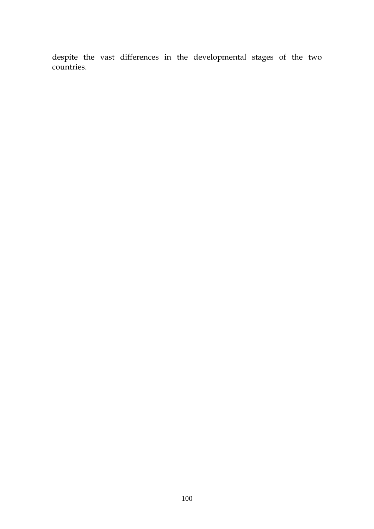despite the vast differences in the developmental stages of the two countries.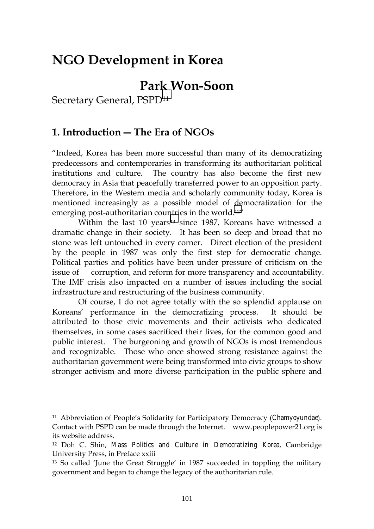# **NGO Development in Korea**

# **Park Won-Soon**

Secretary General, PSPD11

 $\overline{a}$ 

### **1. Introduction ― The Era of NGOs**

"Indeed, Korea has been more successful than many of its democratizing predecessors and contemporaries in transforming its authoritarian political institutions and culture. The country has also become the first new democracy in Asia that peacefully transferred power to an opposition party. Therefore, in the Western media and scholarly community today, Korea is mentioned increasingly as a possible model of democratization for the emerging post-authoritarian countries in the world.12"

Within the last 10 years<sup>13</sup> since 1987, Koreans have witnessed a dramatic change in their society. It has been so deep and broad that no stone was left untouched in every corner. Direct election of the president by the people in 1987 was only the first step for democratic change. Political parties and politics have been under pressure of criticism on the issue of corruption, and reform for more transparency and accountability. The IMF crisis also impacted on a number of issues including the social infrastructure and restructuring of the business community.

Of course, I do not agree totally with the so splendid applause on Koreans' performance in the democratizing process. It should be attributed to those civic movements and their activists who dedicated themselves, in some cases sacrificed their lives, for the common good and public interest. The burgeoning and growth of NGOs is most tremendous and recognizable. Those who once showed strong resistance against the authoritarian government were being transformed into civic groups to show stronger activism and more diverse participation in the public sphere and

<sup>11</sup> Abbreviation of People's Solidarity for Participatory Democracy (*Chamyoyundae*). Contact with PSPD can be made through the Internet. www.peoplepower21.org is its website address.

<sup>12</sup> Doh C. Shin, *Mass Politics and Culture in Democratizing Korea*, Cambridge University Press, in Preface xxiii

<sup>13</sup> So called 'June the Great Struggle' in 1987 succeeded in toppling the military government and began to change the legacy of the authoritarian rule.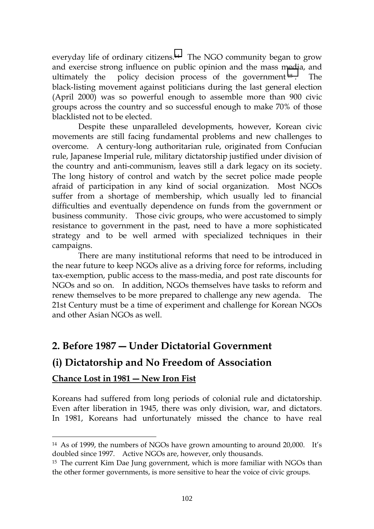everyday life of ordinary citizens.<sup>14</sup> The NGO community began to grow and exercise strong influence on public opinion and the mass media, and ultimately the policy decision process of the government <sup>15</sup> . The black-listing movement against politicians during the last general election (April 2000) was so powerful enough to assemble more than 900 civic groups across the country and so successful enough to make 70% of those blacklisted not to be elected.

Despite these unparalleled developments, however, Korean civic movements are still facing fundamental problems and new challenges to overcome. A century-long authoritarian rule, originated from Confucian rule, Japanese Imperial rule, military dictatorship justified under division of the country and anti-communism, leaves still a dark legacy on its society. The long history of control and watch by the secret police made people afraid of participation in any kind of social organization. Most NGOs suffer from a shortage of membership, which usually led to financial difficulties and eventually dependence on funds from the government or business community. Those civic groups, who were accustomed to simply resistance to government in the past, need to have a more sophisticated strategy and to be well armed with specialized techniques in their campaigns.

There are many institutional reforms that need to be introduced in the near future to keep NGOs alive as a driving force for reforms, including tax-exemption, public access to the mass-media, and post rate discounts for NGOs and so on. In addition, NGOs themselves have tasks to reform and renew themselves to be more prepared to challenge any new agenda. The 21st Century must be a time of experiment and challenge for Korean NGOs and other Asian NGOs as well.

### **2. Before 1987 ― Under Dictatorial Government**

### **(i) Dictatorship and No Freedom of Association**

#### **Chance Lost in 1981 ― New Iron Fist**

 $\overline{a}$ 

Koreans had suffered from long periods of colonial rule and dictatorship. Even after liberation in 1945, there was only division, war, and dictators. In 1981, Koreans had unfortunately missed the chance to have real

<sup>14</sup> As of 1999, the numbers of NGOs have grown amounting to around 20,000. It's doubled since 1997. Active NGOs are, however, only thousands.

<sup>&</sup>lt;sup>15</sup> The current Kim Dae Jung government, which is more familiar with NGOs than the other former governments, is more sensitive to hear the voice of civic groups.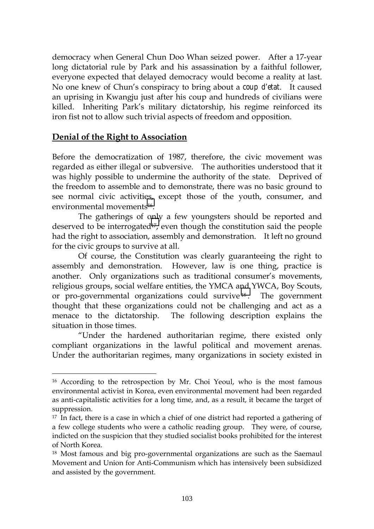democracy when General Chun Doo Whan seized power. After a 17-year long dictatorial rule by Park and his assassination by a faithful follower, everyone expected that delayed democracy would become a reality at last. No one knew of Chun's conspiracy to bring about a *coup d'etat*. It caused an uprising in Kwangju just after his coup and hundreds of civilians were killed. Inheriting Park's military dictatorship, his regime reinforced its iron fist not to allow such trivial aspects of freedom and opposition.

#### **Denial of the Right to Association**

 $\overline{a}$ 

Before the democratization of 1987, therefore, the civic movement was regarded as either illegal or subversive. The authorities understood that it was highly possible to undermine the authority of the state. Deprived of the freedom to assemble and to demonstrate, there was no basic ground to see normal civic activities, except those of the youth, consumer, and environmental movements16.

The gatherings of only a few youngsters should be reported and deserved to be interrogated<sup>17</sup>, even though the constitution said the people had the right to association, assembly and demonstration. It left no ground for the civic groups to survive at all.

Of course, the Constitution was clearly guaranteeing the right to assembly and demonstration. However, law is one thing, practice is another. Only organizations such as traditional consumer's movements, religious groups, social welfare entities, the YMCA and YWCA, Boy Scouts, or pro-governmental organizations could survive <sup>18</sup> . The government thought that these organizations could not be challenging and act as a menace to the dictatorship. The following description explains the situation in those times.

"Under the hardened authoritarian regime, there existed only compliant organizations in the lawful political and movement arenas. Under the authoritarian regimes, many organizations in society existed in

<sup>16</sup> According to the retrospection by Mr. Choi Yeoul, who is the most famous environmental activist in Korea, even environmental movement had been regarded as anti-capitalistic activities for a long time, and, as a result, it became the target of suppression.

<sup>&</sup>lt;sup>17</sup> In fact, there is a case in which a chief of one district had reported a gathering of a few college students who were a catholic reading group. They were, of course, indicted on the suspicion that they studied socialist books prohibited for the interest of North Korea.

<sup>18</sup> Most famous and big pro-governmental organizations are such as the Saemaul Movement and Union for Anti-Communism which has intensively been subsidized and assisted by the government.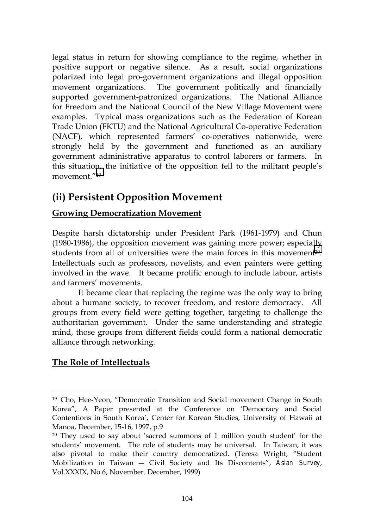legal status in return for showing compliance to the regime, whether in positive support or negative silence. As a result, social organizations polarized into legal pro-government organizations and illegal opposition movement organizations. The government politically and financially supported government-patronized organizations. The National Alliance for Freedom and the National Council of the New Village Movement were examples. Typical mass organizations such as the Federation of Korean Trade Union (FKTU) and the National Agricultural Co-operative Federation (NACF), which represented farmers' co-operatives nationwide, were strongly held by the government and functioned as an auxiliary government administrative apparatus to control laborers or farmers. In this situation, the initiative of the opposition fell to the militant people's movement."19

# **(ii) Persistent Opposition Movement**

#### **Growing Democratization Movement**

Despite harsh dictatorship under President Park (1961-1979) and Chun (1980-1986), the opposition movement was gaining more power; especially students from all of universities were the main forces in this movement20. Intellectuals such as professors, novelists, and even painters were getting involved in the wave. It became prolific enough to include labour, artists and farmers' movements.

It became clear that replacing the regime was the only way to bring about a humane society, to recover freedom, and restore democracy. All groups from every field were getting together, targeting to challenge the authoritarian government. Under the same understanding and strategic mind, those groups from different fields could form a national democratic alliance through networking.

#### **The Role of Intellectuals**

<sup>19</sup> Cho, Hee-Yeon, "Democratic Transition and Social movement Change in South Korea", A Paper presented at the Conference on 'Democracy and Social Contentions in South Korea', Center for Korean Studies, University of Hawaii at Manoa, December, 15-16, 1997, p.9

<sup>20</sup> They used to say about 'sacred summons of 1 million youth student' for the students' movement. The role of students may be universal. In Taiwan, it was also pivotal to make their country democratized. (Teresa Wright, "Student Mobilization in Taiwan ― Civil Society and Its Discontents", *Asian Survey*, Vol.XXXIX, No.6, November. December, 1999)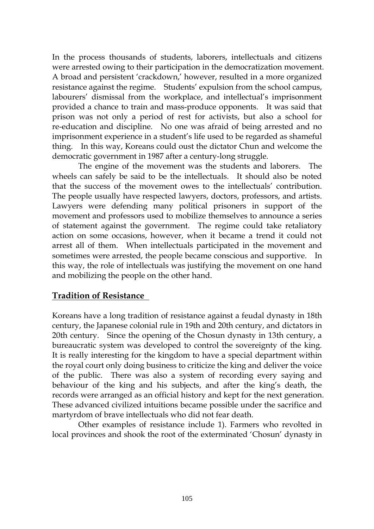In the process thousands of students, laborers, intellectuals and citizens were arrested owing to their participation in the democratization movement. A broad and persistent 'crackdown,' however, resulted in a more organized resistance against the regime. Students' expulsion from the school campus, labourers' dismissal from the workplace, and intellectual's imprisonment provided a chance to train and mass-produce opponents. It was said that prison was not only a period of rest for activists, but also a school for re-education and discipline. No one was afraid of being arrested and no imprisonment experience in a student's life used to be regarded as shameful thing. In this way, Koreans could oust the dictator Chun and welcome the democratic government in 1987 after a century-long struggle.

The engine of the movement was the students and laborers. The wheels can safely be said to be the intellectuals. It should also be noted that the success of the movement owes to the intellectuals' contribution. The people usually have respected lawyers, doctors, professors, and artists. Lawyers were defending many political prisoners in support of the movement and professors used to mobilize themselves to announce a series of statement against the government. The regime could take retaliatory action on some occasions, however, when it became a trend it could not arrest all of them. When intellectuals participated in the movement and sometimes were arrested, the people became conscious and supportive. In this way, the role of intellectuals was justifying the movement on one hand and mobilizing the people on the other hand.

#### **Tradition of Resistance**

Koreans have a long tradition of resistance against a feudal dynasty in 18th century, the Japanese colonial rule in 19th and 20th century, and dictators in 20th century. Since the opening of the Chosun dynasty in 13th century, a bureaucratic system was developed to control the sovereignty of the king. It is really interesting for the kingdom to have a special department within the royal court only doing business to criticize the king and deliver the voice of the public. There was also a system of recording every saying and behaviour of the king and his subjects, and after the king's death, the records were arranged as an official history and kept for the next generation. These advanced civilized intuitions became possible under the sacrifice and martyrdom of brave intellectuals who did not fear death.

Other examples of resistance include 1). Farmers who revolted in local provinces and shook the root of the exterminated 'Chosun' dynasty in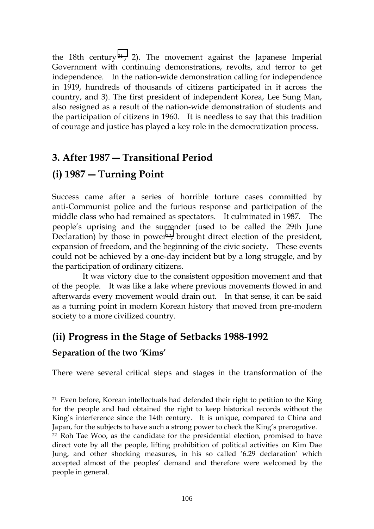the 18th century  $21$ ; 2). The movement against the Japanese Imperial Government with continuing demonstrations, revolts, and terror to get independence. In the nation-wide demonstration calling for independence in 1919, hundreds of thousands of citizens participated in it across the country, and 3). The first president of independent Korea, Lee Sung Man, also resigned as a result of the nation-wide demonstration of students and the participation of citizens in 1960. It is needless to say that this tradition of courage and justice has played a key role in the democratization process.

# **3. After 1987 ― Transitional Period**

## **(i) 1987 ― Turning Point**

 $\overline{a}$ 

Success came after a series of horrible torture cases committed by anti-Communist police and the furious response and participation of the middle class who had remained as spectators. It culminated in 1987. The people's uprising and the surrender (used to be called the 29th June Declaration) by those in power $2$ ; brought direct election of the president, expansion of freedom, and the beginning of the civic society. These events could not be achieved by a one-day incident but by a long struggle, and by the participation of ordinary citizens.

 It was victory due to the consistent opposition movement and that of the people. It was like a lake where previous movements flowed in and afterwards every movement would drain out. In that sense, it can be said as a turning point in modern Korean history that moved from pre-modern society to a more civilized country.

# **(ii) Progress in the Stage of Setbacks 1988-1992 Separation of the two 'Kims'**

There were several critical steps and stages in the transformation of the

<sup>21</sup> Even before, Korean intellectuals had defended their right to petition to the King for the people and had obtained the right to keep historical records without the King's interference since the 14th century. It is unique, compared to China and Japan, for the subjects to have such a strong power to check the King's prerogative.

<sup>22</sup> Roh Tae Woo, as the candidate for the presidential election, promised to have direct vote by all the people, lifting prohibition of political activities on Kim Dae Jung, and other shocking measures, in his so called '6.29 declaration' which accepted almost of the peoples' demand and therefore were welcomed by the people in general.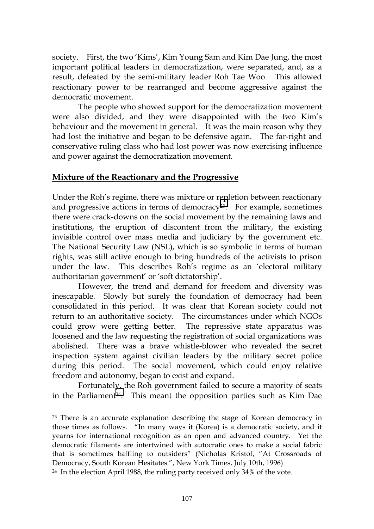society. First, the two 'Kims', Kim Young Sam and Kim Dae Jung, the most important political leaders in democratization, were separated, and, as a result, defeated by the semi-military leader Roh Tae Woo. This allowed reactionary power to be rearranged and become aggressive against the democratic movement.

The people who showed support for the democratization movement were also divided, and they were disappointed with the two Kim's behaviour and the movement in general. It was the main reason why they had lost the initiative and began to be defensive again. The far-right and conservative ruling class who had lost power was now exercising influence and power against the democratization movement.

#### **Mixture of the Reactionary and the Progressive**

Under the Roh's regime, there was mixture or repletion between reactionary and progressive actions in terms of democracy<sup>23</sup>. For example, sometimes there were crack-downs on the social movement by the remaining laws and institutions, the eruption of discontent from the military, the existing invisible control over mass media and judiciary by the government etc. The National Security Law (NSL), which is so symbolic in terms of human rights, was still active enough to bring hundreds of the activists to prison under the law. This describes Roh's regime as an 'electoral military authoritarian government' or 'soft dictatorship'.

However, the trend and demand for freedom and diversity was inescapable. Slowly but surely the foundation of democracy had been consolidated in this period. It was clear that Korean society could not return to an authoritative society. The circumstances under which NGOs could grow were getting better. The repressive state apparatus was loosened and the law requesting the registration of social organizations was abolished. There was a brave whistle-blower who revealed the secret inspection system against civilian leaders by the military secret police during this period. The social movement, which could enjoy relative freedom and autonomy, began to exist and expand.

Fortunately, the Roh government failed to secure a majority of seats in the Parliament<sup>24</sup>. This meant the opposition parties such as Kim Dae

 $23$  There is an accurate explanation describing the stage of Korean democracy in those times as follows. "In many ways it (Korea) is a democratic society, and it yearns for international recognition as an open and advanced country. Yet the democratic filaments are intertwined with autocratic ones to make a social fabric that is sometimes baffling to outsiders" (Nicholas Kristof, "At Crossroads of Democracy, South Korean Hesitates.", New York Times, July 10th, 1996)

<sup>&</sup>lt;sup>24</sup> In the election April 1988, the ruling party received only 34% of the vote.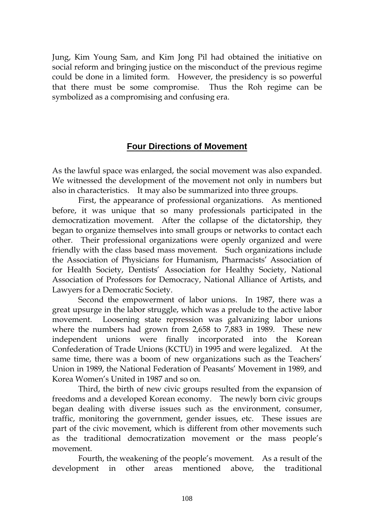Jung, Kim Young Sam, and Kim Jong Pil had obtained the initiative on social reform and bringing justice on the misconduct of the previous regime could be done in a limited form. However, the presidency is so powerful that there must be some compromise. Thus the Roh regime can be symbolized as a compromising and confusing era.

#### **Four Directions of Movement**

As the lawful space was enlarged, the social movement was also expanded. We witnessed the development of the movement not only in numbers but also in characteristics. It may also be summarized into three groups.

First, the appearance of professional organizations. As mentioned before, it was unique that so many professionals participated in the democratization movement. After the collapse of the dictatorship, they began to organize themselves into small groups or networks to contact each other. Their professional organizations were openly organized and were friendly with the class based mass movement. Such organizations include the Association of Physicians for Humanism, Pharmacists' Association of for Health Society, Dentists' Association for Healthy Society, National Association of Professors for Democracy, National Alliance of Artists, and Lawyers for a Democratic Society.

Second the empowerment of labor unions. In 1987, there was a great upsurge in the labor struggle, which was a prelude to the active labor movement. Loosening state repression was galvanizing labor unions where the numbers had grown from 2,658 to 7,883 in 1989. These new independent unions were finally incorporated into the Korean Confederation of Trade Unions (KCTU) in 1995 and were legalized. At the same time, there was a boom of new organizations such as the Teachers' Union in 1989, the National Federation of Peasants' Movement in 1989, and Korea Women's United in 1987 and so on.

Third, the birth of new civic groups resulted from the expansion of freedoms and a developed Korean economy. The newly born civic groups began dealing with diverse issues such as the environment, consumer, traffic, monitoring the government, gender issues, etc. These issues are part of the civic movement, which is different from other movements such as the traditional democratization movement or the mass people's movement.

Fourth, the weakening of the people's movement. As a result of the development in other areas mentioned above, the traditional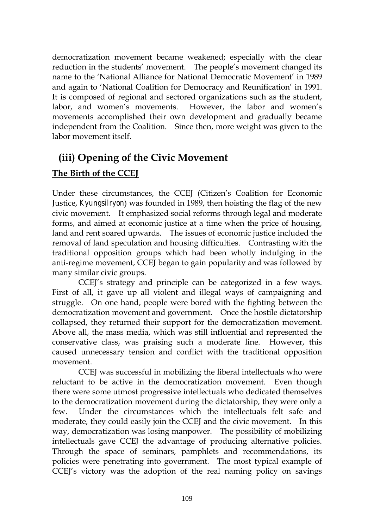democratization movement became weakened; especially with the clear reduction in the students' movement. The people's movement changed its name to the 'National Alliance for National Democratic Movement' in 1989 and again to 'National Coalition for Democracy and Reunification' in 1991. It is composed of regional and sectored organizations such as the student, labor, and women's movements. However, the labor and women's movements accomplished their own development and gradually became independent from the Coalition. Since then, more weight was given to the labor movement itself.

# **(iii) Opening of the Civic Movement**

#### **The Birth of the CCEJ**

Under these circumstances, the CCEJ (Citizen's Coalition for Economic Justice, *Kyungsilryon*) was founded in 1989, then hoisting the flag of the new civic movement. It emphasized social reforms through legal and moderate forms, and aimed at economic justice at a time when the price of housing, land and rent soared upwards. The issues of economic justice included the removal of land speculation and housing difficulties. Contrasting with the traditional opposition groups which had been wholly indulging in the anti-regime movement, CCEJ began to gain popularity and was followed by many similar civic groups.

CCEJ's strategy and principle can be categorized in a few ways. First of all, it gave up all violent and illegal ways of campaigning and struggle. On one hand, people were bored with the fighting between the democratization movement and government. Once the hostile dictatorship collapsed, they returned their support for the democratization movement. Above all, the mass media, which was still influential and represented the conservative class, was praising such a moderate line. However, this caused unnecessary tension and conflict with the traditional opposition movement.

CCEJ was successful in mobilizing the liberal intellectuals who were reluctant to be active in the democratization movement. Even though there were some utmost progressive intellectuals who dedicated themselves to the democratization movement during the dictatorship, they were only a few. Under the circumstances which the intellectuals felt safe and moderate, they could easily join the CCEJ and the civic movement. In this way, democratization was losing manpower. The possibility of mobilizing intellectuals gave CCEJ the advantage of producing alternative policies. Through the space of seminars, pamphlets and recommendations, its policies were penetrating into government. The most typical example of CCEJ's victory was the adoption of the real naming policy on savings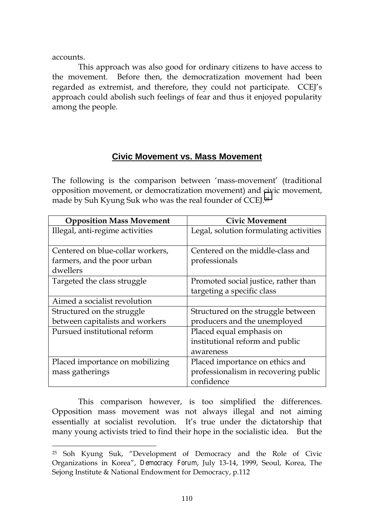accounts.

 $\overline{a}$ 

This approach was also good for ordinary citizens to have access to the movement. Before then, the democratization movement had been regarded as extremist, and therefore, they could not participate. CCEJ's approach could abolish such feelings of fear and thus it enjoyed popularity among the people.

#### **Civic Movement vs. Mass Movement**

The following is the comparison between 'mass-movement' (traditional opposition movement, or democratization movement) and civic movement, made by Suh Kyung Suk who was the real founder of CCEJ.25

| <b>Opposition Mass Movement</b>  | <b>Civic Movement</b>                  |
|----------------------------------|----------------------------------------|
| Illegal, anti-regime activities  | Legal, solution formulating activities |
|                                  |                                        |
| Centered on blue-collar workers, | Centered on the middle-class and       |
| farmers, and the poor urban      | professionals                          |
| dwellers                         |                                        |
| Targeted the class struggle      | Promoted social justice, rather than   |
|                                  | targeting a specific class             |
| Aimed a socialist revolution     |                                        |
| Structured on the struggle       | Structured on the struggle between     |
| between capitalists and workers  | producers and the unemployed           |
| Pursued institutional reform     | Placed equal emphasis on               |
|                                  | institutional reform and public        |
|                                  | awareness                              |
| Placed importance on mobilizing  | Placed importance on ethics and        |
| mass gatherings                  | professionalism in recovering public   |
|                                  | confidence                             |

This comparison however, is too simplified the differences. Opposition mass movement was not always illegal and not aiming essentially at socialist revolution. It's true under the dictatorship that many young activists tried to find their hope in the socialistic idea. But the

<sup>25</sup> Soh Kyung Suk, "Development of Democracy and the Role of Civic Organizations in Korea", *Democracy Forum*, July 13-14, 1999, Seoul, Korea, The Sejong Institute & National Endowment for Democracy, p.112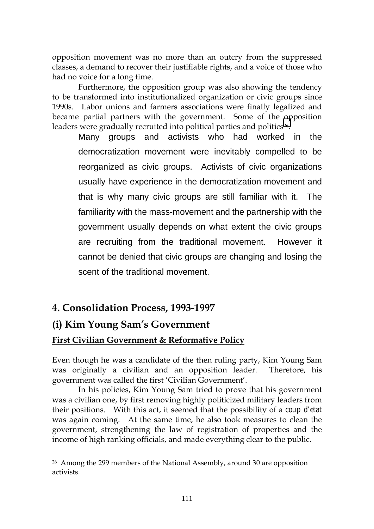opposition movement was no more than an outcry from the suppressed classes, a demand to recover their justifiable rights, and a voice of those who had no voice for a long time.

Furthermore, the opposition group was also showing the tendency to be transformed into institutionalized organization or civic groups since 1990s. Labor unions and farmers associations were finally legalized and became partial partners with the government. Some of the opposition leaders were gradually recruited into political parties and politics<sup>26</sup>.

Many groups and activists who had worked in the democratization movement were inevitably compelled to be reorganized as civic groups. Activists of civic organizations usually have experience in the democratization movement and that is why many civic groups are still familiar with it. The familiarity with the mass-movement and the partnership with the government usually depends on what extent the civic groups are recruiting from the traditional movement. However it cannot be denied that civic groups are changing and losing the scent of the traditional movement.

### **4. Consolidation Process, 1993-1997**

### **(i) Kim Young Sam's Government**

 $\overline{a}$ 

#### **First Civilian Government & Reformative Policy**

Even though he was a candidate of the then ruling party, Kim Young Sam was originally a civilian and an opposition leader. Therefore, his government was called the first 'Civilian Government'.

In his policies, Kim Young Sam tried to prove that his government was a civilian one, by first removing highly politicized military leaders from their positions. With this act, it seemed that the possibility of a *coup d'etat* was again coming. At the same time, he also took measures to clean the government, strengthening the law of registration of properties and the income of high ranking officials, and made everything clear to the public.

<sup>&</sup>lt;sup>26</sup> Among the 299 members of the National Assembly, around 30 are opposition activists.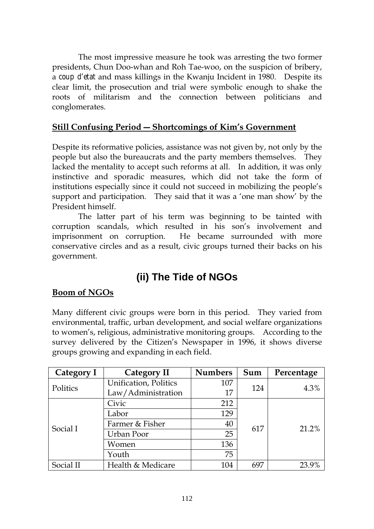The most impressive measure he took was arresting the two former presidents, Chun Doo-whan and Roh Tae-woo, on the suspicion of bribery, a *coup d'etat* and mass killings in the Kwanju Incident in 1980. Despite its clear limit, the prosecution and trial were symbolic enough to shake the roots of militarism and the connection between politicians and conglomerates.

#### **Still Confusing Period ― Shortcomings of Kim's Government**

Despite its reformative policies, assistance was not given by, not only by the people but also the bureaucrats and the party members themselves. They lacked the mentality to accept such reforms at all. In addition, it was only instinctive and sporadic measures, which did not take the form of institutions especially since it could not succeed in mobilizing the people's support and participation. They said that it was a 'one man show' by the President himself.

The latter part of his term was beginning to be tainted with corruption scandals, which resulted in his son's involvement and imprisonment on corruption. He became surrounded with more conservative circles and as a result, civic groups turned their backs on his government.

# **(ii) The Tide of NGOs**

#### **Boom of NGOs**

Many different civic groups were born in this period. They varied from environmental, traffic, urban development, and social welfare organizations to women's, religious, administrative monitoring groups. According to the survey delivered by the Citizen's Newspaper in 1996, it shows diverse groups growing and expanding in each field.

| Category I | Category II           | <b>Numbers</b> | Sum | Percentage |
|------------|-----------------------|----------------|-----|------------|
| Politics   | Unification, Politics | 107            |     | 4.3%       |
|            | Law/Administration    | 17             | 124 |            |
| Social I   | Civic                 | 212            |     |            |
|            | Labor                 | 129            |     |            |
|            | Farmer & Fisher       | 40             | 617 | 21.2%      |
|            | Urban Poor            | 25             |     |            |
|            | Women                 | 136            |     |            |
|            | Youth                 | 75             |     |            |
| Social II  | Health & Medicare     | 104            | 697 | 23.9%      |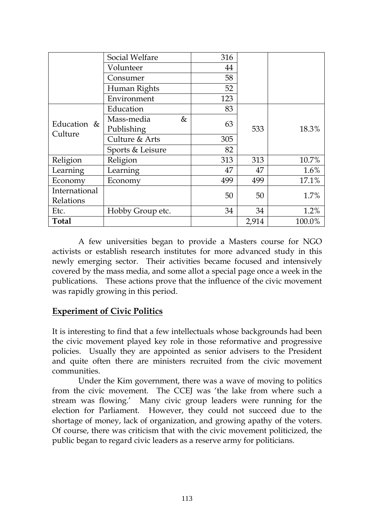|                          | Social Welfare   | 316 |       |        |
|--------------------------|------------------|-----|-------|--------|
|                          | Volunteer        | 44  |       |        |
|                          | Consumer         | 58  |       |        |
|                          | Human Rights     | 52  |       |        |
|                          | Environment      | 123 |       |        |
| Education $&$<br>Culture | Education        | 83  |       | 18.3%  |
|                          | Mass-media<br>&  |     |       |        |
|                          | Publishing       | 63  | 533   |        |
|                          | Culture & Arts   | 305 |       |        |
|                          | Sports & Leisure | 82  |       |        |
| Religion                 | Religion         | 313 | 313   | 10.7%  |
| Learning                 | Learning         | 47  | 47    | 1.6%   |
| Economy                  | Economy          | 499 | 499   | 17.1%  |
| International            |                  | 50  | 50    | 1.7%   |
| Relations                |                  |     |       |        |
| Etc.                     | Hobby Group etc. | 34  | 34    | 1.2%   |
| <b>Total</b>             |                  |     | 2,914 | 100.0% |

A few universities began to provide a Masters course for NGO activists or establish research institutes for more advanced study in this newly emerging sector. Their activities became focused and intensively covered by the mass media, and some allot a special page once a week in the publications. These actions prove that the influence of the civic movement was rapidly growing in this period.

#### **Experiment of Civic Politics**

It is interesting to find that a few intellectuals whose backgrounds had been the civic movement played key role in those reformative and progressive policies. Usually they are appointed as senior advisers to the President and quite often there are ministers recruited from the civic movement communities.

Under the Kim government, there was a wave of moving to politics from the civic movement. The CCEJ was 'the lake from where such a stream was flowing.' Many civic group leaders were running for the election for Parliament. However, they could not succeed due to the shortage of money, lack of organization, and growing apathy of the voters. Of course, there was criticism that with the civic movement politicized, the public began to regard civic leaders as a reserve army for politicians.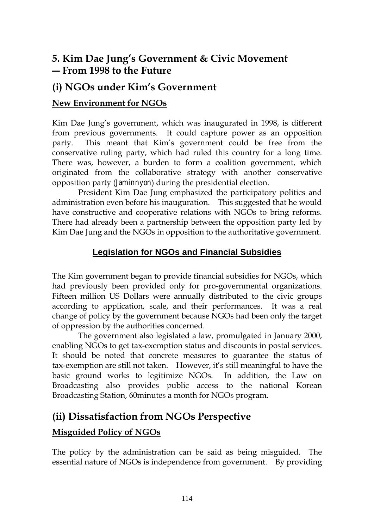# **5. Kim Dae Jung's Government & Civic Movement ― From 1998 to the Future**

### **(i) NGOs under Kim's Government**

#### **New Environment for NGOs**

Kim Dae Jung's government, which was inaugurated in 1998, is different from previous governments. It could capture power as an opposition party. This meant that Kim's government could be free from the conservative ruling party, which had ruled this country for a long time. There was, however, a burden to form a coalition government, which originated from the collaborative strategy with another conservative opposition party (*Jaminnyon*) during the presidential election.

President Kim Dae Jung emphasized the participatory politics and administration even before his inauguration. This suggested that he would have constructive and cooperative relations with NGOs to bring reforms. There had already been a partnership between the opposition party led by Kim Dae Jung and the NGOs in opposition to the authoritative government.

#### **Legislation for NGOs and Financial Subsidies**

The Kim government began to provide financial subsidies for NGOs, which had previously been provided only for pro-governmental organizations. Fifteen million US Dollars were annually distributed to the civic groups according to application, scale, and their performances. It was a real change of policy by the government because NGOs had been only the target of oppression by the authorities concerned.

The government also legislated a law, promulgated in January 2000, enabling NGOs to get tax-exemption status and discounts in postal services. It should be noted that concrete measures to guarantee the status of tax-exemption are still not taken. However, it's still meaningful to have the basic ground works to legitimize NGOs. In addition, the Law on Broadcasting also provides public access to the national Korean Broadcasting Station, 60minutes a month for NGOs program.

### **(ii) Dissatisfaction from NGOs Perspective**

#### **Misguided Policy of NGOs**

The policy by the administration can be said as being misguided. The essential nature of NGOs is independence from government. By providing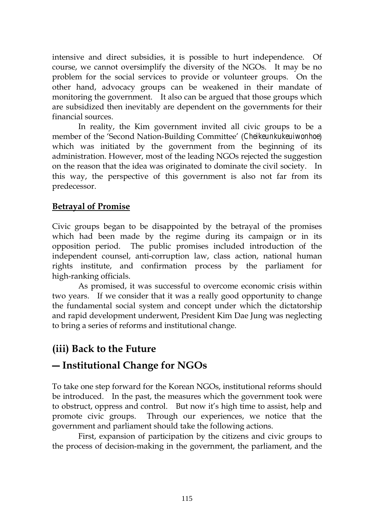intensive and direct subsidies, it is possible to hurt independence. Of course, we cannot oversimplify the diversity of the NGOs. It may be no problem for the social services to provide or volunteer groups. On the other hand, advocacy groups can be weakened in their mandate of monitoring the government. It also can be argued that those groups which are subsidized then inevitably are dependent on the governments for their financial sources.

In reality, the Kim government invited all civic groups to be a member of the 'Second Nation-Building Committee' (*Cheikeunkukeuiwonhoe*) which was initiated by the government from the beginning of its administration. However, most of the leading NGOs rejected the suggestion on the reason that the idea was originated to dominate the civil society. In this way, the perspective of this government is also not far from its predecessor.

#### **Betrayal of Promise**

Civic groups began to be disappointed by the betrayal of the promises which had been made by the regime during its campaign or in its opposition period. The public promises included introduction of the independent counsel, anti-corruption law, class action, national human rights institute, and confirmation process by the parliament for high-ranking officials.

As promised, it was successful to overcome economic crisis within two years. If we consider that it was a really good opportunity to change the fundamental social system and concept under which the dictatorship and rapid development underwent, President Kim Dae Jung was neglecting to bring a series of reforms and institutional change.

### **(iii) Back to the Future**

### **― Institutional Change for NGOs**

To take one step forward for the Korean NGOs, institutional reforms should be introduced. In the past, the measures which the government took were to obstruct, oppress and control. But now it's high time to assist, help and promote civic groups. Through our experiences, we notice that the government and parliament should take the following actions.

First, expansion of participation by the citizens and civic groups to the process of decision-making in the government, the parliament, and the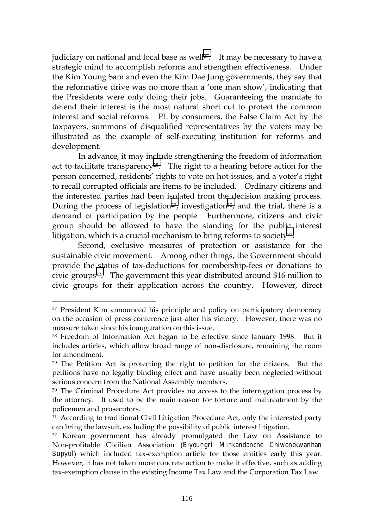judiciary on national and local base as well<sup>27</sup>. It may be necessary to have a strategic mind to accomplish reforms and strengthen effectiveness. Under the Kim Young Sam and even the Kim Dae Jung governments, they say that the reformative drive was no more than a 'one man show', indicating that the Presidents were only doing their jobs. Guaranteeing the mandate to defend their interest is the most natural short cut to protect the common interest and social reforms. PL by consumers, the False Claim Act by the taxpayers, summons of disqualified representatives by the voters may be illustrated as the example of self-executing institution for reforms and development.

In advance, it may include strengthening the freedom of information act to facilitate transparency<sup>28</sup>. The right to a hearing before action for the person concerned, residents' rights to vote on hot-issues, and a voter's right to recall corrupted officials are items to be included. Ordinary citizens and the interested parties had been isolated from the decision making process. During the process of legislation<sup>29</sup>, investigation<sup>30</sup>, and the trial, there is a demand of participation by the people. Furthermore, citizens and civic group should be allowed to have the standing for the public interest litigation, which is a crucial mechanism to bring reforms to society $31$ .

Second, exclusive measures of protection or assistance for the sustainable civic movement. Among other things, the Government should provide the status of tax-deductions for membership-fees or donations to civic groups32. The government this year distributed around \$16 million to civic groups for their application across the country. However, direct

<sup>&</sup>lt;sup>27</sup> President Kim announced his principle and policy on participatory democracy on the occasion of press conference just after his victory. However, there was no measure taken since his inauguration on this issue.

<sup>28</sup> Freedom of Information Act began to be effective since January 1998. But it includes articles, which allow broad range of non-disclosure, remaining the room for amendment.

<sup>&</sup>lt;sup>29</sup> The Petition Act is protecting the right to petition for the citizens. But the petitions have no legally binding effect and have usually been neglected without serious concern from the National Assembly members.

<sup>30</sup> The Criminal Procedure Act provides no access to the interrogation process by the attorney. It used to be the main reason for torture and maltreatment by the policemen and prosecutors.

<sup>&</sup>lt;sup>31</sup> According to traditional Civil Litigation Procedure Act, only the interested party can bring the lawsuit, excluding the possibility of public interest litigation.

<sup>&</sup>lt;sup>32</sup> Korean government has already promulgated the Law on Assistance to Non-profitable Civilian Association (*Biyoungri Minkandanche Chiwonekwanhan Bupyul*) which included tax-exemption article for those entities early this year. However, it has not taken more concrete action to make it effective, such as adding tax-exemption clause in the existing Income Tax Law and the Corporation Tax Law.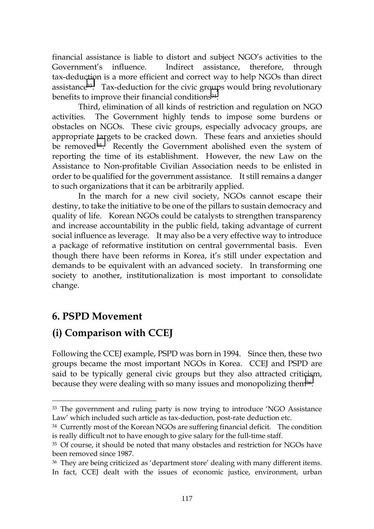financial assistance is liable to distort and subject NGO's activities to the Government's influence. Indirect assistance, therefore, through tax-deduction is a more efficient and correct way to help NGOs than direct assistance33. Tax-deduction for the civic groups would bring revolutionary benefits to improve their financial conditions<sup>34</sup>.

Third, elimination of all kinds of restriction and regulation on NGO activities. The Government highly tends to impose some burdens or obstacles on NGOs. These civic groups, especially advocacy groups, are appropriate targets to be cracked down. These fears and anxieties should be removed<sup>35</sup>. Recently the Government abolished even the system of reporting the time of its establishment. However, the new Law on the Assistance to Non-profitable Civilian Association needs to be enlisted in order to be qualified for the government assistance. It still remains a danger to such organizations that it can be arbitrarily applied.

In the march for a new civil society, NGOs cannot escape their destiny, to take the initiative to be one of the pillars to sustain democracy and quality of life. Korean NGOs could be catalysts to strengthen transparency and increase accountability in the public field, taking advantage of current social influence as leverage. It may also be a very effective way to introduce a package of reformative institution on central governmental basis. Even though there have been reforms in Korea, it's still under expectation and demands to be equivalent with an advanced society. In transforming one society to another, institutionalization is most important to consolidate change.

### **6. PSPD Movement**

 $\overline{a}$ 

# **(i) Comparison with CCEJ**

Following the CCEJ example, PSPD was born in 1994. Since then, these two groups became the most important NGOs in Korea. CCEJ and PSPD are said to be typically general civic groups but they also attracted criticism, because they were dealing with so many issues and monopolizing them36.

<sup>33</sup> The government and ruling party is now trying to introduce 'NGO Assistance Law' which included such article as tax-deduction, post-rate deduction etc.

<sup>&</sup>lt;sup>34</sup> Currently most of the Korean NGOs are suffering financial deficit. The condition is really difficult not to have enough to give salary for the full-time staff.

<sup>&</sup>lt;sup>35</sup> Of course, it should be noted that many obstacles and restriction for NGOs have been removed since 1987.

<sup>36</sup> They are being criticized as 'department store' dealing with many different items. In fact, CCEJ dealt with the issues of economic justice, environment, urban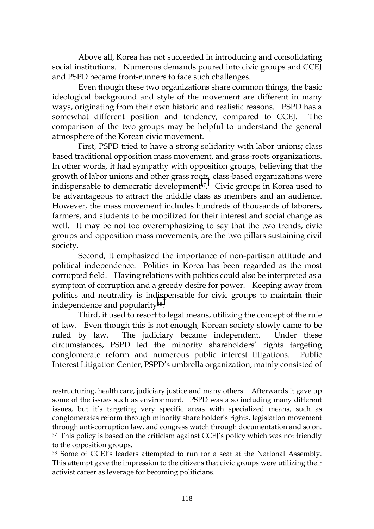Above all, Korea has not succeeded in introducing and consolidating social institutions. Numerous demands poured into civic groups and CCEJ and PSPD became front-runners to face such challenges.

Even though these two organizations share common things, the basic ideological background and style of the movement are different in many ways, originating from their own historic and realistic reasons. PSPD has a somewhat different position and tendency, compared to CCEJ. The comparison of the two groups may be helpful to understand the general atmosphere of the Korean civic movement.

First, PSPD tried to have a strong solidarity with labor unions; class based traditional opposition mass movement, and grass-roots organizations. In other words, it had sympathy with opposition groups, believing that the growth of labor unions and other grass roots, class-based organizations were indispensable to democratic development<sup>37</sup>. Civic groups in Korea used to be advantageous to attract the middle class as members and an audience. However, the mass movement includes hundreds of thousands of laborers, farmers, and students to be mobilized for their interest and social change as well. It may be not too overemphasizing to say that the two trends, civic groups and opposition mass movements, are the two pillars sustaining civil society.

Second, it emphasized the importance of non-partisan attitude and political independence. Politics in Korea has been regarded as the most corrupted field. Having relations with politics could also be interpreted as a symptom of corruption and a greedy desire for power. Keeping away from politics and neutrality is indispensable for civic groups to maintain their independence and popularity38.

Third, it used to resort to legal means, utilizing the concept of the rule of law. Even though this is not enough, Korean society slowly came to be ruled by law. The judiciary became independent. Under these circumstances, PSPD led the minority shareholders' rights targeting conglomerate reform and numerous public interest litigations. Public Interest Litigation Center, PSPD's umbrella organization, mainly consisted of

restructuring, health care, judiciary justice and many others. Afterwards it gave up some of the issues such as environment. PSPD was also including many different issues, but it's targeting very specific areas with specialized means, such as conglomerates reform through minority share holder's rights, legislation movement through anti-corruption law, and congress watch through documentation and so on. 37 This policy is based on the criticism against CCEJ's policy which was not friendly to the opposition groups.

<sup>38</sup> Some of CCEJ's leaders attempted to run for a seat at the National Assembly. This attempt gave the impression to the citizens that civic groups were utilizing their activist career as leverage for becoming politicians.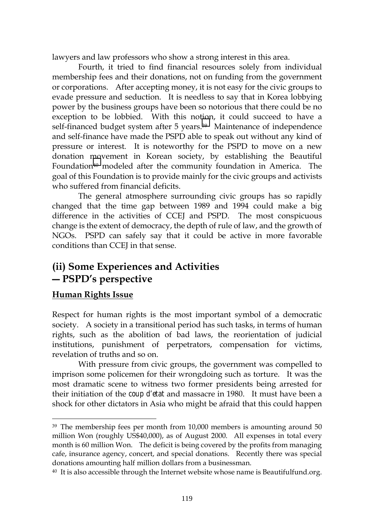lawyers and law professors who show a strong interest in this area.

Fourth, it tried to find financial resources solely from individual membership fees and their donations, not on funding from the government or corporations. After accepting money, it is not easy for the civic groups to evade pressure and seduction. It is needless to say that in Korea lobbying power by the business groups have been so notorious that there could be no exception to be lobbied. With this notion, it could succeed to have a self-financed budget system after 5 years.<sup>39</sup> Maintenance of independence and self-finance have made the PSPD able to speak out without any kind of pressure or interest. It is noteworthy for the PSPD to move on a new donation movement in Korean society, by establishing the Beautiful Foundation<sup>40</sup> modeled after the community foundation in America. The goal of this Foundation is to provide mainly for the civic groups and activists who suffered from financial deficits.

The general atmosphere surrounding civic groups has so rapidly changed that the time gap between 1989 and 1994 could make a big difference in the activities of CCEJ and PSPD. The most conspicuous change is the extent of democracy, the depth of rule of law, and the growth of NGOs. PSPD can safely say that it could be active in more favorable conditions than CCEJ in that sense.

# **(ii) Some Experiences and Activities ― PSPD's perspective**

#### **Human Rights Issue**

 $\overline{a}$ 

Respect for human rights is the most important symbol of a democratic society. A society in a transitional period has such tasks, in terms of human rights, such as the abolition of bad laws, the reorientation of judicial institutions, punishment of perpetrators, compensation for victims, revelation of truths and so on.

With pressure from civic groups, the government was compelled to imprison some policemen for their wrongdoing such as torture. It was the most dramatic scene to witness two former presidents being arrested for their initiation of the *coup d'etat* and massacre in 1980. It must have been a shock for other dictators in Asia who might be afraid that this could happen

<sup>&</sup>lt;sup>39</sup> The membership fees per month from 10,000 members is amounting around 50 million Won (roughly US\$40,000), as of August 2000. All expenses in total every month is 60 million Won. The deficit is being covered by the profits from managing cafe, insurance agency, concert, and special donations. Recently there was special donations amounting half million dollars from a businessman.

 $40$  It is also accessible through the Internet website whose name is Beautifulfund.org.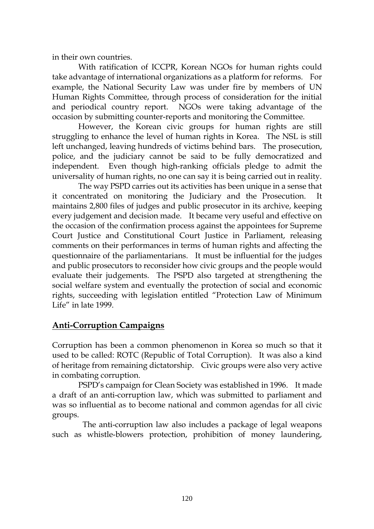in their own countries.

With ratification of ICCPR, Korean NGOs for human rights could take advantage of international organizations as a platform for reforms. For example, the National Security Law was under fire by members of UN Human Rights Committee, through process of consideration for the initial and periodical country report. NGOs were taking advantage of the occasion by submitting counter-reports and monitoring the Committee.

However, the Korean civic groups for human rights are still struggling to enhance the level of human rights in Korea. The NSL is still left unchanged, leaving hundreds of victims behind bars. The prosecution, police, and the judiciary cannot be said to be fully democratized and independent. Even though high-ranking officials pledge to admit the universality of human rights, no one can say it is being carried out in reality.

The way PSPD carries out its activities has been unique in a sense that it concentrated on monitoring the Judiciary and the Prosecution. It maintains 2,800 files of judges and public prosecutor in its archive, keeping every judgement and decision made. It became very useful and effective on the occasion of the confirmation process against the appointees for Supreme Court Justice and Constitutional Court Justice in Parliament, releasing comments on their performances in terms of human rights and affecting the questionnaire of the parliamentarians. It must be influential for the judges and public prosecutors to reconsider how civic groups and the people would evaluate their judgements. The PSPD also targeted at strengthening the social welfare system and eventually the protection of social and economic rights, succeeding with legislation entitled "Protection Law of Minimum Life" in late 1999.

#### **Anti-Corruption Campaigns**

Corruption has been a common phenomenon in Korea so much so that it used to be called: ROTC (Republic of Total Corruption). It was also a kind of heritage from remaining dictatorship. Civic groups were also very active in combating corruption.

PSPD's campaign for Clean Society was established in 1996. It made a draft of an anti-corruption law, which was submitted to parliament and was so influential as to become national and common agendas for all civic groups.

 The anti-corruption law also includes a package of legal weapons such as whistle-blowers protection, prohibition of money laundering,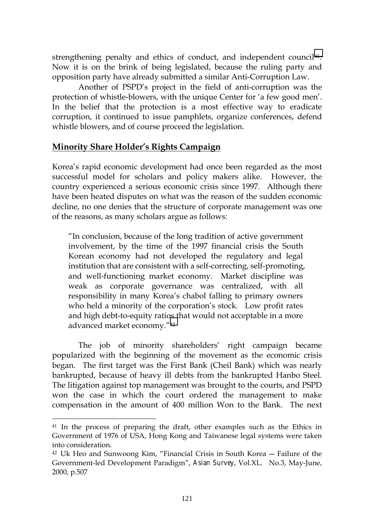strengthening penalty and ethics of conduct, and independent council<sup>41</sup>. Now it is on the brink of being legislated, because the ruling party and opposition party have already submitted a similar Anti-Corruption Law.

Another of PSPD's project in the field of anti-corruption was the protection of whistle-blowers, with the unique Center for 'a few good men'. In the belief that the protection is a most effective way to eradicate corruption, it continued to issue pamphlets, organize conferences, defend whistle blowers, and of course proceed the legislation.

#### **Minority Share Holder's Rights Campaign**

Korea's rapid economic development had once been regarded as the most successful model for scholars and policy makers alike. However, the country experienced a serious economic crisis since 1997. Although there have been heated disputes on what was the reason of the sudden economic decline, no one denies that the structure of corporate management was one of the reasons, as many scholars argue as follows:

"In conclusion, because of the long tradition of active government involvement, by the time of the 1997 financial crisis the South Korean economy had not developed the regulatory and legal institution that are consistent with a self-correcting, self-promoting, and well-functioning market economy. Market discipline was weak as corporate governance was centralized, with all responsibility in many Korea's chabol falling to primary owners who held a minority of the corporation's stock. Low profit rates and high debt-to-equity ratios that would not acceptable in a more advanced market economy."42

The job of minority shareholders' right campaign became popularized with the beginning of the movement as the economic crisis began. The first target was the First Bank (Cheil Bank) which was nearly bankrupted, because of heavy ill debts from the bankrupted Hanbo Steel. The litigation against top management was brought to the courts, and PSPD won the case in which the court ordered the management to make compensation in the amount of 400 million Won to the Bank. The next

<sup>&</sup>lt;sup>41</sup> In the process of preparing the draft, other examples such as the Ethics in Government of 1976 of USA, Hong Kong and Taiwanese legal systems were taken into consideration.

<sup>42</sup> Uk Heo and Sunwoong Kim, "Financial Crisis in South Korea ― Failure of the Government-led Development Paradigm", *Asian Survey*, Vol.XL. No.3, May-June, 2000, p.507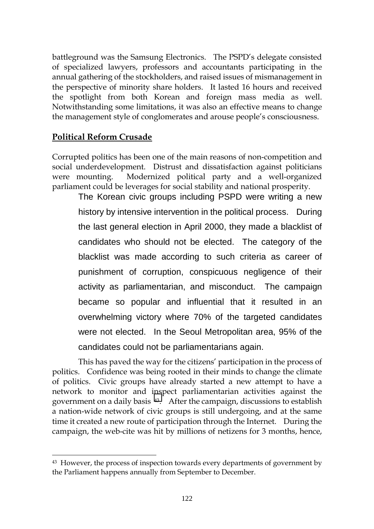battleground was the Samsung Electronics. The PSPD's delegate consisted of specialized lawyers, professors and accountants participating in the annual gathering of the stockholders, and raised issues of mismanagement in the perspective of minority share holders. It lasted 16 hours and received the spotlight from both Korean and foreign mass media as well. Notwithstanding some limitations, it was also an effective means to change the management style of conglomerates and arouse people's consciousness.

#### **Political Reform Crusade**

 $\overline{a}$ 

Corrupted politics has been one of the main reasons of non-competition and social underdevelopment. Distrust and dissatisfaction against politicians were mounting. Modernized political party and a well-organized parliament could be leverages for social stability and national prosperity.

The Korean civic groups including PSPD were writing a new history by intensive intervention in the political process. During the last general election in April 2000, they made a blacklist of candidates who should not be elected. The category of the blacklist was made according to such criteria as career of punishment of corruption, conspicuous negligence of their activity as parliamentarian, and misconduct. The campaign became so popular and influential that it resulted in an overwhelming victory where 70% of the targeted candidates were not elected. In the Seoul Metropolitan area, 95% of the candidates could not be parliamentarians again.

This has paved the way for the citizens' participation in the process of politics. Confidence was being rooted in their minds to change the climate of politics. Civic groups have already started a new attempt to have a network to monitor and inspect parliamentarian activities against the government on a daily basis 43. After the campaign, discussions to establish a nation-wide network of civic groups is still undergoing, and at the same time it created a new route of participation through the Internet. During the campaign, the web-cite was hit by millions of netizens for 3 months, hence,

<sup>43</sup> However, the process of inspection towards every departments of government by the Parliament happens annually from September to December.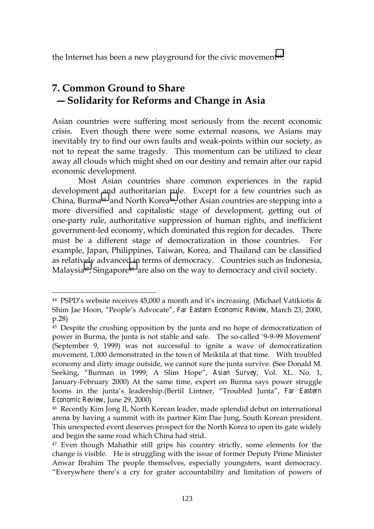the Internet has been a new playground for the civic movement<sup>44</sup>.

## **7. Common Ground to Share ― Solidarity for Reforms and Change in Asia**

Asian countries were suffering most seriously from the recent economic crisis. Even though there were some external reasons, we Asians may inevitably try to find our own faults and weak-points within our society, as not to repeat the same tragedy. This momentum can be utilized to clear away all clouds which might shed on our destiny and remain after our rapid economic development.

Most Asian countries share common experiences in the rapid development and authoritarian rule. Except for a few countries such as China, Burma<sup>45</sup> and North Korea<sup>46</sup>, other Asian countries are stepping into a more diversified and capitalistic stage of development, getting out of one-party rule, authoritative suppression of human rights, and inefficient government-led economy, which dominated this region for decades. There must be a different stage of democratization in those countries. For example, Japan, Philippines, Taiwan, Korea, and Thailand can be classified as relatively advanced in terms of democracy. Countries such as Indonesia, Malaysia<sup>47</sup>, Singapore<sup>48</sup> are also on the way to democracy and civil society.

<sup>&</sup>lt;sup>44</sup> PSPD's website receives 45,000 a month and it's increasing. (Michael Vatikiotis & Shim Jae Hoon, "People's Advocate", *Far Eastern Economic Review*, March 23, 2000, p.28)

<sup>&</sup>lt;sup>45</sup> Despite the crushing opposition by the junta and no hope of democratization of power in Burma, the junta is not stable and safe. The so-called '9-9-99 Movement' (September 9, 1999) was not successful to ignite a wave of democratization movement, 1,000 demonstrated in the town of Meiktila at that time. With troubled economy and dirty image outside, we cannot sure the junta survive. (See Donald M. Seeking, "Burman in 1999; A Slim Hope", *Asian Survey*, Vol. XL. No. 1, January-February 2000) At the same time, expert on Burma says power struggle looms in the junta's leadership.(Bertil Lintner, "Troubled Junta", *Far Eastern Economic Review*, June 29, 2000)

<sup>46</sup> Recently Kim Jong Il, North Korean leader, made splendid debut on international arena by having a summit with its partner Kim Dae Jung, South Korean president. This unexpected event deserves prospect for the North Korea to open its gate widely and begin the same road which China had strid.

<sup>&</sup>lt;sup>47</sup> Even though Mahathir still grips his country strictly, some elements for the change is visible. He is struggling with the issue of former Deputy Prime Minister Anwar Ibrahim The people themselves, especially youngsters, want democracy. "Everywhere there's a cry for grater accountability and limitation of powers of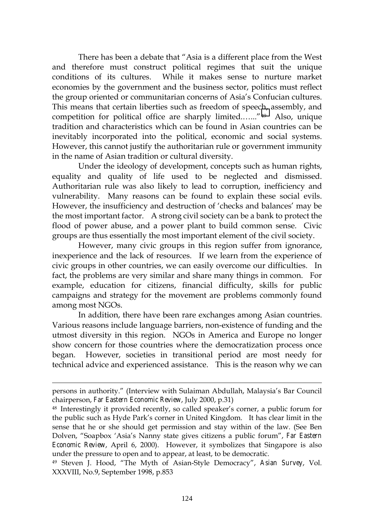There has been a debate that "Asia is a different place from the West and therefore must construct political regimes that suit the unique conditions of its cultures. While it makes sense to nurture market economies by the government and the business sector, politics must reflect the group oriented or communitarian concerns of Asia's Confucian cultures. This means that certain liberties such as freedom of speech, assembly, and competition for political office are sharply limited.…..."49 Also, unique tradition and characteristics which can be found in Asian countries can be inevitably incorporated into the political, economic and social systems. However, this cannot justify the authoritarian rule or government immunity in the name of Asian tradition or cultural diversity.

Under the ideology of development, concepts such as human rights, equality and quality of life used to be neglected and dismissed. Authoritarian rule was also likely to lead to corruption, inefficiency and vulnerability. Many reasons can be found to explain these social evils. However, the insufficiency and destruction of 'checks and balances' may be the most important factor. A strong civil society can be a bank to protect the flood of power abuse, and a power plant to build common sense. Civic groups are thus essentially the most important element of the civil society.

However, many civic groups in this region suffer from ignorance, inexperience and the lack of resources. If we learn from the experience of civic groups in other countries, we can easily overcome our difficulties. In fact, the problems are very similar and share many things in common. For example, education for citizens, financial difficulty, skills for public campaigns and strategy for the movement are problems commonly found among most NGOs.

In addition, there have been rare exchanges among Asian countries. Various reasons include language barriers, non-existence of funding and the utmost diversity in this region. NGOs in America and Europe no longer show concern for those countries where the democratization process once began. However, societies in transitional period are most needy for technical advice and experienced assistance. This is the reason why we can

persons in authority." (Interview with Sulaiman Abdullah, Malaysia's Bar Council chairperson, *Far Eastern Economic Review*, July 2000, p.31)

<sup>48</sup> Interestingly it provided recently, so called speaker's corner, a public forum for the public such as Hyde Park's corner in United Kingdom. It has clear limit in the sense that he or she should get permission and stay within of the law. (See Ben Dolven, "Soapbox 'Asia's Nanny state gives citizens a public forum", *Far Eastern Economic Review*, April 6, 2000). However, it symbolizes that Singapore is also under the pressure to open and to appear, at least, to be democratic.

<sup>49</sup> Steven J. Hood, "The Myth of Asian-Style Democracy", *Asian Survey*, Vol. XXXVIII, No.9, September 1998, p.853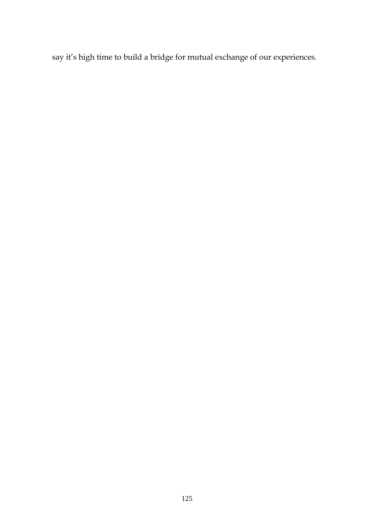say it's high time to build a bridge for mutual exchange of our experiences.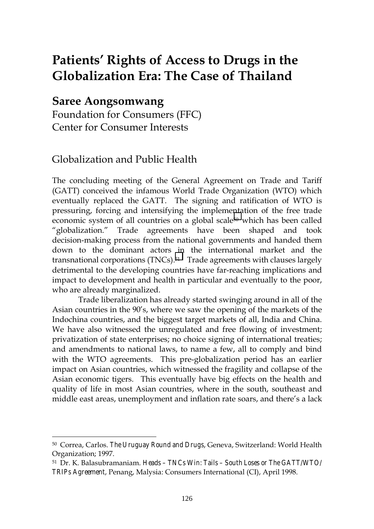# **Patients' Rights of Access to Drugs in the Globalization Era: The Case of Thailand**

### **Saree Aongsomwang**

 $\overline{a}$ 

Foundation for Consumers (FFC) Center for Consumer Interests

#### Globalization and Public Health

The concluding meeting of the General Agreement on Trade and Tariff (GATT) conceived the infamous World Trade Organization (WTO) which eventually replaced the GATT. The signing and ratification of WTO is pressuring, forcing and intensifying the implementation of the free trade economic system of all countries on a global scale<sup>50</sup> which has been called "globalization." Trade agreements have been shaped and took decision-making process from the national governments and handed them down to the dominant actors in the international market and the transnational corporations (TNCs).51 Trade agreements with clauses largely detrimental to the developing countries have far-reaching implications and impact to development and health in particular and eventually to the poor, who are already marginalized.

Trade liberalization has already started swinging around in all of the Asian countries in the 90's, where we saw the opening of the markets of the Indochina countries, and the biggest target markets of all, India and China. We have also witnessed the unregulated and free flowing of investment; privatization of state enterprises; no choice signing of international treaties; and amendments to national laws, to name a few, all to comply and bind with the WTO agreements. This pre-globalization period has an earlier impact on Asian countries, which witnessed the fragility and collapse of the Asian economic tigers. This eventually have big effects on the health and quality of life in most Asian countries, where in the south, southeast and middle east areas, unemployment and inflation rate soars, and there's a lack

<sup>50</sup> Correa, Carlos. *The Uruguay Round and Drugs*, Geneva, Switzerland: World Health Organization; 1997.

<sup>51</sup> Dr. K. Balasubramaniam. *Heads – TNCs Win: Tails – South Loses or The GATT/WTO/ TRIPs Agreement*, Penang, Malysia: Consumers International (CI), April 1998.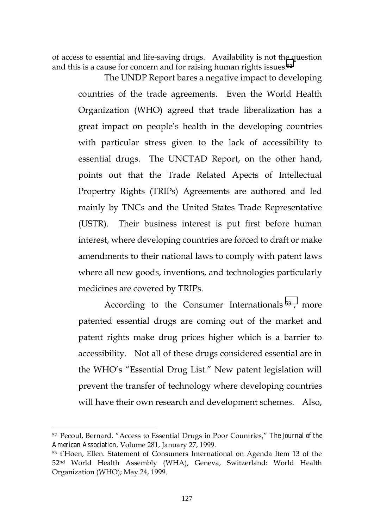of access to essential and life-saving drugs. Availability is not the question and this is a cause for concern and for raising human rights issues.<sup>52</sup>

The UNDP Report bares a negative impact to developing countries of the trade agreements. Even the World Health Organization (WHO) agreed that trade liberalization has a great impact on people's health in the developing countries with particular stress given to the lack of accessibility to essential drugs. The UNCTAD Report, on the other hand, points out that the Trade Related Apects of Intellectual Propertry Rights (TRIPs) Agreements are authored and led mainly by TNCs and the United States Trade Representative (USTR). Their business interest is put first before human interest, where developing countries are forced to draft or make amendments to their national laws to comply with patent laws where all new goods, inventions, and technologies particularly medicines are covered by TRIPs.

According to the Consumer Internationals<sup>53</sup>, more patented essential drugs are coming out of the market and patent rights make drug prices higher which is a barrier to accessibility. Not all of these drugs considered essential are in the WHO's "Essential Drug List." New patent legislation will prevent the transfer of technology where developing countries will have their own research and development schemes. Also,

l

<sup>52</sup> Pecoul, Bernard. "Access to Essential Drugs in Poor Countries," *The Journal of the American Association*, Volume 281, January 27, 1999.

<sup>53</sup> t'Hoen, Ellen. Statement of Consumers International on Agenda Item 13 of the 52<sup>nd</sup> World Health Assembly (WHA), Geneva, Switzerland: World Health Organization (WHO); May 24, 1999.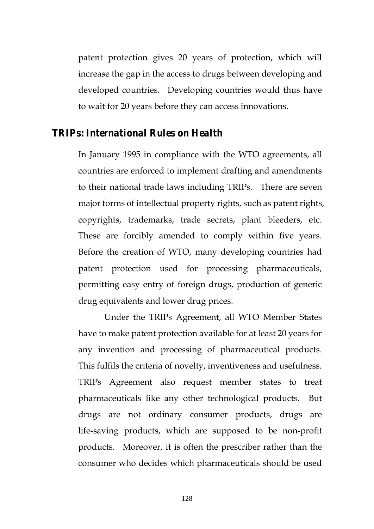patent protection gives 20 years of protection, which will increase the gap in the access to drugs between developing and developed countries. Developing countries would thus have to wait for 20 years before they can access innovations.

#### *TRIPs: International Rules on Health*

In January 1995 in compliance with the WTO agreements, all countries are enforced to implement drafting and amendments to their national trade laws including TRIPs. There are seven major forms of intellectual property rights, such as patent rights, copyrights, trademarks, trade secrets, plant bleeders, etc. These are forcibly amended to comply within five years. Before the creation of WTO, many developing countries had patent protection used for processing pharmaceuticals, permitting easy entry of foreign drugs, production of generic drug equivalents and lower drug prices.

Under the TRIPs Agreement, all WTO Member States have to make patent protection available for at least 20 years for any invention and processing of pharmaceutical products. This fulfils the criteria of novelty, inventiveness and usefulness. TRIPs Agreement also request member states to treat pharmaceuticals like any other technological products. But drugs are not ordinary consumer products, drugs are life-saving products, which are supposed to be non-profit products. Moreover, it is often the prescriber rather than the consumer who decides which pharmaceuticals should be used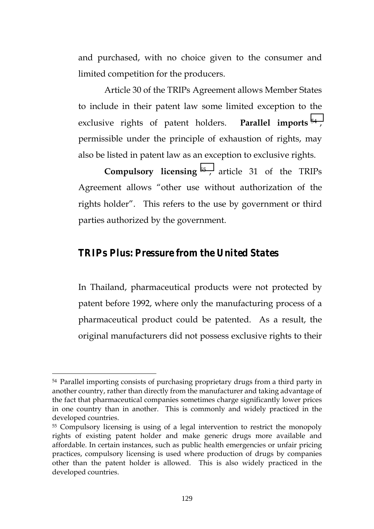and purchased, with no choice given to the consumer and limited competition for the producers.

Article 30 of the TRIPs Agreement allows Member States to include in their patent law some limited exception to the exclusive rights of patent holders. **Parallel imports** <sup>54</sup> , permissible under the principle of exhaustion of rights, may also be listed in patent law as an exception to exclusive rights.

**Compulsory licensing** <sup>55</sup> , article 31 of the TRIPs Agreement allows "other use without authorization of the rights holder". This refers to the use by government or third parties authorized by the government.

#### *TRIPs Plus: Pressure from the United States*

In Thailand, pharmaceutical products were not protected by patent before 1992, where only the manufacturing process of a pharmaceutical product could be patented. As a result, the original manufacturers did not possess exclusive rights to their

<sup>54</sup> Parallel importing consists of purchasing proprietary drugs from a third party in another country, rather than directly from the manufacturer and taking advantage of the fact that pharmaceutical companies sometimes charge significantly lower prices in one country than in another. This is commonly and widely practiced in the developed countries.

<sup>55</sup> Compulsory licensing is using of a legal intervention to restrict the monopoly rights of existing patent holder and make generic drugs more available and affordable. In certain instances, such as public health emergencies or unfair pricing practices, compulsory licensing is used where production of drugs by companies other than the patent holder is allowed. This is also widely practiced in the developed countries.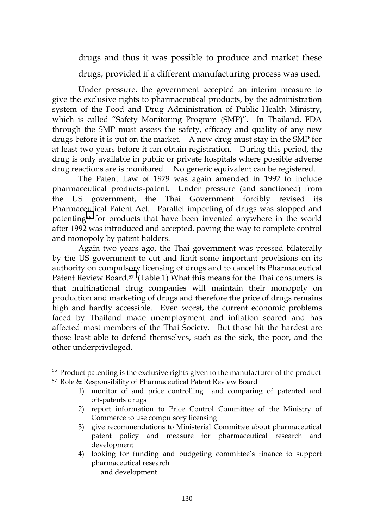drugs and thus it was possible to produce and market these

drugs, provided if a different manufacturing process was used.

Under pressure, the government accepted an interim measure to give the exclusive rights to pharmaceutical products, by the administration system of the Food and Drug Administration of Public Health Ministry, which is called "Safety Monitoring Program (SMP)". In Thailand, FDA through the SMP must assess the safety, efficacy and quality of any new drugs before it is put on the market. A new drug must stay in the SMP for at least two years before it can obtain registration. During this period, the drug is only available in public or private hospitals where possible adverse drug reactions are is monitored. No generic equivalent can be registered.

The Patent Law of 1979 was again amended in 1992 to include pharmaceutical products-patent. Under pressure (and sanctioned) from the US government, the Thai Government forcibly revised its Pharmaceutical Patent Act. Parallel importing of drugs was stopped and patenting56 for products that have been invented anywhere in the world after 1992 was introduced and accepted, paving the way to complete control and monopoly by patent holders.

Again two years ago, the Thai government was pressed bilaterally by the US government to cut and limit some important provisions on its authority on compulsory licensing of drugs and to cancel its Pharmaceutical Patent Review Board.<sup>57</sup> (Table 1) What this means for the Thai consumers is that multinational drug companies will maintain their monopoly on production and marketing of drugs and therefore the price of drugs remains high and hardly accessible. Even worst, the current economic problems faced by Thailand made unemployment and inflation soared and has affected most members of the Thai Society. But those hit the hardest are those least able to defend themselves, such as the sick, the poor, and the other underprivileged.

l

- 2) report information to Price Control Committee of the Ministry of Commerce to use compulsory licensing
- 3) give recommendations to Ministerial Committee about pharmaceutical patent policy and measure for pharmaceutical research and development
- 4) looking for funding and budgeting committee's finance to support pharmaceutical research and development

<sup>&</sup>lt;sup>56</sup> Product patenting is the exclusive rights given to the manufacturer of the product 57 Role & Responsibility of Pharmaceutical Patent Review Board

<sup>1)</sup> monitor of and price controlling and comparing of patented and off-patents drugs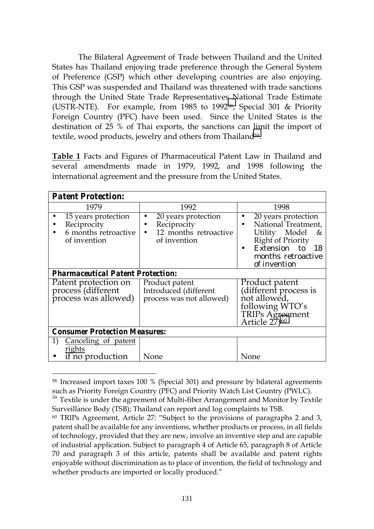The Bilateral Agreement of Trade between Thailand and the United States has Thailand enjoying trade preference through the General System of Preference (GSP) which other developing countries are also enjoying. This GSP was suspended and Thailand was threatened with trade sanctions through the United State Trade Representatives National Trade Estimate (USTR-NTE). For example, from 1985 to 199258, Special 301 & Priority Foreign Country (PFC) have been used. Since the United States is the destination of 25 % of Thai exports, the sanctions can limit the import of textile, wood products, jewelry and others from Thailand<sup>59</sup>.

**Table 1** Facts and Figures of Pharmaceutical Patent Law in Thailand and several amendments made in 1979, 1992, and 1998 following the international agreement and the pressure from the United States.

| <b>Patent Protection:</b>                                                  |                                                                             |                                                                                                                                                             |  |  |
|----------------------------------------------------------------------------|-----------------------------------------------------------------------------|-------------------------------------------------------------------------------------------------------------------------------------------------------------|--|--|
| 1979                                                                       | 1992                                                                        | 1998                                                                                                                                                        |  |  |
| 15 years protection<br>Reciprocity<br>6 months retroactive<br>of invention | 20 years protection<br>Reciprocity<br>12 months retroactive<br>of invention | 20 years protection<br>National Treatment,<br>Utility Model<br>&<br><b>Right of Priority</b><br>Extension<br>to<br>18<br>months retroactive<br>of invention |  |  |
| <b>Pharmaceutical Patent Protection:</b>                                   |                                                                             |                                                                                                                                                             |  |  |
| Patent protection on<br>process (different<br>process was allowed)         | Product patent<br>Introduced (different<br>process was not allowed)         | Product patent<br>(different process is<br>not allowed,<br>following WTO's<br><b>TRIPs Agreement</b><br>Article 27) <sup>60</sup>                           |  |  |
| <b>Consumer Protection Measures:</b>                                       |                                                                             |                                                                                                                                                             |  |  |
| Canceling of patent<br>rights<br>if no production                          | None                                                                        | None                                                                                                                                                        |  |  |

<sup>58</sup> Increased import taxes 100 % (Special 301) and pressure by bilateral agreements such as Priority Foreign Country (PFC) and Priority Watch List Country (PWLC).

<sup>59</sup> Textile is under the agreement of Multi-fiber Arrangement and Monitor by Textile Surveillance Body (TSB); Thailand can report and log complaints to TSB.

 $60$  TRIPs Agreement, Article 27: "Subject to the provisions of paragraphs 2 and 3, patent shall be available for any inventions, whether products or process, in all fields of technology, provided that they are new, involve an inventive step and are capable of industrial application. Subject to paragraph 4 of Article 65, paragraph 8 of Article 70 and paragraph 3 of this article, patents shall be available and patent rights enjoyable without discrimination as to place of invention, the field of technology and whether products are imported or locally produced."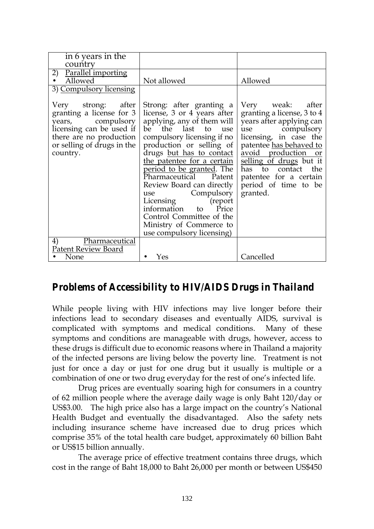| in 6 years in the<br>country                                                                                                                                         |                                                                                                                                                                                                                                                                                                                                                                                                                                                                             |                                                                                                                                                                                                                                                                                            |
|----------------------------------------------------------------------------------------------------------------------------------------------------------------------|-----------------------------------------------------------------------------------------------------------------------------------------------------------------------------------------------------------------------------------------------------------------------------------------------------------------------------------------------------------------------------------------------------------------------------------------------------------------------------|--------------------------------------------------------------------------------------------------------------------------------------------------------------------------------------------------------------------------------------------------------------------------------------------|
| Parallel importing<br>2)<br>Allowed<br>3) Compulsory licensing                                                                                                       | Not allowed                                                                                                                                                                                                                                                                                                                                                                                                                                                                 | Allowed                                                                                                                                                                                                                                                                                    |
| Very strong: after<br>granting a license for 3<br>years, compulsory<br>licensing can be used if<br>there are no production<br>or selling of drugs in the<br>country. | Strong: after granting a<br>license, 3 or 4 years after<br>applying, any of them will<br>be the last to use<br>compulsory licensing if no<br>production or selling of<br>drugs but has to contact<br>the patentee for a certain<br>period to be granted. The<br>Pharmaceutical Patent<br>Review Board can directly<br>Compulsory<br>use<br>Licensing (report<br>information to<br>Price<br>Control Committee of the<br>Ministry of Commerce to<br>use compulsory licensing) | Very weak: after<br>granting a license, 3 to 4<br>years after applying can<br>use compulsory<br>licensing, in case the<br>patentee has behaved to<br>avoid production or<br>selling of drugs but it<br>has to contact<br>the<br>patentee for a certain<br>period of time to be<br>granted. |
| Pharmaceutical<br>4)                                                                                                                                                 |                                                                                                                                                                                                                                                                                                                                                                                                                                                                             |                                                                                                                                                                                                                                                                                            |
| Patent Review Board                                                                                                                                                  |                                                                                                                                                                                                                                                                                                                                                                                                                                                                             |                                                                                                                                                                                                                                                                                            |
| None                                                                                                                                                                 | Yes                                                                                                                                                                                                                                                                                                                                                                                                                                                                         | Cancelled                                                                                                                                                                                                                                                                                  |

### *Problems of Accessibility to HIV/AIDS Drugs in Thailand*

While people living with HIV infections may live longer before their infections lead to secondary diseases and eventually AIDS, survival is complicated with symptoms and medical conditions. Many of these symptoms and conditions are manageable with drugs, however, access to these drugs is difficult due to economic reasons where in Thailand a majority of the infected persons are living below the poverty line. Treatment is not just for once a day or just for one drug but it usually is multiple or a combination of one or two drug everyday for the rest of one's infected life.

Drug prices are eventually soaring high for consumers in a country of 62 million people where the average daily wage is only Baht 120/day or US\$3.00. The high price also has a large impact on the country's National Health Budget and eventually the disadvantaged. Also the safety nets including insurance scheme have increased due to drug prices which comprise 35% of the total health care budget, approximately 60 billion Baht or US\$15 billion annually.

The average price of effective treatment contains three drugs, which cost in the range of Baht 18,000 to Baht 26,000 per month or between US\$450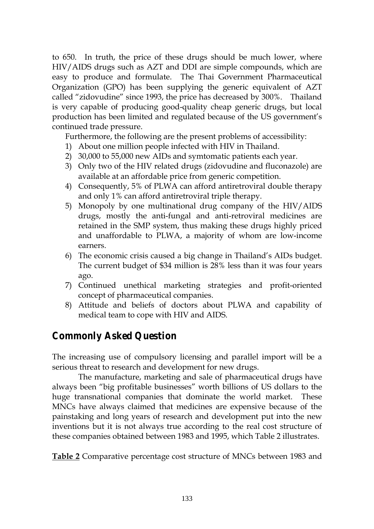to 650. In truth, the price of these drugs should be much lower, where HIV/AIDS drugs such as AZT and DDI are simple compounds, which are easy to produce and formulate. The Thai Government Pharmaceutical Organization (GPO) has been supplying the generic equivalent of AZT called "zidovudine" since 1993, the price has decreased by 300%. Thailand is very capable of producing good-quality cheap generic drugs, but local production has been limited and regulated because of the US government's continued trade pressure.

Furthermore, the following are the present problems of accessibility:

- 1) About one million people infected with HIV in Thailand.
- 2) 30,000 to 55,000 new AIDs and symtomatic patients each year.
- 3) Only two of the HIV related drugs (zidovudine and fluconazole) are available at an affordable price from generic competition.
- 4) Consequently, 5% of PLWA can afford antiretroviral double therapy and only 1% can afford antiretroviral triple therapy.
- 5) Monopoly by one multinational drug company of the HIV/AIDS drugs, mostly the anti-fungal and anti-retroviral medicines are retained in the SMP system, thus making these drugs highly priced and unaffordable to PLWA, a majority of whom are low-income earners.
- 6) The economic crisis caused a big change in Thailand's AIDs budget. The current budget of \$34 million is 28% less than it was four years ago.
- 7) Continued unethical marketing strategies and profit-oriented concept of pharmaceutical companies.
- 8) Attitude and beliefs of doctors about PLWA and capability of medical team to cope with HIV and AIDS.

## *Commonly Asked Question*

The increasing use of compulsory licensing and parallel import will be a serious threat to research and development for new drugs.

The manufacture, marketing and sale of pharmaceutical drugs have always been "big profitable businesses" worth billions of US dollars to the huge transnational companies that dominate the world market. These MNCs have always claimed that medicines are expensive because of the painstaking and long years of research and development put into the new inventions but it is not always true according to the real cost structure of these companies obtained between 1983 and 1995, which Table 2 illustrates.

**Table 2** Comparative percentage cost structure of MNCs between 1983 and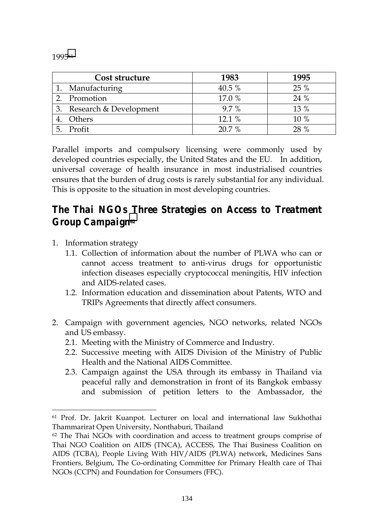199561

| Cost structure         | 1983    | 1995 |
|------------------------|---------|------|
| Manufacturing          | 40.5 %  | 25 % |
| Promotion              | 17.0 %  | 24 % |
| Research & Development | $9.7\%$ | 13 % |
| Others                 | 12.1 %  | 10 % |
| Profit                 | 20.7 %  | 28 % |

Parallel imports and compulsory licensing were commonly used by developed countries especially, the United States and the EU. In addition, universal coverage of health insurance in most industrialised countries ensures that the burden of drug costs is rarely substantial for any individual. This is opposite to the situation in most developing countries.

## *The Thai NGOs Three Strategies on Access to Treatment Group Campaign62*

1. Information strategy

 $\overline{a}$ 

- 1.1. Collection of information about the number of PLWA who can or cannot access treatment to anti-virus drugs for opportunistic infection diseases especially cryptococcal meningitis, HIV infection and AIDS-related cases.
- 1.2. Information education and dissemination about Patents, WTO and TRIPs Agreements that directly affect consumers.
- 2. Campaign with government agencies, NGO networks, related NGOs and US embassy.
	- 2.1. Meeting with the Ministry of Commerce and Industry.
	- 2.2. Successive meeting with AIDS Division of the Ministry of Public Health and the National AIDS Committee.
	- 2.3. Campaign against the USA through its embassy in Thailand via peaceful rally and demonstration in front of its Bangkok embassy and submission of petition letters to the Ambassador, the

<sup>61</sup> Prof. Dr. Jakrit Kuanpot. Lecturer on local and international law Sukhothai Thammarirat Open University, Nonthaburi, Thailand

 $62$  The Thai NGOs with coordination and access to treatment groups comprise of Thai NGO Coalition on AIDS (TNCA), ACCESS, The Thai Business Coalition on AIDS (TCBA), People Living With HIV/AIDS (PLWA) network, Medicines Sans Frontiers, Belgium, The Co-ordinating Committee for Primary Health care of Thai NGOs (CCPN) and Foundation for Consumers (FFC).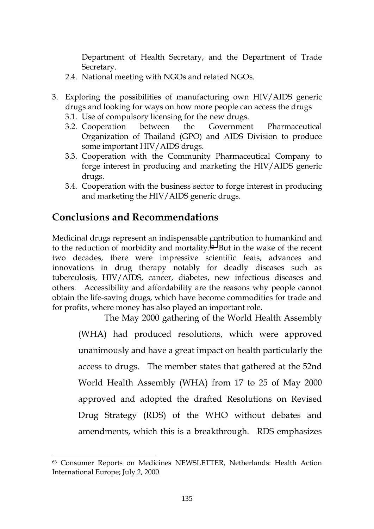Department of Health Secretary, and the Department of Trade Secretary.

- 2.4. National meeting with NGOs and related NGOs.
- 3. Exploring the possibilities of manufacturing own HIV/AIDS generic drugs and looking for ways on how more people can access the drugs
	- 3.1. Use of compulsory licensing for the new drugs.
	- 3.2. Cooperation between the Government Pharmaceutical Organization of Thailand (GPO) and AIDS Division to produce some important HIV/AIDS drugs.
	- 3.3. Cooperation with the Community Pharmaceutical Company to forge interest in producing and marketing the HIV/AIDS generic drugs.
	- 3.4. Cooperation with the business sector to forge interest in producing and marketing the HIV/AIDS generic drugs.

### **Conclusions and Recommendations**

 $\overline{a}$ 

Medicinal drugs represent an indispensable contribution to humankind and to the reduction of morbidity and mortality.63 But in the wake of the recent two decades, there were impressive scientific feats, advances and innovations in drug therapy notably for deadly diseases such as tuberculosis, HIV/AIDS, cancer, diabetes, new infectious diseases and others. Accessibility and affordability are the reasons why people cannot obtain the life-saving drugs, which have become commodities for trade and for profits, where money has also played an important role.

The May 2000 gathering of the World Health Assembly (WHA) had produced resolutions, which were approved unanimously and have a great impact on health particularly the access to drugs. The member states that gathered at the 52nd World Health Assembly (WHA) from 17 to 25 of May 2000 approved and adopted the drafted Resolutions on Revised Drug Strategy (RDS) of the WHO without debates and amendments, which this is a breakthrough. RDS emphasizes

<sup>63</sup> Consumer Reports on Medicines NEWSLETTER, Netherlands: Health Action International Europe; July 2, 2000.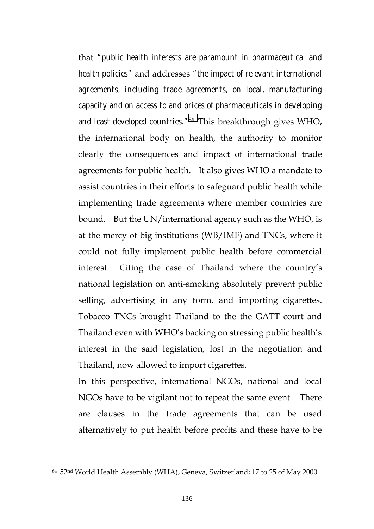that *"public health interests are paramount in pharmaceutical and health policies"* and addresses *"the impact of relevant international agreements, including trade agreements, on local, manufacturing capacity and on access to and prices of pharmaceuticals in developing and least developed countries."64* This breakthrough gives WHO, the international body on health, the authority to monitor clearly the consequences and impact of international trade agreements for public health. It also gives WHO a mandate to assist countries in their efforts to safeguard public health while implementing trade agreements where member countries are bound. But the UN/international agency such as the WHO, is at the mercy of big institutions (WB/IMF) and TNCs, where it could not fully implement public health before commercial interest. Citing the case of Thailand where the country's national legislation on anti-smoking absolutely prevent public selling, advertising in any form, and importing cigarettes. Tobacco TNCs brought Thailand to the the GATT court and Thailand even with WHO's backing on stressing public health's interest in the said legislation, lost in the negotiation and Thailand, now allowed to import cigarettes.

In this perspective, international NGOs, national and local NGOs have to be vigilant not to repeat the same event. There are clauses in the trade agreements that can be used alternatively to put health before profits and these have to be

 $\overline{a}$ 

<sup>64 52</sup>nd World Health Assembly (WHA), Geneva, Switzerland; 17 to 25 of May 2000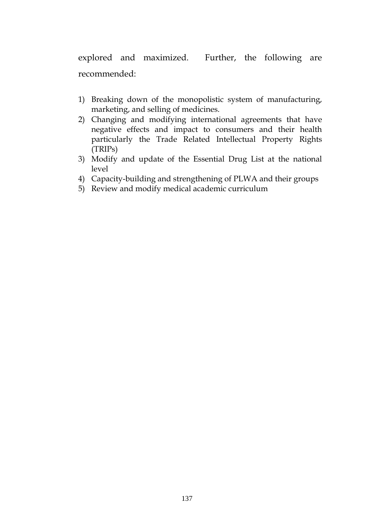explored and maximized. Further, the following are recommended:

- 1) Breaking down of the monopolistic system of manufacturing, marketing, and selling of medicines.
- 2) Changing and modifying international agreements that have negative effects and impact to consumers and their health particularly the Trade Related Intellectual Property Rights (TRIPs)
- 3) Modify and update of the Essential Drug List at the national level
- 4) Capacity-building and strengthening of PLWA and their groups
- 5) Review and modify medical academic curriculum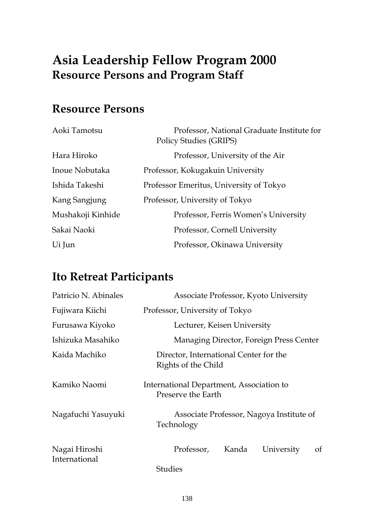# **Asia Leadership Fellow Program 2000 Resource Persons and Program Staff**

# **Resource Persons**

| Aoki Tamotsu      | Professor, National Graduate Institute for<br><b>Policy Studies (GRIPS)</b> |  |
|-------------------|-----------------------------------------------------------------------------|--|
| Hara Hiroko       | Professor, University of the Air                                            |  |
| Inoue Nobutaka    | Professor, Kokugakuin University                                            |  |
| Ishida Takeshi    | Professor Emeritus, University of Tokyo                                     |  |
| Kang Sangjung     | Professor, University of Tokyo                                              |  |
| Mushakoji Kinhide | Professor, Ferris Women's University                                        |  |
| Sakai Naoki       | Professor, Cornell University                                               |  |
| Ui Jun            | Professor, Okinawa University                                               |  |

# **Ito Retreat Participants**

| Patricio N. Abinales           | Associate Professor, Kyoto University                          |  |
|--------------------------------|----------------------------------------------------------------|--|
| Fujiwara Kiichi                | Professor, University of Tokyo                                 |  |
| Furusawa Kiyoko                | Lecturer, Keisen University                                    |  |
| Ishizuka Masahiko              | Managing Director, Foreign Press Center                        |  |
| Kaida Machiko                  | Director, International Center for the<br>Rights of the Child  |  |
| Kamiko Naomi                   | International Department, Association to<br>Preserve the Earth |  |
| Nagafuchi Yasuyuki             | Associate Professor, Nagoya Institute of<br>Technology         |  |
| Nagai Hiroshi<br>International | Kanda<br>of<br>Professor,<br>University                        |  |
|                                | <b>Studies</b>                                                 |  |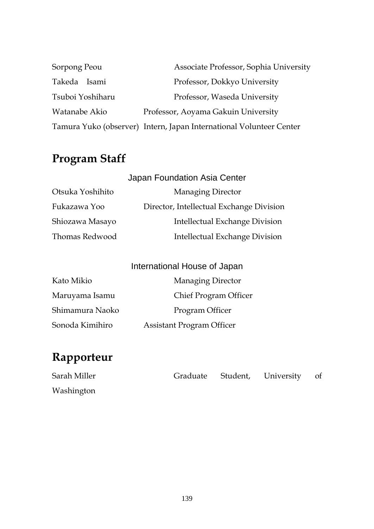| Sorpong Peou     | Associate Professor, Sophia University                              |
|------------------|---------------------------------------------------------------------|
| Takeda Isami     | Professor, Dokkyo University                                        |
| Tsuboi Yoshiharu | Professor, Waseda University                                        |
| Watanabe Akio    | Professor, Aoyama Gakuin University                                 |
|                  | Tamura Yuko (observer) Intern, Japan International Volunteer Center |

# **Program Staff**

|                  | Japan Foundation Asia Center             |
|------------------|------------------------------------------|
| Otsuka Yoshihito | <b>Managing Director</b>                 |
| Fukazawa Yoo     | Director, Intellectual Exchange Division |
| Shiozawa Masayo  | Intellectual Exchange Division           |
| Thomas Redwood   | Intellectual Exchange Division           |

| International House of Japan |                                  |
|------------------------------|----------------------------------|
| Kato Mikio                   | <b>Managing Director</b>         |
| Maruyama Isamu               | Chief Program Officer            |
| Shimamura Naoko              | Program Officer                  |
| Sonoda Kimihiro              | <b>Assistant Program Officer</b> |

# **Rapporteur**

| Sarah Miller |  | Graduate Student, University of |  |
|--------------|--|---------------------------------|--|
| Washington   |  |                                 |  |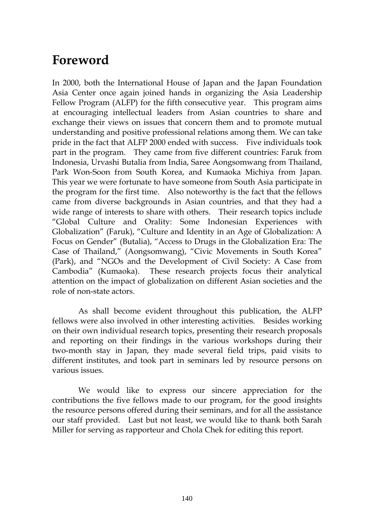# **Foreword**

In 2000, both the International House of Japan and the Japan Foundation Asia Center once again joined hands in organizing the Asia Leadership Fellow Program (ALFP) for the fifth consecutive year. This program aims at encouraging intellectual leaders from Asian countries to share and exchange their views on issues that concern them and to promote mutual understanding and positive professional relations among them. We can take pride in the fact that ALFP 2000 ended with success. Five individuals took part in the program. They came from five different countries: Faruk from Indonesia, Urvashi Butalia from India, Saree Aongsomwang from Thailand, Park Won-Soon from South Korea, and Kumaoka Michiya from Japan. This year we were fortunate to have someone from South Asia participate in the program for the first time. Also noteworthy is the fact that the fellows came from diverse backgrounds in Asian countries, and that they had a wide range of interests to share with others. Their research topics include "Global Culture and Orality: Some Indonesian Experiences with Globalization" (Faruk), "Culture and Identity in an Age of Globalization: A Focus on Gender" (Butalia), "Access to Drugs in the Globalization Era: The Case of Thailand," (Aongsomwang), "Civic Movements in South Korea" (Park), and "NGOs and the Development of Civil Society: A Case from Cambodia" (Kumaoka). These research projects focus their analytical attention on the impact of globalization on different Asian societies and the role of non-state actors.

As shall become evident throughout this publication, the ALFP fellows were also involved in other interesting activities. Besides working on their own individual research topics, presenting their research proposals and reporting on their findings in the various workshops during their two-month stay in Japan, they made several field trips, paid visits to different institutes, and took part in seminars led by resource persons on various issues.

We would like to express our sincere appreciation for the contributions the five fellows made to our program, for the good insights the resource persons offered during their seminars, and for all the assistance our staff provided. Last but not least, we would like to thank both Sarah Miller for serving as rapporteur and Chola Chek for editing this report.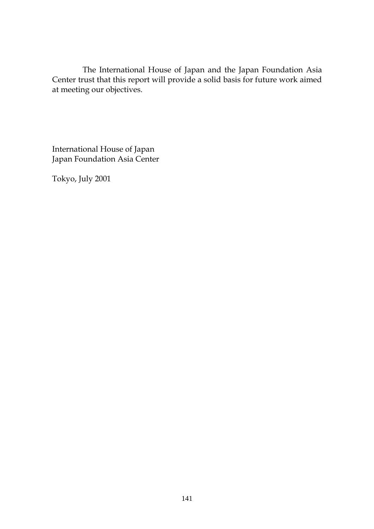The International House of Japan and the Japan Foundation Asia Center trust that this report will provide a solid basis for future work aimed at meeting our objectives.

International House of Japan Japan Foundation Asia Center

Tokyo, July 2001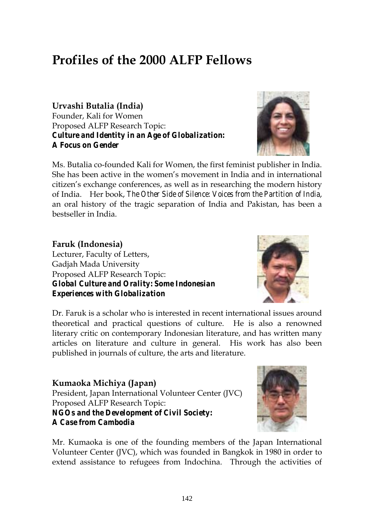# **Profiles of the 2000 ALFP Fellows**

**Urvashi Butalia (India)**  Founder, Kali for Women Proposed ALFP Research Topic: *Culture and Identity in an Age of Globalization: A Focus on Gender* 

Ms. Butalia co-founded Kali for Women, the first feminist publisher in India. She has been active in the women's movement in India and in international citizen's exchange conferences, as well as in researching the modern history of India. Her book, *The Other Side of Silence: Voices from the Partition of India*, an oral history of the tragic separation of India and Pakistan, has been a bestseller in India.

**Faruk (Indonesia)**  Lecturer, Faculty of Letters, Gadjah Mada University Proposed ALFP Research Topic: *Global Culture and Orality: Some Indonesian Experiences with Globalization* 

Dr. Faruk is a scholar who is interested in recent international issues around theoretical and practical questions of culture. He is also a renowned literary critic on contemporary Indonesian literature, and has written many articles on literature and culture in general. His work has also been published in journals of culture, the arts and literature.

**Kumaoka Michiya (Japan)**  President, Japan International Volunteer Center (JVC) Proposed ALFP Research Topic: *NGOs and the Development of Civil Society: A Case from Cambodia* 

Mr. Kumaoka is one of the founding members of the Japan International Volunteer Center (JVC), which was founded in Bangkok in 1980 in order to extend assistance to refugees from Indochina. Through the activities of







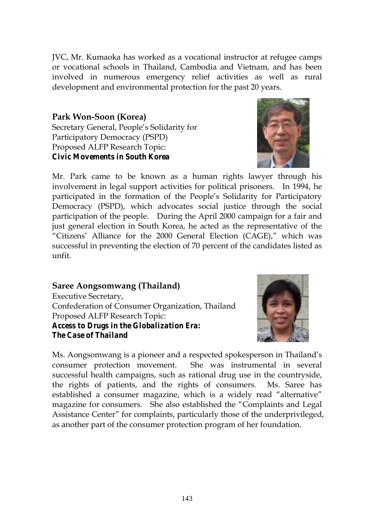JVC, Mr. Kumaoka has worked as a vocational instructor at refugee camps or vocational schools in Thailand, Cambodia and Vietnam, and has been involved in numerous emergency relief activities as well as rural development and environmental protection for the past 20 years.

### **Park Won-Soon (Korea)**

Secretary General, People's Solidarity for Participatory Democracy (PSPD) Proposed ALFP Research Topic: *Civic Movements in South Korea*



Mr. Park came to be known as a human rights lawyer through his involvement in legal support activities for political prisoners. In 1994, he participated in the formation of the People's Solidarity for Participatory Democracy (PSPD), which advocates social justice through the social participation of the people. During the April 2000 campaign for a fair and just general election in South Korea, he acted as the representative of the "Citizens' Alliance for the 2000 General Election (CAGE)," which was successful in preventing the election of 70 percent of the candidates listed as unfit.

**Saree Aongsomwang (Thailand)**  Executive Secretary, Confederation of Consumer Organization, Thailand Proposed ALFP Research Topic: *Access to Drugs in the Globalization Era: The Case of Thailand* 



Ms. Aongsomwang is a pioneer and a respected spokesperson in Thailand's consumer protection movement. She was instrumental in several successful health campaigns, such as rational drug use in the countryside, the rights of patients, and the rights of consumers. Ms. Saree has established a consumer magazine, which is a widely read "alternative" magazine for consumers. She also established the "Complaints and Legal Assistance Center" for complaints, particularly those of the underprivileged, as another part of the consumer protection program of her foundation.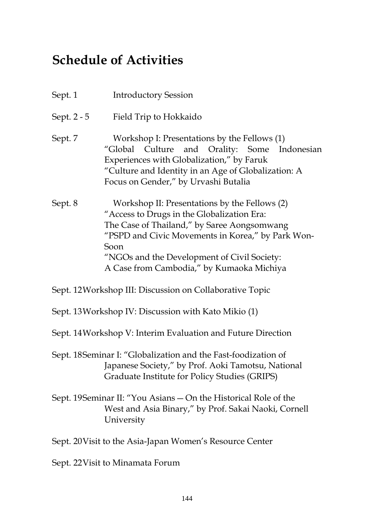# **Schedule of Activities**

| Sept. 1     | <b>Introductory Session</b>                                                                                                                                                                                                                                                                         |
|-------------|-----------------------------------------------------------------------------------------------------------------------------------------------------------------------------------------------------------------------------------------------------------------------------------------------------|
| Sept. 2 - 5 | Field Trip to Hokkaido                                                                                                                                                                                                                                                                              |
| Sept. 7     | Workshop I: Presentations by the Fellows (1)<br>"Global Culture and Orality: Some Indonesian<br>Experiences with Globalization," by Faruk<br>"Culture and Identity in an Age of Globalization: A<br>Focus on Gender," by Urvashi Butalia                                                            |
| Sept. 8     | Workshop II: Presentations by the Fellows (2)<br>"Access to Drugs in the Globalization Era:<br>The Case of Thailand," by Saree Aongsomwang<br>"PSPD and Civic Movements in Korea," by Park Won-<br>Soon<br>"NGOs and the Development of Civil Society:<br>A Case from Cambodia," by Kumaoka Michiya |

Sept. 12 Workshop III: Discussion on Collaborative Topic

Sept. 13 Workshop IV: Discussion with Kato Mikio (1)

Sept. 14 Workshop V: Interim Evaluation and Future Direction

Sept. 18 Seminar I: "Globalization and the Fast-foodization of Japanese Society," by Prof. Aoki Tamotsu, National Graduate Institute for Policy Studies (GRIPS)

Sept. 19 Seminar II: "You Asians — On the Historical Role of the West and Asia Binary," by Prof. Sakai Naoki, Cornell University

Sept. 20 Visit to the Asia-Japan Women's Resource Center

Sept. 22 Visit to Minamata Forum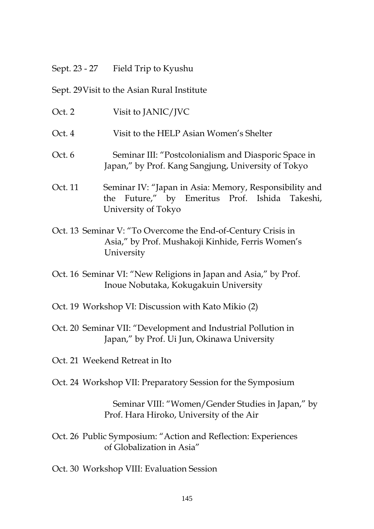#### Sept. 23 - 27 Field Trip to Kyushu

#### Sept. 29 Visit to the Asian Rural Institute

- Oct. 2 Visit to JANIC/JVC
- Oct. 4 Visit to the HELP Asian Women's Shelter
- Oct. 6 Seminar III: "Postcolonialism and Diasporic Space in Japan," by Prof. Kang Sangjung, University of Tokyo
- Oct. 11 Seminar IV: "Japan in Asia: Memory, Responsibility and the Future," by Emeritus Prof. Ishida Takeshi, University of Tokyo
- Oct. 13 Seminar V: "To Overcome the End-of-Century Crisis in Asia," by Prof. Mushakoji Kinhide, Ferris Women's University
- Oct. 16 Seminar VI: "New Religions in Japan and Asia," by Prof. Inoue Nobutaka, Kokugakuin University
- Oct. 19 Workshop VI: Discussion with Kato Mikio (2)
- Oct. 20 Seminar VII: "Development and Industrial Pollution in Japan," by Prof. Ui Jun, Okinawa University
- Oct. 21 Weekend Retreat in Ito
- Oct. 24 Workshop VII: Preparatory Session for the Symposium

 Seminar VIII: "Women/Gender Studies in Japan," by Prof. Hara Hiroko, University of the Air

Oct. 26 Public Symposium: "Action and Reflection: Experiences of Globalization in Asia"

Oct. 30 Workshop VIII: Evaluation Session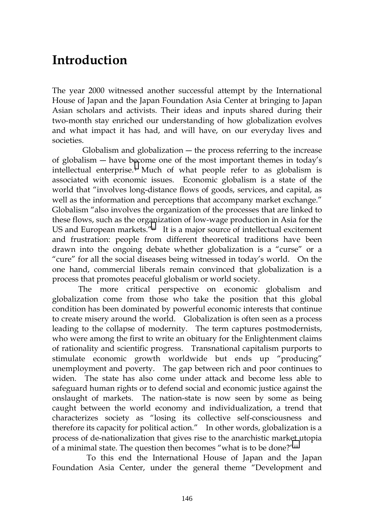# **Introduction**

The year 2000 witnessed another successful attempt by the International House of Japan and the Japan Foundation Asia Center at bringing to Japan Asian scholars and activists. Their ideas and inputs shared during their two-month stay enriched our understanding of how globalization evolves and what impact it has had, and will have, on our everyday lives and societies.

Globalism and globalization  $-$  the process referring to the increase of globalism ― have b[ec](#page-100-0)ome one of the most important themes in today's intellectual enterprise.<sup>i</sup> Much of what people refer to as globalism is associated with economic issues. Economic globalism is a state of the world that "involves long-distance flows of goods, services, and capital, as well as the information and perceptions that accompany market exchange." Globalism "also involves the organization of the processes that are linked to these flows, such as the organization of low-wage production in Asia for the US and European markets.["ii](#page-100-0) It is a major source of intellectual excitement and frustration: people from different theoretical traditions have been drawn into the ongoing debate whether globalization is a "curse" or a "cure" for all the social diseases being witnessed in today's world. On the one hand, commercial liberals remain convinced that globalization is a process that promotes peaceful globalism or world society.

The more critical perspective on economic globalism and globalization come from those who take the position that this global condition has been dominated by powerful economic interests that continue to create misery around the world. Globalization is often seen as a process leading to the collapse of modernity. The term captures postmodernists, who were among the first to write an obituary for the Enlightenment claims of rationality and scientific progress. Transnational capitalism purports to stimulate economic growth worldwide but ends up "producing" unemployment and poverty. The gap between rich and poor continues to widen. The state has also come under attack and become less able to safeguard human rights or to defend social and economic justice against the onslaught of markets. The nation-state is now seen by some as being caught between the world economy and individualization, a trend that characterizes society as "losing its collective self-consciousness and therefore its capacity for political action." In other words, globalization is a process of de-nationalization that gives rise to the anarchistic market utopia of a minimal state. The question then becomes "what is to be done?["iii](#page-100-0) 

 To this end the International House of Japan and the Japan Foundation Asia Center, under the general theme "Development and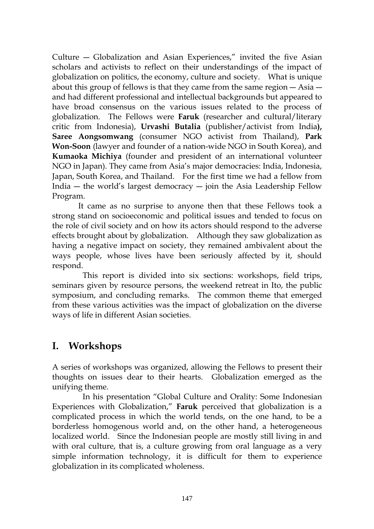Culture ― Globalization and Asian Experiences," invited the five Asian scholars and activists to reflect on their understandings of the impact of globalization on politics, the economy, culture and society. What is unique about this group of fellows is that they came from the same region ― Asia ― and had different professional and intellectual backgrounds but appeared to have broad consensus on the various issues related to the process of globalization. The Fellows were **Faruk** (researcher and cultural/literary critic from Indonesia), **Urvashi Butalia** (publisher/activist from India**), Saree Aongsomwang** (consumer NGO activist from Thailand), **Park Won-Soon** (lawyer and founder of a nation-wide NGO in South Korea), and **Kumaoka Michiya** (founder and president of an international volunteer NGO in Japan). They came from Asia's major democracies: India, Indonesia, Japan, South Korea, and Thailand. For the first time we had a fellow from India ― the world's largest democracy ― join the Asia Leadership Fellow Program.

It came as no surprise to anyone then that these Fellows took a strong stand on socioeconomic and political issues and tended to focus on the role of civil society and on how its actors should respond to the adverse effects brought about by globalization. Although they saw globalization as having a negative impact on society, they remained ambivalent about the ways people, whose lives have been seriously affected by it, should respond.

 This report is divided into six sections: workshops, field trips, seminars given by resource persons, the weekend retreat in Ito, the public symposium, and concluding remarks. The common theme that emerged from these various activities was the impact of globalization on the diverse ways of life in different Asian societies.

## **I. Workshops**

A series of workshops was organized, allowing the Fellows to present their thoughts on issues dear to their hearts. Globalization emerged as the unifying theme.

 In his presentation "Global Culture and Orality: Some Indonesian Experiences with Globalization," **Faruk** perceived that globalization is a complicated process in which the world tends, on the one hand, to be a borderless homogenous world and, on the other hand, a heterogeneous localized world. Since the Indonesian people are mostly still living in and with oral culture, that is, a culture growing from oral language as a very simple information technology, it is difficult for them to experience globalization in its complicated wholeness.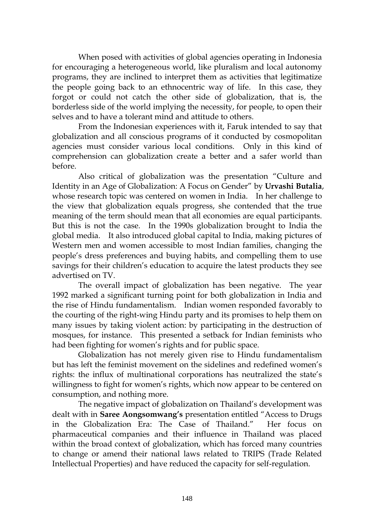When posed with activities of global agencies operating in Indonesia for encouraging a heterogeneous world, like pluralism and local autonomy programs, they are inclined to interpret them as activities that legitimatize the people going back to an ethnocentric way of life. In this case, they forgot or could not catch the other side of globalization, that is, the borderless side of the world implying the necessity, for people, to open their selves and to have a tolerant mind and attitude to others.

From the Indonesian experiences with it, Faruk intended to say that globalization and all conscious programs of it conducted by cosmopolitan agencies must consider various local conditions. Only in this kind of comprehension can globalization create a better and a safer world than before.

Also critical of globalization was the presentation "Culture and Identity in an Age of Globalization: A Focus on Gender" by **Urvashi Butalia**, whose research topic was centered on women in India. In her challenge to the view that globalization equals progress, she contended that the true meaning of the term should mean that all economies are equal participants. But this is not the case. In the 1990s globalization brought to India the global media. It also introduced global capital to India, making pictures of Western men and women accessible to most Indian families, changing the people's dress preferences and buying habits, and compelling them to use savings for their children's education to acquire the latest products they see advertised on TV.

The overall impact of globalization has been negative. The year 1992 marked a significant turning point for both globalization in India and the rise of Hindu fundamentalism. Indian women responded favorably to the courting of the right-wing Hindu party and its promises to help them on many issues by taking violent action: by participating in the destruction of mosques, for instance. This presented a setback for Indian feminists who had been fighting for women's rights and for public space.

Globalization has not merely given rise to Hindu fundamentalism but has left the feminist movement on the sidelines and redefined women's rights: the influx of multinational corporations has neutralized the state's willingness to fight for women's rights, which now appear to be centered on consumption, and nothing more.

The negative impact of globalization on Thailand's development was dealt with in **Saree Aongsomwang's** presentation entitled "Access to Drugs in the Globalization Era: The Case of Thailand." Her focus on pharmaceutical companies and their influence in Thailand was placed within the broad context of globalization, which has forced many countries to change or amend their national laws related to TRIPS (Trade Related Intellectual Properties) and have reduced the capacity for self-regulation.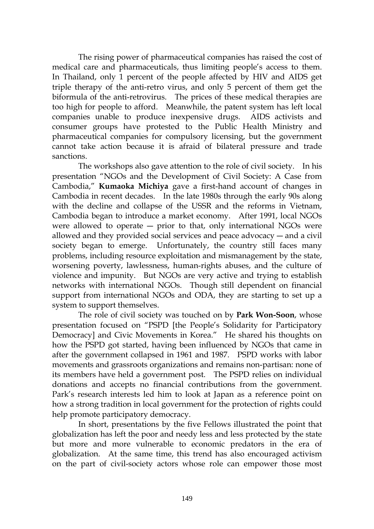The rising power of pharmaceutical companies has raised the cost of medical care and pharmaceuticals, thus limiting people's access to them. In Thailand, only 1 percent of the people affected by HIV and AIDS get triple therapy of the anti-retro virus, and only 5 percent of them get the biformula of the anti-retrovirus. The prices of these medical therapies are too high for people to afford. Meanwhile, the patent system has left local companies unable to produce inexpensive drugs. AIDS activists and consumer groups have protested to the Public Health Ministry and pharmaceutical companies for compulsory licensing, but the government cannot take action because it is afraid of bilateral pressure and trade sanctions.

The workshops also gave attention to the role of civil society. In his presentation "NGOs and the Development of Civil Society: A Case from Cambodia," **Kumaoka Michiya** gave a first-hand account of changes in Cambodia in recent decades. In the late 1980s through the early 90s along with the decline and collapse of the USSR and the reforms in Vietnam, Cambodia began to introduce a market economy. After 1991, local NGOs were allowed to operate  $-$  prior to that, only international NGOs were allowed and they provided social services and peace advocacy ― and a civil society began to emerge. Unfortunately, the country still faces many problems, including resource exploitation and mismanagement by the state, worsening poverty, lawlessness, human-rights abuses, and the culture of violence and impunity. But NGOs are very active and trying to establish networks with international NGOs. Though still dependent on financial support from international NGOs and ODA, they are starting to set up a system to support themselves.

The role of civil society was touched on by **Park Won-Soon**, whose presentation focused on "PSPD [the People's Solidarity for Participatory Democracy] and Civic Movements in Korea." He shared his thoughts on how the PSPD got started, having been influenced by NGOs that came in after the government collapsed in 1961 and 1987. PSPD works with labor movements and grassroots organizations and remains non-partisan: none of its members have held a government post. The PSPD relies on individual donations and accepts no financial contributions from the government. Park's research interests led him to look at Japan as a reference point on how a strong tradition in local government for the protection of rights could help promote participatory democracy.

In short, presentations by the five Fellows illustrated the point that globalization has left the poor and needy less and less protected by the state but more and more vulnerable to economic predators in the era of globalization. At the same time, this trend has also encouraged activism on the part of civil-society actors whose role can empower those most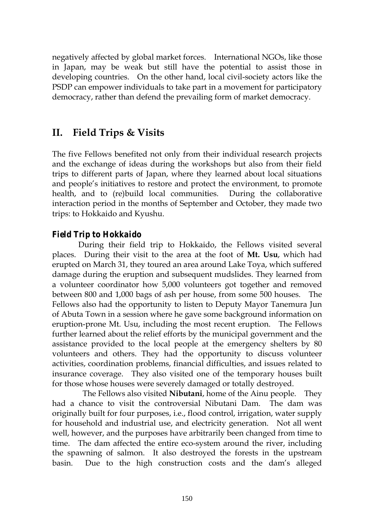negatively affected by global market forces. International NGOs, like those in Japan, may be weak but still have the potential to assist those in developing countries. On the other hand, local civil-society actors like the PSDP can empower individuals to take part in a movement for participatory democracy, rather than defend the prevailing form of market democracy.

## **II. Field Trips & Visits**

The five Fellows benefited not only from their individual research projects and the exchange of ideas during the workshops but also from their field trips to different parts of Japan, where they learned about local situations and people's initiatives to restore and protect the environment, to promote health, and to (re)build local communities. During the collaborative interaction period in the months of September and October, they made two trips: to Hokkaido and Kyushu.

### *Field Trip to Hokkaido*

During their field trip to Hokkaido, the Fellows visited several places. During their visit to the area at the foot of **Mt. Usu**, which had erupted on March 31, they toured an area around Lake Toya, which suffered damage during the eruption and subsequent mudslides. They learned from a volunteer coordinator how 5,000 volunteers got together and removed between 800 and 1,000 bags of ash per house, from some 500 houses. The Fellows also had the opportunity to listen to Deputy Mayor Tanemura Jun of Abuta Town in a session where he gave some background information on eruption-prone Mt. Usu, including the most recent eruption. The Fellows further learned about the relief efforts by the municipal government and the assistance provided to the local people at the emergency shelters by 80 volunteers and others. They had the opportunity to discuss volunteer activities, coordination problems, financial difficulties, and issues related to insurance coverage. They also visited one of the temporary houses built for those whose houses were severely damaged or totally destroyed.

 The Fellows also visited **Nibutani**, home of the Ainu people. They had a chance to visit the controversial Nibutani Dam. The dam was originally built for four purposes, i.e., flood control, irrigation, water supply for household and industrial use, and electricity generation. Not all went well, however, and the purposes have arbitrarily been changed from time to time. The dam affected the entire eco-system around the river, including the spawning of salmon. It also destroyed the forests in the upstream basin. Due to the high construction costs and the dam's alleged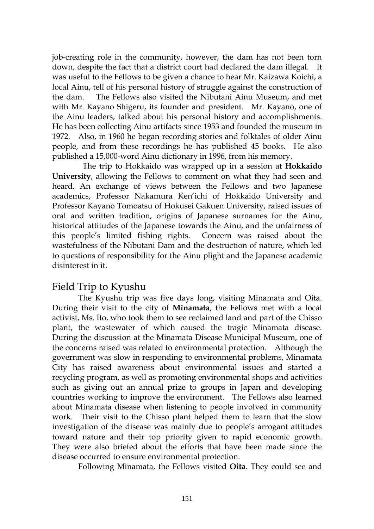job-creating role in the community, however, the dam has not been torn down, despite the fact that a district court had declared the dam illegal. It was useful to the Fellows to be given a chance to hear Mr. Kaizawa Koichi, a local Ainu, tell of his personal history of struggle against the construction of the dam. The Fellows also visited the Nibutani Ainu Museum, and met with Mr. Kayano Shigeru, its founder and president. Mr. Kayano, one of the Ainu leaders, talked about his personal history and accomplishments. He has been collecting Ainu artifacts since 1953 and founded the museum in 1972. Also, in 1960 he began recording stories and folktales of older Ainu people, and from these recordings he has published 45 books. He also published a 15,000-word Ainu dictionary in 1996, from his memory.

 The trip to Hokkaido was wrapped up in a session at **Hokkaido University**, allowing the Fellows to comment on what they had seen and heard. An exchange of views between the Fellows and two Japanese academics, Professor Nakamura Ken'ichi of Hokkaido University and Professor Kayano Tomoatsu of Hokusei Gakuen University, raised issues of oral and written tradition, origins of Japanese surnames for the Ainu, historical attitudes of the Japanese towards the Ainu, and the unfairness of this people's limited fishing rights. Concern was raised about the wastefulness of the Nibutani Dam and the destruction of nature, which led to questions of responsibility for the Ainu plight and the Japanese academic disinterest in it.

#### Field Trip to Kyushu

The Kyushu trip was five days long, visiting Minamata and Oita. During their visit to the city of **Minamata**, the Fellows met with a local activist, Ms. Ito, who took them to see reclaimed land and part of the Chisso plant, the wastewater of which caused the tragic Minamata disease. During the discussion at the Minamata Disease Municipal Museum, one of the concerns raised was related to environmental protection. Although the government was slow in responding to environmental problems, Minamata City has raised awareness about environmental issues and started a recycling program, as well as promoting environmental shops and activities such as giving out an annual prize to groups in Japan and developing countries working to improve the environment. The Fellows also learned about Minamata disease when listening to people involved in community work. Their visit to the Chisso plant helped them to learn that the slow investigation of the disease was mainly due to people's arrogant attitudes toward nature and their top priority given to rapid economic growth. They were also briefed about the efforts that have been made since the disease occurred to ensure environmental protection.

Following Minamata, the Fellows visited **Oita**. They could see and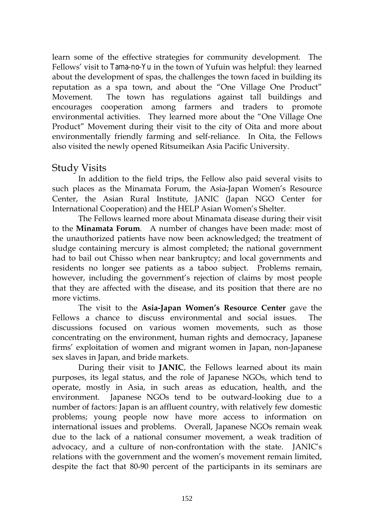learn some of the effective strategies for community development. The Fellows' visit to *Tama-no-Yu* in the town of Yufuin was helpful: they learned about the development of spas, the challenges the town faced in building its reputation as a spa town, and about the "One Village One Product" Movement. The town has regulations against tall buildings and encourages cooperation among farmers and traders to promote environmental activities. They learned more about the "One Village One Product" Movement during their visit to the city of Oita and more about environmentally friendly farming and self-reliance. In Oita, the Fellows also visited the newly opened Ritsumeikan Asia Pacific University.

### Study Visits

In addition to the field trips, the Fellow also paid several visits to such places as the Minamata Forum, the Asia-Japan Women's Resource Center, the Asian Rural Institute, JANIC (Japan NGO Center for International Cooperation) and the HELP Asian Women's Shelter.

The Fellows learned more about Minamata disease during their visit to the **Minamata Forum**. A number of changes have been made: most of the unauthorized patients have now been acknowledged; the treatment of sludge containing mercury is almost completed; the national government had to bail out Chisso when near bankruptcy; and local governments and residents no longer see patients as a taboo subject. Problems remain, however, including the government's rejection of claims by most people that they are affected with the disease, and its position that there are no more victims.

The visit to the **Asia-Japan Women's Resource Center** gave the Fellows a chance to discuss environmental and social issues. The discussions focused on various women movements, such as those concentrating on the environment, human rights and democracy, Japanese firms' exploitation of women and migrant women in Japan, non-Japanese sex slaves in Japan, and bride markets.

During their visit to **JANIC**, the Fellows learned about its main purposes, its legal status, and the role of Japanese NGOs, which tend to operate, mostly in Asia, in such areas as education, health, and the environment. Japanese NGOs tend to be outward-looking due to a number of factors: Japan is an affluent country, with relatively few domestic problems; young people now have more access to information on international issues and problems. Overall, Japanese NGOs remain weak due to the lack of a national consumer movement, a weak tradition of advocacy, and a culture of non-confrontation with the state. JANIC's relations with the government and the women's movement remain limited, despite the fact that 80-90 percent of the participants in its seminars are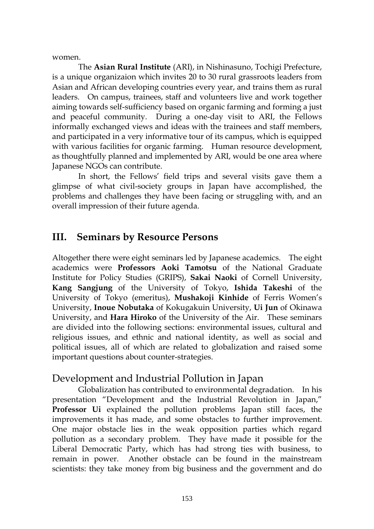women.

The **Asian Rural Institute** (ARI), in Nishinasuno, Tochigi Prefecture, is a unique organizaion which invites 20 to 30 rural grassroots leaders from Asian and African developing countries every year, and trains them as rural leaders. On campus, trainees, staff and volunteers live and work together aiming towards self-sufficiency based on organic farming and forming a just and peaceful community. During a one-day visit to ARI, the Fellows informally exchanged views and ideas with the trainees and staff members, and participated in a very informative tour of its campus, which is equipped with various facilities for organic farming. Human resource development, as thoughtfully planned and implemented by ARI, would be one area where Japanese NGOs can contribute.

In short, the Fellows' field trips and several visits gave them a glimpse of what civil-society groups in Japan have accomplished, the problems and challenges they have been facing or struggling with, and an overall impression of their future agenda.

### **III. Seminars by Resource Persons**

Altogether there were eight seminars led by Japanese academics. The eight academics were **Professors Aoki Tamotsu** of the National Graduate Institute for Policy Studies (GRIPS), **Sakai Naoki** of Cornell University, **Kang Sangjung** of the University of Tokyo, **Ishida Takeshi** of the University of Tokyo (emeritus), **Mushakoji Kinhide** of Ferris Women's University, **Inoue Nobutaka** of Kokugakuin University, **Ui Jun** of Okinawa University, and **Hara Hiroko** of the University of the Air. These seminars are divided into the following sections: environmental issues, cultural and religious issues, and ethnic and national identity, as well as social and political issues, all of which are related to globalization and raised some important questions about counter-strategies.

### Development and Industrial Pollution in Japan

Globalization has contributed to environmental degradation. In his presentation "Development and the Industrial Revolution in Japan," **Professor Ui** explained the pollution problems Japan still faces, the improvements it has made, and some obstacles to further improvement. One major obstacle lies in the weak opposition parties which regard pollution as a secondary problem. They have made it possible for the Liberal Democratic Party, which has had strong ties with business, to remain in power. Another obstacle can be found in the mainstream scientists: they take money from big business and the government and do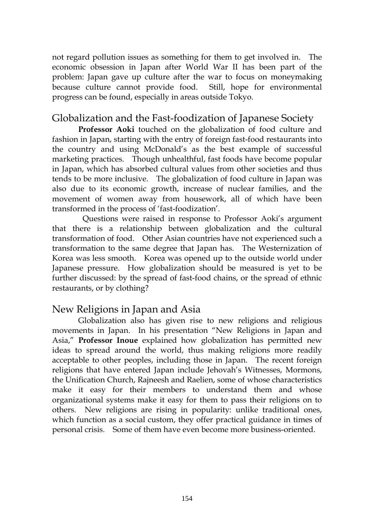not regard pollution issues as something for them to get involved in. The economic obsession in Japan after World War II has been part of the problem: Japan gave up culture after the war to focus on moneymaking because culture cannot provide food. Still, hope for environmental progress can be found, especially in areas outside Tokyo.

### Globalization and the Fast-foodization of Japanese Society

**Professor Aoki** touched on the globalization of food culture and fashion in Japan, starting with the entry of foreign fast-food restaurants into the country and using McDonald's as the best example of successful marketing practices. Though unhealthful, fast foods have become popular in Japan, which has absorbed cultural values from other societies and thus tends to be more inclusive. The globalization of food culture in Japan was also due to its economic growth, increase of nuclear families, and the movement of women away from housework, all of which have been transformed in the process of 'fast-foodization'.

 Questions were raised in response to Professor Aoki's argument that there is a relationship between globalization and the cultural transformation of food. Other Asian countries have not experienced such a transformation to the same degree that Japan has. The Westernization of Korea was less smooth. Korea was opened up to the outside world under Japanese pressure. How globalization should be measured is yet to be further discussed: by the spread of fast-food chains, or the spread of ethnic restaurants, or by clothing?

### New Religions in Japan and Asia

Globalization also has given rise to new religions and religious movements in Japan. In his presentation "New Religions in Japan and Asia," **Professor Inoue** explained how globalization has permitted new ideas to spread around the world, thus making religions more readily acceptable to other peoples, including those in Japan. The recent foreign religions that have entered Japan include Jehovah's Witnesses, Mormons, the Unification Church, Rajneesh and Raelien, some of whose characteristics make it easy for their members to understand them and whose organizational systems make it easy for them to pass their religions on to others. New religions are rising in popularity: unlike traditional ones, which function as a social custom, they offer practical guidance in times of personal crisis. Some of them have even become more business-oriented.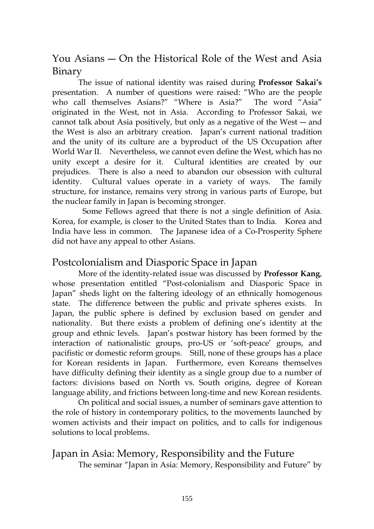You Asians ― On the Historical Role of the West and Asia Binary

The issue of national identity was raised during **Professor Sakai's** presentation. A number of questions were raised: "Who are the people who call themselves Asians?" "Where is Asia?" The word "Asia" originated in the West, not in Asia. According to Professor Sakai, we cannot talk about Asia positively, but only as a negative of the West ― and the West is also an arbitrary creation. Japan's current national tradition and the unity of its culture are a byproduct of the US Occupation after World War II. Nevertheless, we cannot even define the West, which has no unity except a desire for it. Cultural identities are created by our prejudices. There is also a need to abandon our obsession with cultural identity. Cultural values operate in a variety of ways. The family structure, for instance, remains very strong in various parts of Europe, but the nuclear family in Japan is becoming stronger.

 Some Fellows agreed that there is not a single definition of Asia. Korea, for example, is closer to the United States than to India. Korea and India have less in common. The Japanese idea of a Co-Prosperity Sphere did not have any appeal to other Asians.

### Postcolonialism and Diasporic Space in Japan

More of the identity-related issue was discussed by **Professor Kang**, whose presentation entitled "Post-colonialism and Diasporic Space in Japan" sheds light on the faltering ideology of an ethnically homogenous state. The difference between the public and private spheres exists. In Japan, the public sphere is defined by exclusion based on gender and nationality. But there exists a problem of defining one's identity at the group and ethnic levels. Japan's postwar history has been formed by the interaction of nationalistic groups, pro-US or 'soft-peace' groups, and pacifistic or domestic reform groups. Still, none of these groups has a place for Korean residents in Japan. Furthermore, even Koreans themselves have difficulty defining their identity as a single group due to a number of factors: divisions based on North vs. South origins, degree of Korean language ability, and frictions between long-time and new Korean residents.

On political and social issues, a number of seminars gave attention to the role of history in contemporary politics, to the movements launched by women activists and their impact on politics, and to calls for indigenous solutions to local problems.

### Japan in Asia: Memory, Responsibility and the Future The seminar "Japan in Asia: Memory, Responsibility and Future" by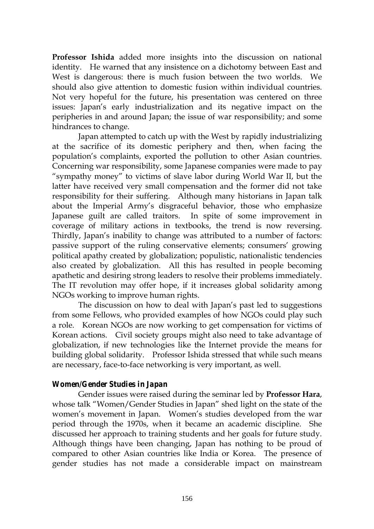**Professor Ishida** added more insights into the discussion on national identity. He warned that any insistence on a dichotomy between East and West is dangerous: there is much fusion between the two worlds. We should also give attention to domestic fusion within individual countries. Not very hopeful for the future, his presentation was centered on three issues: Japan's early industrialization and its negative impact on the peripheries in and around Japan; the issue of war responsibility; and some hindrances to change.

Japan attempted to catch up with the West by rapidly industrializing at the sacrifice of its domestic periphery and then, when facing the population's complaints, exported the pollution to other Asian countries. Concerning war responsibility, some Japanese companies were made to pay "sympathy money" to victims of slave labor during World War II, but the latter have received very small compensation and the former did not take responsibility for their suffering. Although many historians in Japan talk about the Imperial Army's disgraceful behavior, those who emphasize Japanese guilt are called traitors. In spite of some improvement in coverage of military actions in textbooks, the trend is now reversing. Thirdly, Japan's inability to change was attributed to a number of factors: passive support of the ruling conservative elements; consumers' growing political apathy created by globalization; populistic, nationalistic tendencies also created by globalization. All this has resulted in people becoming apathetic and desiring strong leaders to resolve their problems immediately. The IT revolution may offer hope, if it increases global solidarity among NGOs working to improve human rights.

The discussion on how to deal with Japan's past led to suggestions from some Fellows, who provided examples of how NGOs could play such a role. Korean NGOs are now working to get compensation for victims of Korean actions. Civil society groups might also need to take advantage of globalization, if new technologies like the Internet provide the means for building global solidarity. Professor Ishida stressed that while such means are necessary, face-to-face networking is very important, as well.

#### *Women/Gender Studies in Japan*

Gender issues were raised during the seminar led by **Professor Hara**, whose talk "Women/Gender Studies in Japan" shed light on the state of the women's movement in Japan. Women's studies developed from the war period through the 1970s, when it became an academic discipline. She discussed her approach to training students and her goals for future study. Although things have been changing, Japan has nothing to be proud of compared to other Asian countries like India or Korea. The presence of gender studies has not made a considerable impact on mainstream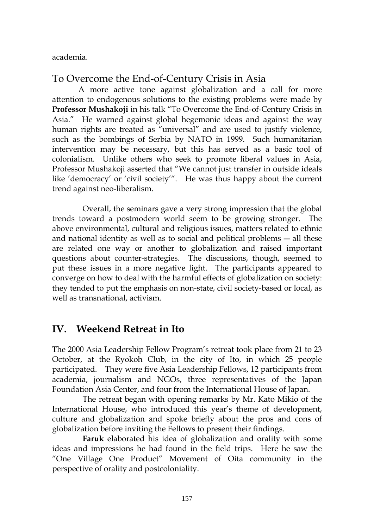academia.

## To Overcome the End-of-Century Crisis in Asia

A more active tone against globalization and a call for more attention to endogenous solutions to the existing problems were made by **Professor Mushakoji** in his talk "To Overcome the End-of-Century Crisis in Asia." He warned against global hegemonic ideas and against the way human rights are treated as "universal" and are used to justify violence, such as the bombings of Serbia by NATO in 1999. Such humanitarian intervention may be necessary, but this has served as a basic tool of colonialism. Unlike others who seek to promote liberal values in Asia, Professor Mushakoji asserted that "We cannot just transfer in outside ideals like 'democracy' or 'civil society'". He was thus happy about the current trend against neo-liberalism.

 Overall, the seminars gave a very strong impression that the global trends toward a postmodern world seem to be growing stronger. The above environmental, cultural and religious issues, matters related to ethnic and national identity as well as to social and political problems ― all these are related one way or another to globalization and raised important questions about counter-strategies. The discussions, though, seemed to put these issues in a more negative light. The participants appeared to converge on how to deal with the harmful effects of globalization on society: they tended to put the emphasis on non-state, civil society-based or local, as well as transnational, activism.

## **IV. Weekend Retreat in Ito**

The 2000 Asia Leadership Fellow Program's retreat took place from 21 to 23 October, at the Ryokoh Club, in the city of Ito, in which 25 people participated. They were five Asia Leadership Fellows, 12 participants from academia, journalism and NGOs, three representatives of the Japan Foundation Asia Center, and four from the International House of Japan.

 The retreat began with opening remarks by Mr. Kato Mikio of the International House, who introduced this year's theme of development, culture and globalization and spoke briefly about the pros and cons of globalization before inviting the Fellows to present their findings.

**Faruk** elaborated his idea of globalization and orality with some ideas and impressions he had found in the field trips. Here he saw the "One Village One Product" Movement of Oita community in the perspective of orality and postcoloniality.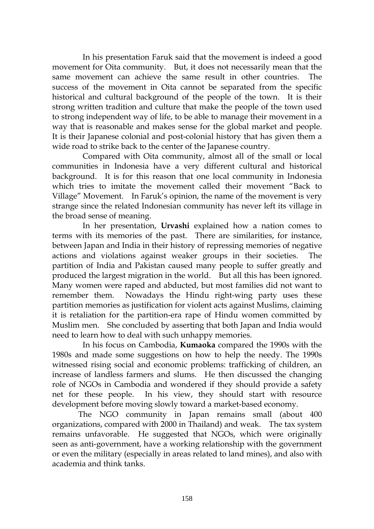In his presentation Faruk said that the movement is indeed a good movement for Oita community. But, it does not necessarily mean that the same movement can achieve the same result in other countries. The success of the movement in Oita cannot be separated from the specific historical and cultural background of the people of the town. It is their strong written tradition and culture that make the people of the town used to strong independent way of life, to be able to manage their movement in a way that is reasonable and makes sense for the global market and people. It is their Japanese colonial and post-colonial history that has given them a wide road to strike back to the center of the Japanese country.

 Compared with Oita community, almost all of the small or local communities in Indonesia have a very different cultural and historical background. It is for this reason that one local community in Indonesia which tries to imitate the movement called their movement "Back to Village" Movement. In Faruk's opinion, the name of the movement is very strange since the related Indonesian community has never left its village in the broad sense of meaning.

 In her presentation, **Urvashi** explained how a nation comes to terms with its memories of the past. There are similarities, for instance, between Japan and India in their history of repressing memories of negative actions and violations against weaker groups in their societies. The partition of India and Pakistan caused many people to suffer greatly and produced the largest migration in the world. But all this has been ignored. Many women were raped and abducted, but most families did not want to remember them. Nowadays the Hindu right-wing party uses these partition memories as justification for violent acts against Muslims, claiming it is retaliation for the partition-era rape of Hindu women committed by Muslim men. She concluded by asserting that both Japan and India would need to learn how to deal with such unhappy memories.

 In his focus on Cambodia, **Kumaoka** compared the 1990s with the 1980s and made some suggestions on how to help the needy. The 1990s witnessed rising social and economic problems: trafficking of children, an increase of landless farmers and slums. He then discussed the changing role of NGOs in Cambodia and wondered if they should provide a safety net for these people. In his view, they should start with resource development before moving slowly toward a market-based economy.

The NGO community in Japan remains small (about 400 organizations, compared with 2000 in Thailand) and weak. The tax system remains unfavorable. He suggested that NGOs, which were originally seen as anti-government, have a working relationship with the government or even the military (especially in areas related to land mines), and also with academia and think tanks.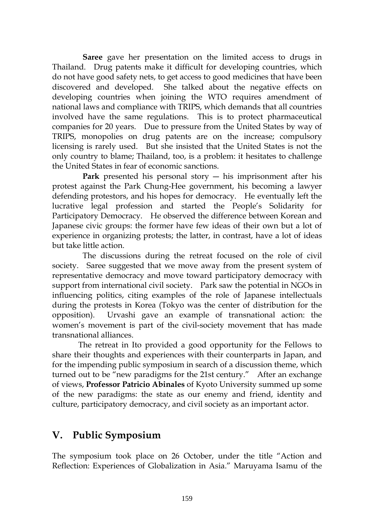**Saree** gave her presentation on the limited access to drugs in Thailand. Drug patents make it difficult for developing countries, which do not have good safety nets, to get access to good medicines that have been discovered and developed. She talked about the negative effects on developing countries when joining the WTO requires amendment of national laws and compliance with TRIPS, which demands that all countries involved have the same regulations. This is to protect pharmaceutical companies for 20 years. Due to pressure from the United States by way of TRIPS, monopolies on drug patents are on the increase; compulsory licensing is rarely used. But she insisted that the United States is not the only country to blame; Thailand, too, is a problem: it hesitates to challenge the United States in fear of economic sanctions.

**Park** presented his personal story ― his imprisonment after his protest against the Park Chung-Hee government, his becoming a lawyer defending protestors, and his hopes for democracy. He eventually left the lucrative legal profession and started the People's Solidarity for Participatory Democracy. He observed the difference between Korean and Japanese civic groups: the former have few ideas of their own but a lot of experience in organizing protests; the latter, in contrast, have a lot of ideas but take little action.

 The discussions during the retreat focused on the role of civil society. Saree suggested that we move away from the present system of representative democracy and move toward participatory democracy with support from international civil society. Park saw the potential in NGOs in influencing politics, citing examples of the role of Japanese intellectuals during the protests in Korea (Tokyo was the center of distribution for the opposition). Urvashi gave an example of transnational action: the women's movement is part of the civil-society movement that has made transnational alliances.

The retreat in Ito provided a good opportunity for the Fellows to share their thoughts and experiences with their counterparts in Japan, and for the impending public symposium in search of a discussion theme, which turned out to be "new paradigms for the 21st century." After an exchange of views, **Professor Patricio Abinales** of Kyoto University summed up some of the new paradigms: the state as our enemy and friend, identity and culture, participatory democracy, and civil society as an important actor.

## **V. Public Symposium**

The symposium took place on 26 October, under the title "Action and Reflection: Experiences of Globalization in Asia." Maruyama Isamu of the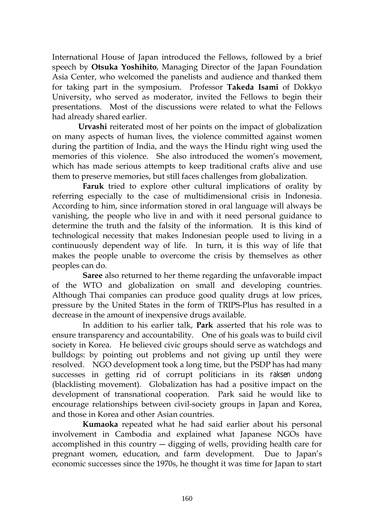International House of Japan introduced the Fellows, followed by a brief speech by **Otsuka Yoshihito**, Managing Director of the Japan Foundation Asia Center, who welcomed the panelists and audience and thanked them for taking part in the symposium. Professor **Takeda Isami** of Dokkyo University, who served as moderator, invited the Fellows to begin their presentations. Most of the discussions were related to what the Fellows had already shared earlier.

**Urvashi** reiterated most of her points on the impact of globalization on many aspects of human lives, the violence committed against women during the partition of India, and the ways the Hindu right wing used the memories of this violence. She also introduced the women's movement, which has made serious attempts to keep traditional crafts alive and use them to preserve memories, but still faces challenges from globalization.

**Faruk** tried to explore other cultural implications of orality by referring especially to the case of multidimensional crisis in Indonesia. According to him, since information stored in oral language will always be vanishing, the people who live in and with it need personal guidance to determine the truth and the falsity of the information. It is this kind of technological necessity that makes Indonesian people used to living in a continuously dependent way of life. In turn, it is this way of life that makes the people unable to overcome the crisis by themselves as other peoples can do.

**Saree** also returned to her theme regarding the unfavorable impact of the WTO and globalization on small and developing countries. Although Thai companies can produce good quality drugs at low prices, pressure by the United States in the form of TRIPS-Plus has resulted in a decrease in the amount of inexpensive drugs available.

 In addition to his earlier talk, **Park** asserted that his role was to ensure transparency and accountability. One of his goals was to build civil society in Korea. He believed civic groups should serve as watchdogs and bulldogs: by pointing out problems and not giving up until they were resolved. NGO development took a long time, but the PSDP has had many successes in getting rid of corrupt politicians in its *raksen undong*  (blacklisting movement). Globalization has had a positive impact on the development of transnational cooperation. Park said he would like to encourage relationships between civil-society groups in Japan and Korea, and those in Korea and other Asian countries.

**Kumaoka** repeated what he had said earlier about his personal involvement in Cambodia and explained what Japanese NGOs have accomplished in this country ― digging of wells, providing health care for pregnant women, education, and farm development. Due to Japan's economic successes since the 1970s, he thought it was time for Japan to start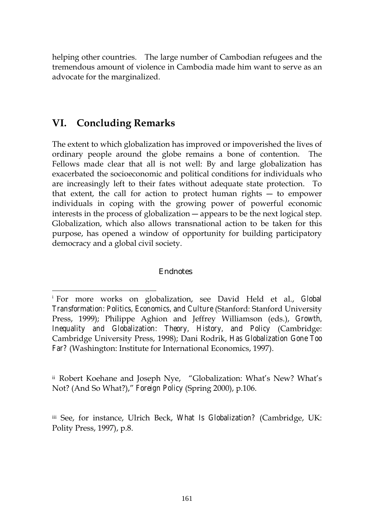<span id="page-100-0"></span>helping other countries. The large number of Cambodian refugees and the tremendous amount of violence in Cambodia made him want to serve as an advocate for the marginalized.

## **VI. Concluding Remarks**

 $\overline{a}$ 

The extent to which globalization has improved or impoverished the lives of ordinary people around the globe remains a bone of contention. The Fellows made clear that all is not well: By and large globalization has exacerbated the socioeconomic and political conditions for individuals who are increasingly left to their fates without adequate state protection. To that extent, the call for action to protect human rights ― to empower individuals in coping with the growing power of powerful economic interests in the process of globalization ― appears to be the next logical step. Globalization, which also allows transnational action to be taken for this purpose, has opened a window of opportunity for building participatory democracy and a global civil society.

#### Endnotes

ii Robert Koehane and Joseph Nye, "Globalization: What's New? What's Not? (And So What?)," *Foreign Policy* (Spring 2000), p.106.

iii See, for instance, Ulrich Beck, *What Is Globalization?* (Cambridge, UK: Polity Press, 1997), p.8.

<sup>i</sup> For more works on globalization, see David Held et al., *Global Transformation: Politics, Economics, and Culture* (Stanford: Stanford University Press, 1999); Philippe Aghion and Jeffrey Williamson (eds.), *Growth, Inequality and Globalization: Theory, History, and Policy* (Cambridge: Cambridge University Press, 1998); Dani Rodrik, *Has Globalization Gone Too Far?* (Washington: Institute for International Economics, 1997).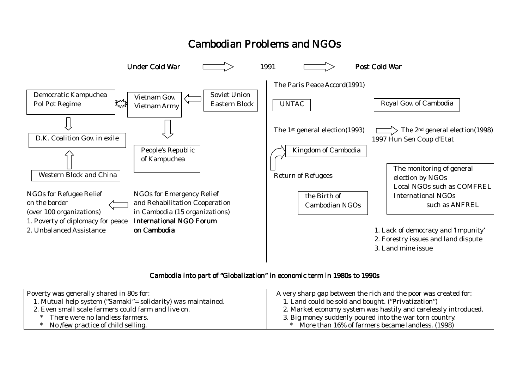# Cambodian Problems and NGOs



#### Cambodia into part of "Globalization" in economic term in 1980s to 1990s

| Poverty was generally shared in 80s for:                      | A very sharp gap between the rich and the poor was created for: |
|---------------------------------------------------------------|-----------------------------------------------------------------|
| 1. Mutual help system ("Samaki" = solidarity) was maintained. | 1. Land could be sold and bought. ("Privatization")             |
| 2. Even small scale farmers could farm and live on.           | 2. Market economy system was hastily and carelessly introduced. |
| There were no landless farmers.                               | 3. Big money suddenly poured into the war torn country.         |
| No <i>few</i> practice of child selling.                      | * More than 16% of farmers became landless. (1998)              |